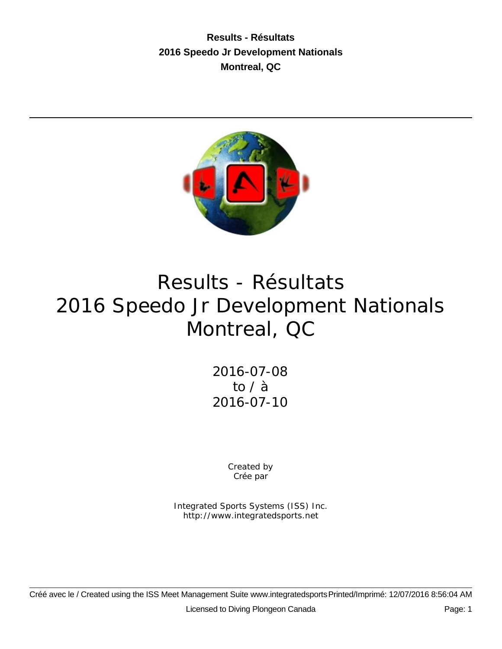**Results - Résultats 2016 Speedo Jr Development Nationals Montreal, QC**



# Results - Résultats 2016 Speedo Jr Development Nationals Montreal, QC

2016-07-08 to / à 2016-07-10

> Created by Crée par

Integrated Sports Systems (ISS) Inc. http://www.integratedsports.net

Créé avec le / Created using the ISS Meet Management Suite www.integratedsports Printed/Imprimé: 12/07/2016 8:56:04 AM Licensed to Diving Plongeon Canada Page: 1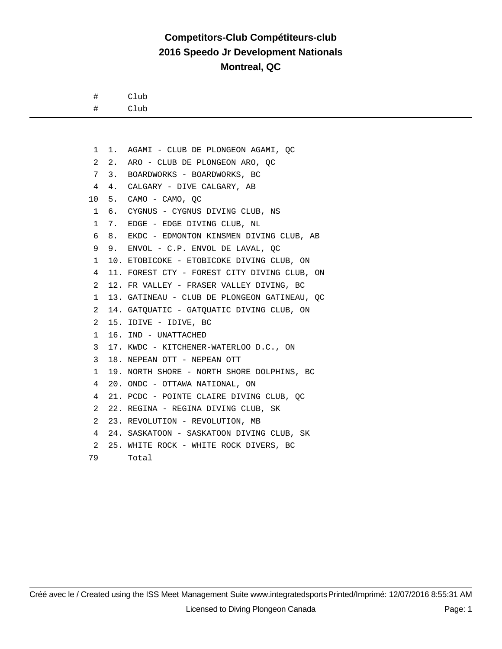#### **Competitors-Club Compétiteurs-club 2016 Speedo Jr Development Nationals Montreal, QC**

# Club

# Club

 1 1. AGAMI - CLUB DE PLONGEON AGAMI, QC 2 2. ARO - CLUB DE PLONGEON ARO, QC 7 3. BOARDWORKS - BOARDWORKS, BC 4 4. CALGARY - DIVE CALGARY, AB 10 5. CAMO - CAMO, QC 1 6. CYGNUS - CYGNUS DIVING CLUB, NS 1 7. EDGE - EDGE DIVING CLUB, NL 6 8. EKDC - EDMONTON KINSMEN DIVING CLUB, AB 9 9. ENVOL - C.P. ENVOL DE LAVAL, QC 1 10. ETOBICOKE - ETOBICOKE DIVING CLUB, ON 4 11. FOREST CTY - FOREST CITY DIVING CLUB, ON 2 12. FR VALLEY - FRASER VALLEY DIVING, BC 1 13. GATINEAU - CLUB DE PLONGEON GATINEAU, QC 2 14. GATQUATIC - GATQUATIC DIVING CLUB, ON 2 15. IDIVE - IDIVE, BC 1 16. IND - UNATTACHED 3 17. KWDC - KITCHENER-WATERLOO D.C., ON 3 18. NEPEAN OTT - NEPEAN OTT 1 19. NORTH SHORE - NORTH SHORE DOLPHINS, BC 4 20. ONDC - OTTAWA NATIONAL, ON 4 21. PCDC - POINTE CLAIRE DIVING CLUB, QC 2 22. REGINA - REGINA DIVING CLUB, SK 2 23. REVOLUTION - REVOLUTION, MB 4 24. SASKATOON - SASKATOON DIVING CLUB, SK 2 25. WHITE ROCK - WHITE ROCK DIVERS, BC 79 Total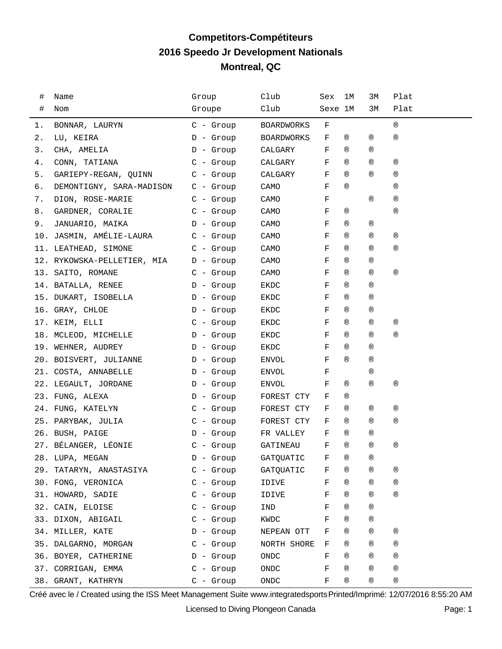# **Competitors-Compétiteurs 2016 Speedo Jr Development Nationals Montreal, QC**

| #  | Name                        | Group       | Club              | Sex         | ıм             | ЗМ             | Plat           |
|----|-----------------------------|-------------|-------------------|-------------|----------------|----------------|----------------|
| #  | Nom                         | Groupe      | Club              | Sexe 1M     |                | ЗМ             | Plat           |
| 1. | BONNAR, LAURYN              | $C -$ Group | <b>BOARDWORKS</b> | F           |                |                | $^{\circledR}$ |
| 2. | LU, KEIRA                   | $D -$ Group | <b>BOARDWORKS</b> | F           | ®              | ®              | $^{\circledR}$ |
| 3. | CHA, AMELIA                 | $D -$ Group | CALGARY           | F           | $^{\circledR}$ | ®              |                |
| 4. | CONN, TATIANA               | $C -$ Group | CALGARY           | F           | $^{\circledR}$ | ®              | ®              |
| 5. | GARIEPY-REGAN, QUINN        | $C$ - Group | CALGARY           | F           | $^{\circledR}$ | $^{\circledR}$ | $^{\circledR}$ |
| б. | DEMONTIGNY, SARA-MADISON    | $C -$ Group | CAMO              | F           | $^{\circledR}$ |                | ®              |
| 7. | DION, ROSE-MARIE            | $C$ - Group | CAMO              | F           |                | $^{\circledR}$ | $^{\circledR}$ |
| 8. | GARDNER, CORALIE            | $C -$ Group | CAMO              | F           | ®              |                | $^{\circledR}$ |
| 9. | JANUARIO, MAIKA             | D - Group   | CAMO              | F           | $^{\circledR}$ | ®              |                |
|    | 10. JASMIN, AMÉLIE-LAURA    | $C -$ Group | CAMO              | F           | $^{\circledR}$ | ®              | ®              |
|    | 11. LEATHEAD, SIMONE        | $C - Group$ | CAMO              | F           | $^{\circledR}$ | ®              | $^{\circledR}$ |
|    | 12. RYKOWSKA-PELLETIER, MIA | D - Group   | CAMO              | F           | $^{\circledR}$ | ®              |                |
|    | 13. SAITO, ROMANE           | $C$ - Group | CAMO              | F           | $^{\circledR}$ | ®              | ®              |
|    | 14. BATALLA, RENEE          | $D -$ Group | EKDC              | F           | $^{\circledR}$ | $^{\circledR}$ |                |
|    | 15. DUKART, ISOBELLA        | $D -$ Group | EKDC              | F           | ®              | ®              |                |
|    | 16. GRAY, CHLOE             | D - Group   | EKDC              | F           | $^{\circledR}$ | ®              |                |
|    | 17. KEIM, ELLI              | $C - Group$ | EKDC              | F           | ®              | ®              | ®              |
|    | 18. MCLEOD, MICHELLE        | D - Group   | EKDC              | F           | $^{\circledR}$ | ®              | $^{\circledR}$ |
|    | 19. WEHNER, AUDREY          | D - Group   | EKDC              | F           | ®              | $^{\circledR}$ |                |
|    | 20. BOISVERT, JULIANNE      | D - Group   | ENVOL             | F           | $^{\circledR}$ | ®              |                |
|    | 21. COSTA, ANNABELLE        | D - Group   | ENVOL             | F           |                | ®              |                |
|    | 22. LEGAULT, JORDANE        | $D -$ Group | ENVOL             | F           | ®              | ®              | ®              |
|    | 23. FUNG, ALEXA             | $D -$ Group | FOREST CTY        | F           | ®              |                |                |
|    | 24. FUNG, KATELYN           | $C - Grow$  | FOREST CTY        | F           | ®              | ®              | ®              |
|    | 25. PARYBAK, JULIA          | $C - Grow$  | FOREST CTY        | F           | ®              | $^{\circledR}$ | $^{\circledR}$ |
|    | 26. BUSH, PAIGE             | D - Group   | FR VALLEY         | F           | $^{\circledR}$ | ®              |                |
|    | 27. BÉLANGER, LÉONIE        | $C -$ Group | GATINEAU          | F           | $^{\circledR}$ | ®              | ®              |
|    | 28. LUPA, MEGAN             | D - Group   | GATQUATIC         | $\mathbf F$ | $^\circledR$   | $^\circledR$   |                |
|    | 29. TATARYN, ANASTASIYA     | $C -$ Group | GATQUATIC         | F           | ®              | ®              | ®              |
|    | 30. FONG, VERONICA          | $C -$ Group | IDIVE             | F           | ®              | ®              | $^{\circledR}$ |
|    | 31. HOWARD, SADIE           | $C -$ Group | IDIVE             | F           | ®              | ®              | $^{\circledR}$ |
|    | 32. CAIN, ELOISE            | $C$ - Group | IND               | F           | $^{\circledR}$ | ®              |                |
|    | 33. DIXON, ABIGAIL          | $C - Grow$  | KWDC              | F           | ®              | ®              |                |
|    | 34. MILLER, KATE            | $D -$ Group | NEPEAN OTT        | F           | ®              | ®              | ®              |
|    | 35. DALGARNO, MORGAN        | $C -$ Group | NORTH SHORE       | F           | ®              | ®              | ®              |
|    | 36. BOYER, CATHERINE        | $D -$ Group | ONDC              | F           | ®              | ®              | ®              |
|    | 37. CORRIGAN, EMMA          | $C -$ Group | ONDC              | F           | ®              | ®              | ®              |
|    | 38. GRANT, KATHRYN          | $C -$ Group | ONDC              | F           | $^{\circledR}$ | ®              | ®              |

Créé avec le / Created using the ISS Meet Management Suite www.integratedsports Printed/Imprimé: 12/07/2016 8:55:20 AM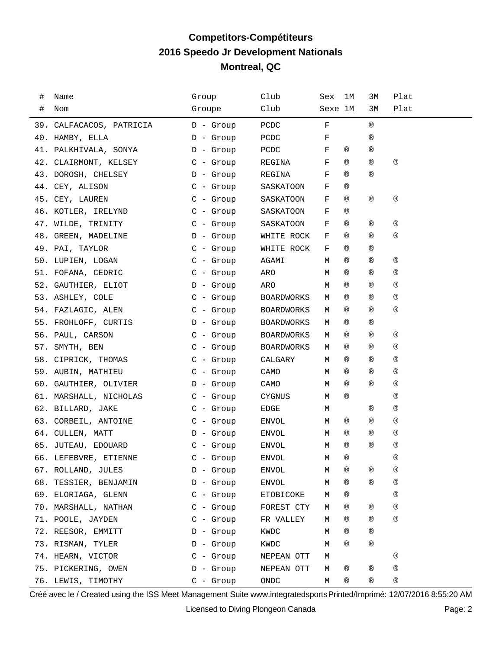# **Competitors-Compétiteurs 2016 Speedo Jr Development Nationals Montreal, QC**

| # | Name                     | Group       | Club              | Sex     | 1M             | ЗМ             | Plat         |
|---|--------------------------|-------------|-------------------|---------|----------------|----------------|--------------|
| # | Nom                      | Groupe      | Club              | Sexe 1M |                | ЗМ             | Plat         |
|   | 39. CALFACACOS, PATRICIA | $D -$ Group | PCDC              | F       |                | $^{\circledR}$ |              |
|   | 40. HAMBY, ELLA          | $D -$ Group | PCDC              | F       |                | $^{\circledR}$ |              |
|   | 41. PALKHIVALA, SONYA    | $D -$ Group | PCDC              | F       | $^{\circledR}$ | $^{\circledR}$ |              |
|   | 42. CLAIRMONT, KELSEY    | $C -$ Group | REGINA            | F       | $^{\circledR}$ | $^{\circledR}$ | $^\circledR$ |
|   | 43. DOROSH, CHELSEY      | $D -$ Group | REGINA            | F       | $^{\circledR}$ | $^{\circledR}$ |              |
|   | 44. CEY, ALISON          | $C -$ Group | SASKATOON         | F       | $^{\circledR}$ |                |              |
|   | 45. CEY, LAUREN          | $C - Group$ | SASKATOON         | F       | ®              | ®              | ®            |
|   | 46. KOTLER, IRELYND      | $C -$ Group | SASKATOON         | F       | ®              |                |              |
|   | 47. WILDE, TRINITY       | $C -$ Group | SASKATOON         | F       | ®              | ®              | ®            |
|   | 48. GREEN, MADELINE      | $D -$ Group | WHITE ROCK        | F       | ®              | $^{\circledR}$ | ®            |
|   | 49. PAI, TAYLOR          | $C -$ Group | WHITE ROCK        | F       | ®              | $^{\circledR}$ |              |
|   | 50. LUPIEN, LOGAN        | $C -$ Group | AGAMI             | М       | $^{\circledR}$ | $^{\circledR}$ | ®            |
|   | 51. FOFANA, CEDRIC       | $C - Group$ | ARO               | М       | $^{\circledR}$ | $^{\circledR}$ | ®            |
|   | 52. GAUTHIER, ELIOT      | D - Group   | ARO               | М       | $^{\circledR}$ | $^{\circledR}$ | ®            |
|   | 53. ASHLEY, COLE         | $C -$ Group | <b>BOARDWORKS</b> | М       | ®              | $^{\circledR}$ | ®            |
|   | 54. FAZLAGIC, ALEN       | $C -$ Group | BOARDWORKS        | М       | ®              | $^{\circledR}$ | ®            |
|   | 55. FROHLOFF, CURTIS     | $D -$ Group | <b>BOARDWORKS</b> | М       | ®              | ®              |              |
|   | 56. PAUL, CARSON         | $C -$ Group | <b>BOARDWORKS</b> | М       | ®              | ®              | ®            |
|   | 57. SMYTH, BEN           | $C -$ Group | BOARDWORKS        | М       | ®              | ®              | ®            |
|   | 58. CIPRICK, THOMAS      | $C -$ Group | CALGARY           | М       | ®              | ®              | ®            |
|   | 59. AUBIN, MATHIEU       | $C -$ Group | CAMO              | М       | ®              | ®              | ®            |
|   | 60. GAUTHIER, OLIVIER    | D - Group   | CAMO              | М       | ®              | $^{\circledR}$ | ®            |
|   | 61. MARSHALL, NICHOLAS   | $C -$ Group | CYGNUS            | М       | ®              |                | ®            |
|   | 62. BILLARD, JAKE        | $C -$ Group | EDGE              | М       |                | ®              | ®            |
|   | 63. CORBEIL, ANTOINE     | $C -$ Group | ENVOL             | М       | ®              | ®              | ®            |
|   | 64. CULLEN, MATT         | D - Group   | ENVOL             | М       | ®              | $^{\circledR}$ | ®            |
|   | 65. JUTEAU, EDOUARD      | $C - Grow$  | ENVOL             | М       | ®              | $^{\circledR}$ | ®            |
|   | 66. LEFEBVRE, ETIENNE    | $C -$ Group | <b>ENVOL</b>      | М       | $^{\circledR}$ |                | ®            |
|   | 67. ROLLAND, JULES       | $D -$ Group | ENVOL             | М       | ®              | ®              | ®            |
|   | 68. TESSIER, BENJAMIN    | $D -$ Group | ENVOL             | М       | ®              | $^{\circledR}$ | $^\circledR$ |
|   | 69. ELORIAGA, GLENN      | $C -$ Group | ETOBICOKE         | М       | ®              |                | ®            |
|   | 70. MARSHALL, NATHAN     | $C -$ Group | FOREST CTY        | М       | ®              | ®              | ®            |
|   | 71. POOLE, JAYDEN        | $C -$ Group | FR VALLEY         | М       | ®              | $^{\circledR}$ | $^\circledR$ |
|   | 72. REESOR, EMMITT       | $D -$ Group | KWDC              | М       | ®              | ®              |              |
|   | 73. RISMAN, TYLER        | $D -$ Group | KWDC              | М       | ®              | $^{\circledR}$ |              |
|   | 74. HEARN, VICTOR        | $C -$ Group | NEPEAN OTT        | М       |                |                | $^\circledR$ |
|   | 75. PICKERING, OWEN      | $D -$ Group | NEPEAN OTT        | М       | ®              | ®              | ®            |
|   | 76. LEWIS, TIMOTHY       | $C -$ Group | ONDC              | М       | ®              | ®              | ®            |

Créé avec le / Created using the ISS Meet Management Suite www.integratedsports Printed/Imprimé: 12/07/2016 8:55:20 AM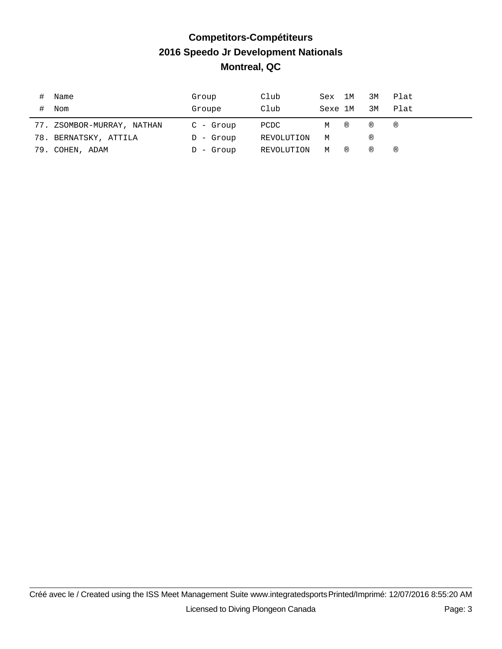# **Competitors-Compétiteurs 2016 Speedo Jr Development Nationals Montreal, QC**

|     | Name                   | Group       | Club       | Sex 1M  |                | 3M  | Plat |
|-----|------------------------|-------------|------------|---------|----------------|-----|------|
|     | Nom                    | Groupe      | Club       | Sexe 1M |                | 3M  | Plat |
| 77. | ZSOMBOR-MURRAY, NATHAN | C - Group   | PCDC       | М       | $\circledR$    | (R) | ®    |
|     | 78. BERNATSKY, ATTILA  | $D -$ Group | REVOLUTION | M       |                | (R) |      |
|     | 79. COHEN, ADAM        | $D -$ Group | REVOLUTION | М       | $^{\circledR}$ | ®   | ®    |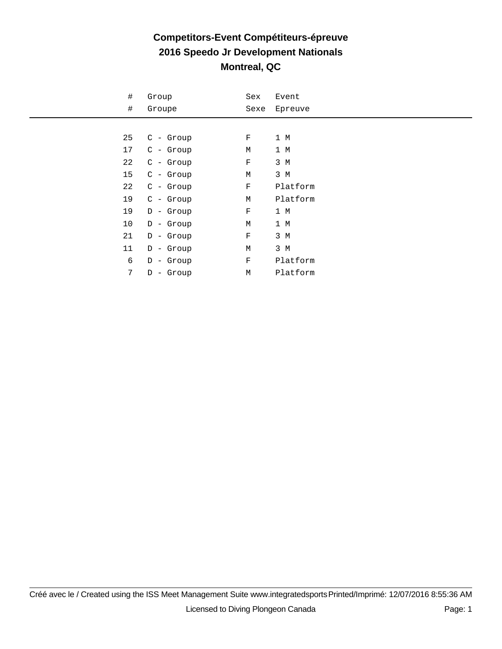#### **Competitors-Event Compétiteurs-épreuve 2016 Speedo Jr Development Nationals Montreal, QC**

| #               | Group       | Sex         | Event    |
|-----------------|-------------|-------------|----------|
| $\#$            | Groupe      | Sexe        | Epreuve  |
|                 |             |             |          |
| 25              | $C -$ Group | F           | 1 M      |
| 17              | $C -$ Group | М           | 1 M      |
| 22              | $C -$ Group | $\rm F$     | 3 M      |
| 15              | $C -$ Group | М           | 3 M      |
| 22              | $C -$ Group | $\mathbf F$ | Platform |
| 19              | $C -$ Group | М           | Platform |
| 19              | $D -$ Group | $\rm F$     | 1 M      |
| 10              | $D -$ Group | М           | 1 M      |
| 21              | $D -$ Group | $\rm F$     | 3 M      |
| 11              | $D -$ Group | М           | 3 M      |
| 6               | $D -$ Group | $\rm F$     | Platform |
| $7\phantom{.0}$ | $D -$ Group | М           | Platform |
|                 |             |             |          |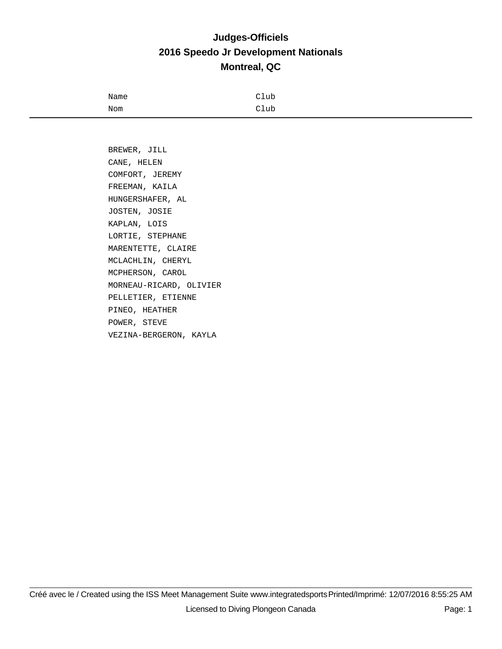#### **Judges-Officiels 2016 Speedo Jr Development Nationals Montreal, QC**

| Name | Club |
|------|------|
| Nom  | Club |

 BREWER, JILL CANE, HELEN COMFORT, JEREMY FREEMAN, KAILA HUNGERSHAFER, AL JOSTEN, JOSIE KAPLAN, LOIS LORTIE, STEPHANE MARENTETTE, CLAIRE MCLACHLIN, CHERYL MCPHERSON, CAROL MORNEAU-RICARD, OLIVIER PELLETIER, ETIENNE PINEO, HEATHER POWER, STEVE VEZINA-BERGERON, KAYLA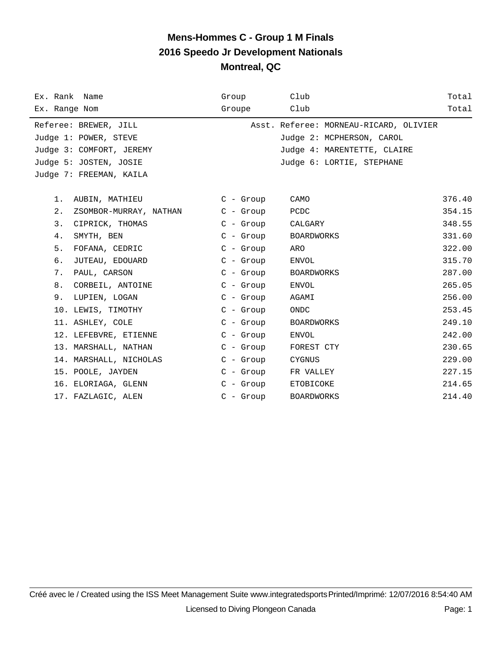| Ex. Rank Name                | Group       | Club                                   | Total  |
|------------------------------|-------------|----------------------------------------|--------|
| Ex. Range Nom                | Groupe      | Club                                   | Total  |
| Referee: BREWER, JILL        |             | Asst. Referee: MORNEAU-RICARD, OLIVIER |        |
| Judge 1: POWER, STEVE        |             | Judge 2: MCPHERSON, CAROL              |        |
| Judge 3: COMFORT, JEREMY     |             | Judge 4: MARENTETTE, CLAIRE            |        |
| Judge 5: JOSTEN, JOSIE       |             | Judge 6: LORTIE, STEPHANE              |        |
| Judge 7: FREEMAN, KAILA      |             |                                        |        |
|                              |             |                                        |        |
| AUBIN, MATHIEU<br>1.         | $C - Grow$  | CAMO                                   | 376.40 |
| 2.<br>ZSOMBOR-MURRAY, NATHAN | $C - Grow$  | PCDC                                   | 354.15 |
| 3.<br>CIPRICK, THOMAS        | $C - Grow$  | CALGARY                                | 348.55 |
| 4.<br>SMYTH, BEN             | $C - Group$ | BOARDWORKS                             | 331.60 |
| 5.<br>FOFANA, CEDRIC         | $C -$ Group | ARO                                    | 322.00 |
| б.<br>JUTEAU, EDOUARD        | $C - Group$ | ENVOL                                  | 315.70 |
| 7.<br>PAUL, CARSON           | $C - Grow$  | BOARDWORKS                             | 287.00 |
| 8.<br>CORBEIL, ANTOINE       | $C - Grow$  | ENVOL                                  | 265.05 |
| 9.<br>LUPIEN, LOGAN          | $C - Grow$  | AGAMI                                  | 256.00 |
| 10. LEWIS, TIMOTHY           | $C - Group$ | ONDC                                   | 253.45 |
| 11. ASHLEY, COLE             | $C - Group$ | <b>BOARDWORKS</b>                      | 249.10 |
| 12. LEFEBVRE, ETIENNE        | $C - Grow$  | ENVOL                                  | 242.00 |
| 13. MARSHALL, NATHAN         | $C - Grow$  | FOREST CTY                             | 230.65 |
| 14. MARSHALL, NICHOLAS       | $C - Grow$  | CYGNUS                                 | 229.00 |
| 15. POOLE, JAYDEN            | $C - Grow$  | FR VALLEY                              | 227.15 |
| 16. ELORIAGA, GLENN          | $C - Grow$  | ETOBICOKE                              | 214.65 |
| 17. FAZLAGIC, ALEN           | $C - Group$ | <b>BOARDWORKS</b>                      | 214.40 |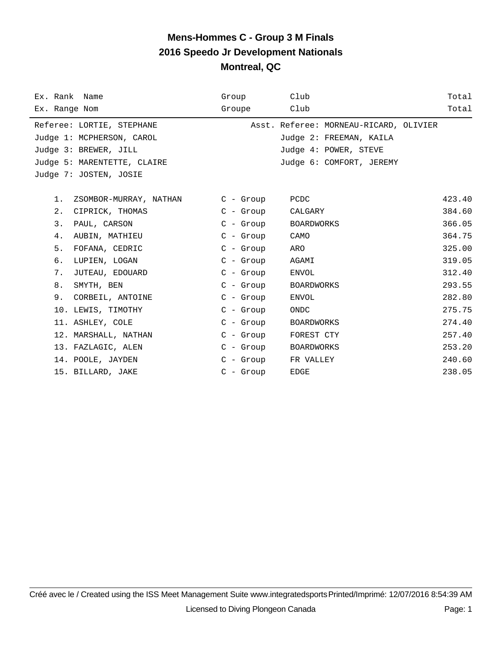| Ex. Rank Name                   | Group       | Club                                   | Total  |
|---------------------------------|-------------|----------------------------------------|--------|
| Ex. Range Nom                   | Groupe      | Club                                   | Total  |
| Referee: LORTIE, STEPHANE       |             | Asst. Referee: MORNEAU-RICARD, OLIVIER |        |
| Judge 1: MCPHERSON, CAROL       |             | Judge 2: FREEMAN, KAILA                |        |
| Judge 3: BREWER, JILL           |             | Judge 4: POWER, STEVE                  |        |
| Judge 5: MARENTETTE, CLAIRE     |             | Judge 6: COMFORT, JEREMY               |        |
| Judge 7: JOSTEN, JOSIE          |             |                                        |        |
|                                 |             |                                        |        |
| $1$ .<br>ZSOMBOR-MURRAY, NATHAN | C - Group   | PCDC                                   | 423.40 |
| 2.<br>CIPRICK, THOMAS           | $C$ - Group | CALGARY                                | 384.60 |
| 3.<br>PAUL, CARSON              | $C - Grow$  | BOARDWORKS                             | 366.05 |
| 4.<br>AUBIN, MATHIEU            | $C - Group$ | CAMO                                   | 364.75 |
| 5.<br>FOFANA, CEDRIC            | $C - Group$ | ARO                                    | 325.00 |
| б.<br>LUPIEN, LOGAN             | $C - Grow$  | AGAMI                                  | 319.05 |
| 7.<br>JUTEAU, EDOUARD           | C - Group   | ENVOL                                  | 312.40 |
| 8.<br>SMYTH, BEN                | $C - Grow$  | BOARDWORKS                             | 293.55 |
| 9.<br>CORBEIL, ANTOINE          | $C -$ Group | ENVOL                                  | 282.80 |
| 10. LEWIS, TIMOTHY              | $C -$ Group | ONDC                                   | 275.75 |
| 11. ASHLEY, COLE                | C - Group   | BOARDWORKS                             | 274.40 |
| 12. MARSHALL, NATHAN            | C - Group   | FOREST CTY                             | 257.40 |
| 13. FAZLAGIC, ALEN              | $C - Grow$  | BOARDWORKS                             | 253.20 |
| 14. POOLE, JAYDEN               | $C - Grow$  | FR VALLEY                              | 240.60 |
| 15. BILLARD, JAKE               | $C -$ Group | <b>EDGE</b>                            | 238.05 |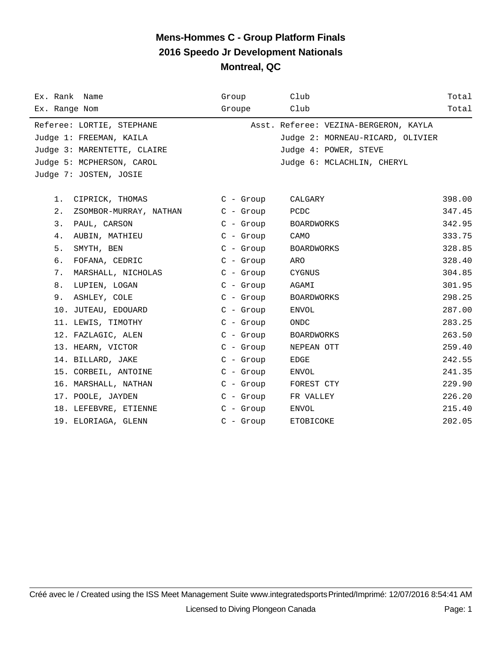| Ex. Rank Name                | Group       | Club                                  | Total  |
|------------------------------|-------------|---------------------------------------|--------|
| Ex. Range Nom                | Groupe      | Club                                  | Total  |
| Referee: LORTIE, STEPHANE    |             | Asst. Referee: VEZINA-BERGERON, KAYLA |        |
| Judge 1: FREEMAN, KAILA      |             | Judge 2: MORNEAU-RICARD, OLIVIER      |        |
| Judge 3: MARENTETTE, CLAIRE  |             | Judge 4: POWER, STEVE                 |        |
| Judge 5: MCPHERSON, CAROL    |             | Judge 6: MCLACHLIN, CHERYL            |        |
| Judge 7: JOSTEN, JOSIE       |             |                                       |        |
|                              |             |                                       |        |
| 1.<br>CIPRICK, THOMAS        | $C - Group$ | CALGARY                               | 398.00 |
| 2.<br>ZSOMBOR-MURRAY, NATHAN | $C - Grow$  | PCDC                                  | 347.45 |
| 3.<br>PAUL, CARSON           | $C - Group$ | BOARDWORKS                            | 342.95 |
| 4.<br>AUBIN, MATHIEU         | $C - Grow$  | CAMO                                  | 333.75 |
| 5.<br>SMYTH, BEN             | $C - Grow$  | <b>BOARDWORKS</b>                     | 328.85 |
| б.<br>FOFANA, CEDRIC         | $C - Grow$  | ARO                                   | 328.40 |
| 7.<br>MARSHALL, NICHOLAS     | $C - Group$ | CYGNUS                                | 304.85 |
| 8.<br>LUPIEN, LOGAN          | $C -$ Group | AGAMI                                 | 301.95 |
| 9.<br>ASHLEY, COLE           | $C -$ Group | BOARDWORKS                            | 298.25 |
| 10. JUTEAU, EDOUARD          | $C - Grow$  | ENVOL                                 | 287.00 |
| 11. LEWIS, TIMOTHY           | $C -$ Group | <b>ONDC</b>                           | 283.25 |
| 12. FAZLAGIC, ALEN           | $C -$ Group | <b>BOARDWORKS</b>                     | 263.50 |
| 13. HEARN, VICTOR            | $C - Group$ | NEPEAN OTT                            | 259.40 |
| 14. BILLARD, JAKE            | $C -$ Group | EDGE                                  | 242.55 |
| 15. CORBEIL, ANTOINE         | $C -$ Group | ENVOL                                 | 241.35 |
| 16. MARSHALL, NATHAN         | $C - Grow$  | FOREST CTY                            | 229.90 |
| 17. POOLE, JAYDEN            | $C - Grow$  | FR VALLEY                             | 226.20 |
| 18. LEFEBVRE, ETIENNE        | $C - Grow$  | ENVOL                                 | 215.40 |
| 19. ELORIAGA, GLENN          | $C -$ Group | ETOBICOKE                             | 202.05 |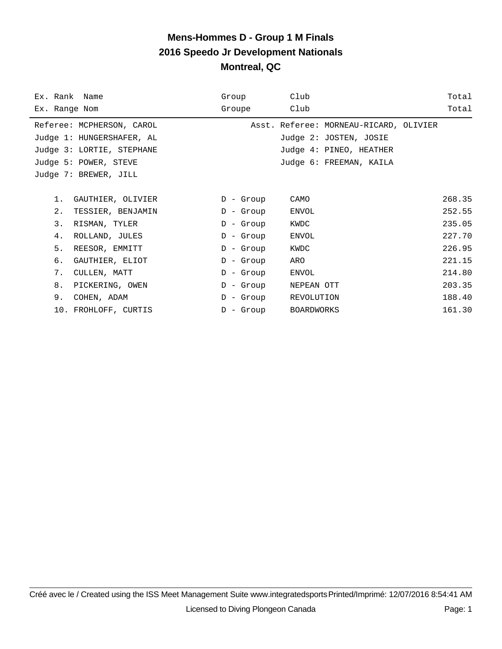| Ex. Rank Name<br>Ex. Range Nom |                           | Group<br>Groupe | Club<br>Club                           | Total<br>Total |
|--------------------------------|---------------------------|-----------------|----------------------------------------|----------------|
|                                | Referee: MCPHERSON, CAROL |                 | Asst. Referee: MORNEAU-RICARD, OLIVIER |                |
|                                | Judge 1: HUNGERSHAFER, AL |                 | Judge 2: JOSTEN, JOSIE                 |                |
|                                | Judge 3: LORTIE, STEPHANE |                 | Judge 4: PINEO, HEATHER                |                |
|                                | Judge 5: POWER, STEVE     |                 | Judge 6: FREEMAN, KAILA                |                |
|                                | Judge 7: BREWER, JILL     |                 |                                        |                |
|                                |                           |                 |                                        |                |
| $1$ .                          | GAUTHIER, OLIVIER         | D - Group       | CAMO                                   | 268.35         |
| 2.                             | TESSIER, BENJAMIN         | $D -$ Group     | ENVOL                                  | 252.55         |
| 3.                             | RISMAN, TYLER             | $D -$ Group     | KWDC                                   | 235.05         |
| 4.                             | ROLLAND, JULES            | $D -$ Group     | ENVOL                                  | 227.70         |
| 5.                             | REESOR, EMMITT            | $D -$ Group     | KWDC                                   | 226.95         |
| б.                             | GAUTHIER, ELIOT           | $D -$ Group     | ARO                                    | 221.15         |
| 7.                             | CULLEN, MATT              | $D -$ Group     | ENVOL                                  | 214.80         |
| 8.                             | PICKERING, OWEN           | D - Group       | NEPEAN OTT                             | 203.35         |
| 9.                             | COHEN, ADAM               | D - Group       | REVOLUTION                             | 188.40         |
|                                | 10. FROHLOFF, CURTIS      | $D -$ Group     | BOARDWORKS                             | 161.30         |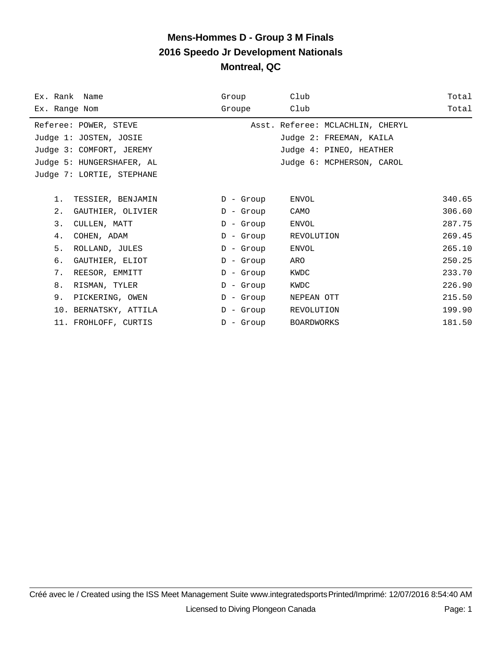| Ex. Rank Name             | Group       | Club                             | Total  |
|---------------------------|-------------|----------------------------------|--------|
| Ex. Range Nom             | Groupe      | Club                             | Total  |
| Referee: POWER, STEVE     |             | Asst. Referee: MCLACHLIN, CHERYL |        |
| Judge 1: JOSTEN, JOSIE    |             | Judge 2: FREEMAN, KAILA          |        |
| Judge 3: COMFORT, JEREMY  |             | Judge 4: PINEO, HEATHER          |        |
| Judge 5: HUNGERSHAFER, AL |             | Judge 6: MCPHERSON, CAROL        |        |
| Judge 7: LORTIE, STEPHANE |             |                                  |        |
| 1.<br>TESSIER, BENJAMIN   | $D -$ Group | <b>ENVOL</b>                     | 340.65 |
| 2.<br>GAUTHIER, OLIVIER   | $D -$ Group | CAMO                             | 306.60 |
| 3.<br>CULLEN, MATT        | $D -$ Group | ENVOL                            | 287.75 |
| 4.<br>COHEN, ADAM         | $D -$ Group | REVOLUTION                       | 269.45 |
|                           |             |                                  |        |
| 5.<br>ROLLAND, JULES      | $D -$ Group | <b>ENVOL</b>                     | 265.10 |
| б.<br>GAUTHIER, ELIOT     | $D -$ Group | ARO                              | 250.25 |
| 7.<br>REESOR, EMMITT      | $D -$ Group | KWDC                             | 233.70 |
| 8.<br>RISMAN, TYLER       | $D -$ Group | KWDC                             | 226.90 |
| 9.<br>PICKERING, OWEN     | $D -$ Group | NEPEAN OTT                       | 215.50 |
| 10. BERNATSKY, ATTILA     | $D -$ Group | REVOLUTION                       | 199.90 |
| 11. FROHLOFF, CURTIS      | $D -$ Group | <b>BOARDWORKS</b>                | 181.50 |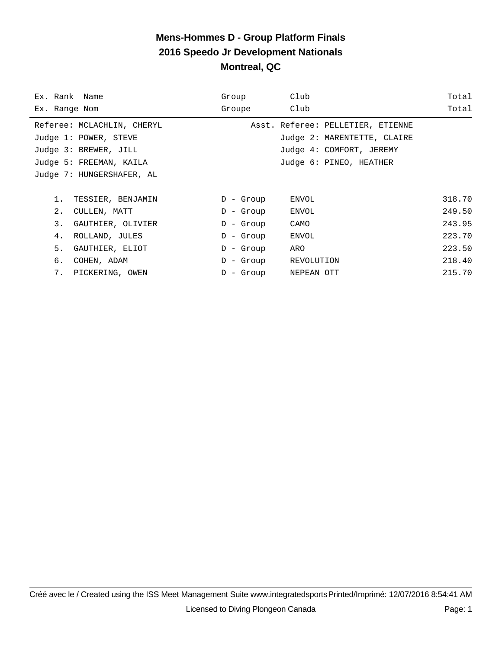| Ex. Rank Name              | Group        | Club                              | Total  |
|----------------------------|--------------|-----------------------------------|--------|
| Ex. Range Nom              | Groupe       | Club                              | Total  |
| Referee: MCLACHLIN, CHERYL |              | Asst. Referee: PELLETIER, ETIENNE |        |
| Judge 1: POWER, STEVE      |              | Judge 2: MARENTETTE, CLAIRE       |        |
| Judge 3: BREWER, JILL      |              | Judge 4: COMFORT, JEREMY          |        |
| Judge 5: FREEMAN, KAILA    |              | Judge 6: PINEO, HEATHER           |        |
| Judge 7: HUNGERSHAFER, AL  |              |                                   |        |
|                            |              |                                   |        |
| $1$ .<br>TESSIER, BENJAMIN | $D -$ Group  | ENVOL                             | 318.70 |
| 2.<br>CULLEN, MATT         | $D -$ Group  | ENVOL                             | 249.50 |
| 3.<br>GAUTHIER, OLIVIER    | $D -$ Group  | CAMO                              | 243.95 |
| 4.<br>ROLLAND, JULES       | $D -$ Group  | ENVOL                             | 223.70 |
| 5.<br>GAUTHIER, ELIOT      | $D -$ Group  | ARO                               | 223.50 |
| б.<br>COHEN, ADAM          | - Group<br>D | REVOLUTION                        | 218.40 |
| 7.<br>PICKERING, OWEN      | - Group<br>D | NEPEAN OTT                        | 215.70 |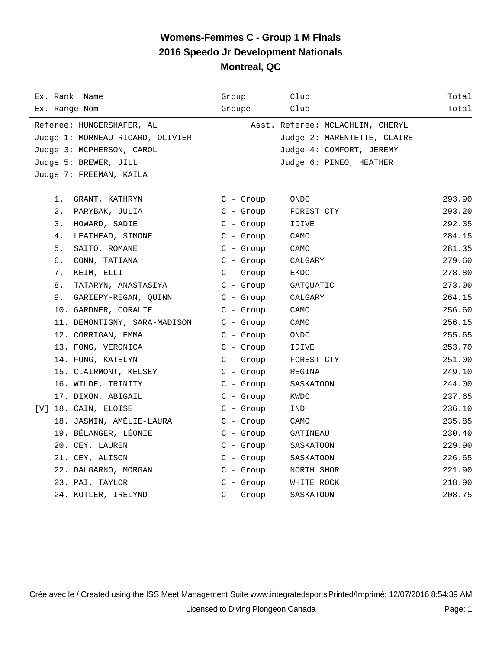| Ex. Rank Name                    | Group       | Club                             | Total  |
|----------------------------------|-------------|----------------------------------|--------|
| Ex. Range Nom                    | Groupe      | Club                             | Total  |
| Referee: HUNGERSHAFER, AL        |             | Asst. Referee: MCLACHLIN, CHERYL |        |
| Judge 1: MORNEAU-RICARD, OLIVIER |             | Judge 2: MARENTETTE, CLAIRE      |        |
| Judge 3: MCPHERSON, CAROL        |             | Judge 4: COMFORT, JEREMY         |        |
| Judge 5: BREWER, JILL            |             | Judge 6: PINEO, HEATHER          |        |
| Judge 7: FREEMAN, KAILA          |             |                                  |        |
|                                  |             |                                  |        |
| 1. GRANT, KATHRYN                | C - Group   | ONDC                             | 293.90 |
| 2. PARYBAK, JULIA                | $C - Group$ | FOREST CTY                       | 293.20 |
| HOWARD, SADIE<br>3.              | $C - Growp$ | IDIVE                            | 292.35 |
| 4.<br>LEATHEAD, SIMONE           | $C - Group$ | CAMO                             | 284.15 |
| 5.<br>SAITO, ROMANE              | $C - Group$ | CAMO                             | 281.35 |
| б.<br>CONN, TATIANA              | $C - Group$ | CALGARY                          | 279.60 |
| 7.<br>KEIM, ELLI                 | $C -$ Group | EKDC                             | 278.80 |
| 8.<br>TATARYN, ANASTASIYA        | C - Group   | GATQUATIC                        | 273.00 |
| 9. GARIEPY-REGAN, QUINN          | $C -$ Group | CALGARY                          | 264.15 |
| 10. GARDNER, CORALIE             | $C -$ Group | CAMO                             | 256.60 |
| 11. DEMONTIGNY, SARA-MADISON     | $C - Group$ | CAMO                             | 256.15 |
| 12. CORRIGAN, EMMA               | $C - Group$ | ONDC                             | 255.65 |
| 13. FONG, VERONICA               | $C - Growp$ | IDIVE                            | 253.70 |
| 14. FUNG, KATELYN                | $C - Group$ | FOREST CTY                       | 251.00 |
| 15. CLAIRMONT, KELSEY            | $C -$ Group | REGINA                           | 249.10 |
| 16. WILDE, TRINITY               | $C - Group$ | SASKATOON                        | 244.00 |
| 17. DIXON, ABIGAIL               | $C - Group$ | KWDC                             | 237.65 |
| [V] 18. CAIN, ELOISE             | $C -$ Group | IND                              | 236.10 |
| 18. JASMIN, AMÉLIE-LAURA         | $C - Grow$  | CAMO                             | 235.85 |
| 19. BÉLANGER, LÉONIE             | $C - Grow$  | GATINEAU                         | 230.40 |
| 20. CEY, LAUREN                  | $C - Group$ | SASKATOON                        | 229.90 |
| 21. CEY, ALISON                  | $C - Group$ | SASKATOON                        | 226.65 |
| 22. DALGARNO, MORGAN             | $C - Group$ | NORTH SHOR                       | 221.90 |
| 23. PAI, TAYLOR                  | $C - Group$ | WHITE ROCK                       | 218.90 |
| 24. KOTLER, IRELYND              | $C - Grow$  | SASKATOON                        | 208.75 |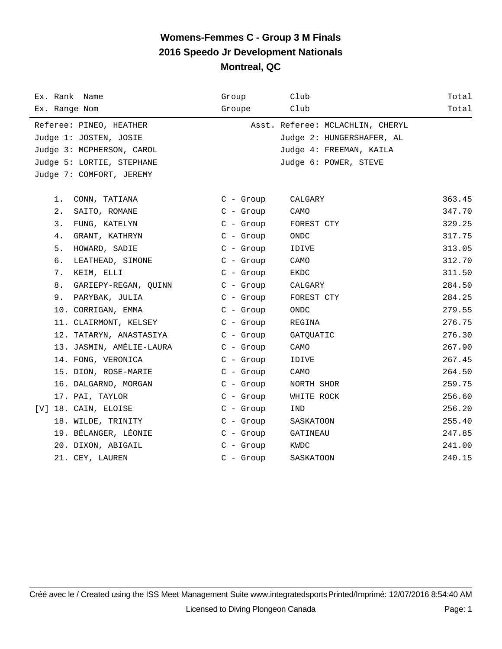| Ex. Rank Name              | Group       | Club                             | Total  |
|----------------------------|-------------|----------------------------------|--------|
| Ex. Range Nom              | Groupe      | Club                             | Total  |
| Referee: PINEO, HEATHER    |             | Asst. Referee: MCLACHLIN, CHERYL |        |
| Judge 1: JOSTEN, JOSIE     |             | Judge 2: HUNGERSHAFER, AL        |        |
| Judge 3: MCPHERSON, CAROL  |             | Judge 4: FREEMAN, KAILA          |        |
| Judge 5: LORTIE, STEPHANE  |             | Judge 6: POWER, STEVE            |        |
| Judge 7: COMFORT, JEREMY   |             |                                  |        |
|                            |             |                                  |        |
| 1.<br>CONN, TATIANA        | $C - Group$ | CALGARY                          | 363.45 |
| 2.<br>SAITO, ROMANE        | $C - Grow$  | CAMO                             | 347.70 |
| 3.<br>FUNG, KATELYN        | $C - Group$ | FOREST CTY                       | 329.25 |
| 4.<br>GRANT, KATHRYN       | $C - Group$ | $\mathop{\rm ONDC}\nolimits$     | 317.75 |
| 5.<br>HOWARD, SADIE        | $C - Group$ | IDIVE                            | 313.05 |
| б.<br>LEATHEAD, SIMONE     | $C -$ Group | CAMO                             | 312.70 |
| 7.<br>KEIM, ELLI           | $C - Grow$  | EKDC                             | 311.50 |
| 8.<br>GARIEPY-REGAN, QUINN | $C -$ Group | CALGARY                          | 284.50 |
| 9.<br>PARYBAK, JULIA       | $C -$ Group | FOREST CTY                       | 284.25 |
| 10. CORRIGAN, EMMA         | $C -$ Group | ONDC                             | 279.55 |
| 11. CLAIRMONT, KELSEY      | $C - Group$ | REGINA                           | 276.75 |
| 12. TATARYN, ANASTASIYA    | $C - Grow$  | GATOUATIC                        | 276.30 |
| 13. JASMIN, AMÉLIE-LAURA   | $C -$ Group | CAMO                             | 267.90 |
| 14. FONG, VERONICA         | $C -$ Group | IDIVE                            | 267.45 |
| 15. DION, ROSE-MARIE       | $C -$ Group | CAMO                             | 264.50 |
| 16. DALGARNO, MORGAN       | $C - Grow$  | NORTH SHOR                       | 259.75 |
| 17. PAI, TAYLOR            | $C -$ Group | WHITE ROCK                       | 256.60 |
| [V] 18. CAIN, ELOISE       | $C -$ Group | IND                              | 256.20 |
| 18. WILDE, TRINITY         | $C -$ Group | SASKATOON                        | 255.40 |
| 19. BÉLANGER, LÉONIE       | $C - Group$ | GATINEAU                         | 247.85 |
| 20. DIXON, ABIGAIL         | $C -$ Group | KWDC                             | 241.00 |
| 21. CEY, LAUREN            | $C -$ Group | SASKATOON                        | 240.15 |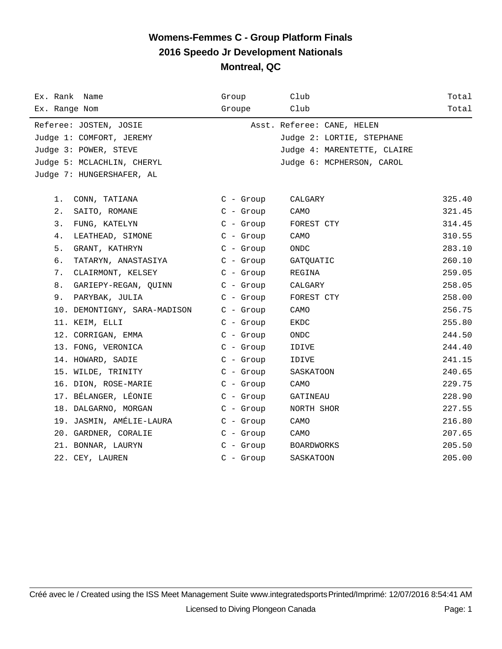| Ex. Rank Name                | Group       | Club                        | Total  |
|------------------------------|-------------|-----------------------------|--------|
| Ex. Range Nom                | Groupe      | Club                        | Total  |
| Referee: JOSTEN, JOSIE       |             | Asst. Referee: CANE, HELEN  |        |
| Judge 1: COMFORT, JEREMY     |             | Judge 2: LORTIE, STEPHANE   |        |
| Judge 3: POWER, STEVE        |             | Judge 4: MARENTETTE, CLAIRE |        |
| Judge 5: MCLACHLIN, CHERYL   |             | Judge 6: MCPHERSON, CAROL   |        |
| Judge 7: HUNGERSHAFER, AL    |             |                             |        |
|                              |             |                             |        |
| 1.<br>CONN, TATIANA          | $C - Group$ | CALGARY                     | 325.40 |
| 2.<br>SAITO, ROMANE          | $C - Group$ | CAMO                        | 321.45 |
| 3.<br>FUNG, KATELYN          | $C$ - Group | FOREST CTY                  | 314.45 |
| 4.<br>LEATHEAD, SIMONE       | $C -$ Group | CAMO                        | 310.55 |
| 5.<br>GRANT, KATHRYN         | $C -$ Group | <b>ONDC</b>                 | 283.10 |
| б.<br>TATARYN, ANASTASIYA    | $C - Grow$  | GATQUATIC                   | 260.10 |
| CLAIRMONT, KELSEY<br>7.      | $C$ - Group | REGINA                      | 259.05 |
| 8.<br>GARIEPY-REGAN, QUINN   | $C - Group$ | CALGARY                     | 258.05 |
| 9.<br>PARYBAK, JULIA         | $C -$ Group | FOREST CTY                  | 258.00 |
| 10. DEMONTIGNY, SARA-MADISON | $C - Group$ | CAMO                        | 256.75 |
| 11. KEIM, ELLI               | $C - Group$ | EKDC                        | 255.80 |
| 12. CORRIGAN, EMMA           | $C - Grow$  | <b>ONDC</b>                 | 244.50 |
| 13. FONG, VERONICA           | $C -$ Group | IDIVE                       | 244.40 |
| 14. HOWARD, SADIE            | $C -$ Group | IDIVE                       | 241.15 |
| 15. WILDE, TRINITY           | $C -$ Group | SASKATOON                   | 240.65 |
| 16. DION, ROSE-MARIE         | $C - Group$ | CAMO                        | 229.75 |
| 17. BÉLANGER, LÉONIE         | $C -$ Group | GATINEAU                    | 228.90 |
| 18. DALGARNO, MORGAN         | $C - Group$ | NORTH SHOR                  | 227.55 |
| 19. JASMIN, AMÉLIE-LAURA     | $C - Group$ | CAMO                        | 216.80 |
| 20. GARDNER, CORALIE         | $C - Grow$  | CAMO                        | 207.65 |
| 21. BONNAR, LAURYN           | $C$ - Group | <b>BOARDWORKS</b>           | 205.50 |
| 22. CEY, LAUREN              | $C -$ Group | SASKATOON                   | 205.00 |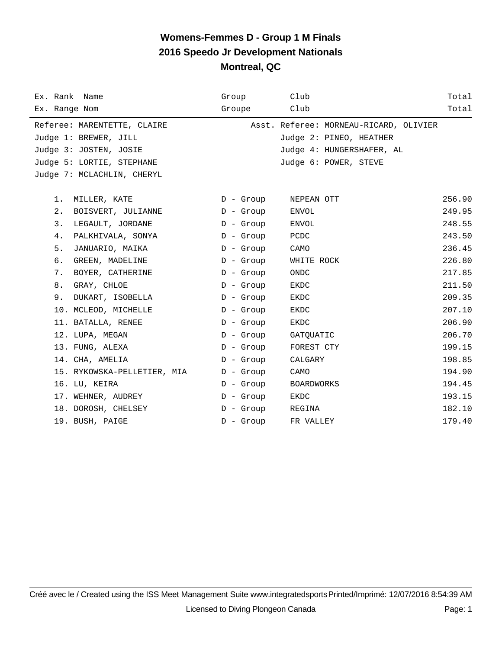| Ex. Rank Name               | Group       | Club                                   | Total  |
|-----------------------------|-------------|----------------------------------------|--------|
| Ex. Range Nom               | Groupe      | Club                                   | Total  |
| Referee: MARENTETTE, CLAIRE |             | Asst. Referee: MORNEAU-RICARD, OLIVIER |        |
| Judge 1: BREWER, JILL       |             | Judge 2: PINEO, HEATHER                |        |
| Judge 3: JOSTEN, JOSIE      |             | Judge 4: HUNGERSHAFER, AL              |        |
| Judge 5: LORTIE, STEPHANE   |             | Judge 6: POWER, STEVE                  |        |
| Judge 7: MCLACHLIN, CHERYL  |             |                                        |        |
|                             |             |                                        |        |
| $1$ .<br>MILLER, KATE       | D - Group   | NEPEAN OTT                             | 256.90 |
| 2.<br>BOISVERT, JULIANNE    | $D -$ Group | ENVOL                                  | 249.95 |
| 3.<br>LEGAULT, JORDANE      | $D -$ Group | ENVOL                                  | 248.55 |
| 4.<br>PALKHIVALA, SONYA     | $D -$ Group | PCDC                                   | 243.50 |
| 5.<br>JANUARIO, MAIKA       | $D -$ Group | CAMO                                   | 236.45 |
| б.<br>GREEN, MADELINE       | $D -$ Group | WHITE ROCK                             | 226.80 |
| 7.<br>BOYER, CATHERINE      | $D -$ Group | <b>ONDC</b>                            | 217.85 |
| 8.<br>GRAY, CHLOE           | $D -$ Group | EKDC                                   | 211.50 |
| 9.<br>DUKART, ISOBELLA      | $D -$ Group | EKDC                                   | 209.35 |
| 10. MCLEOD, MICHELLE        | $D -$ Group | EKDC                                   | 207.10 |
| 11. BATALLA, RENEE          | $D -$ Group | EKDC                                   | 206.90 |
| 12. LUPA, MEGAN             | $D -$ Group | GATQUATIC                              | 206.70 |
| 13. FUNG, ALEXA             | $D -$ Group | FOREST CTY                             | 199.15 |
| 14. CHA, AMELIA             | $D -$ Group | CALGARY                                | 198.85 |
| 15. RYKOWSKA-PELLETIER, MIA | $D -$ Group | CAMO                                   | 194.90 |
| 16. LU, KEIRA               | $D -$ Group | <b>BOARDWORKS</b>                      | 194.45 |
| 17. WEHNER, AUDREY          | $D -$ Group | EKDC                                   | 193.15 |
| 18. DOROSH, CHELSEY         | $D -$ Group | REGINA                                 | 182.10 |
| 19. BUSH, PAIGE             | $D -$ Group | FR VALLEY                              | 179.40 |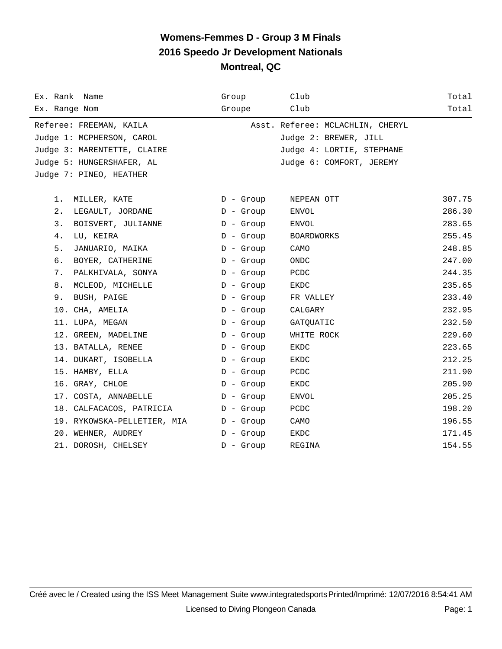| Ex. Rank Name               | Group       | Club                             | Total  |
|-----------------------------|-------------|----------------------------------|--------|
| Ex. Range Nom               | Groupe      | Club                             | Total  |
| Referee: FREEMAN, KAILA     |             | Asst. Referee: MCLACHLIN, CHERYL |        |
| Judge 1: MCPHERSON, CAROL   |             | Judge 2: BREWER, JILL            |        |
| Judge 3: MARENTETTE, CLAIRE |             | Judge 4: LORTIE, STEPHANE        |        |
| Judge 5: HUNGERSHAFER, AL   |             | Judge 6: COMFORT, JEREMY         |        |
| Judge 7: PINEO, HEATHER     |             |                                  |        |
|                             |             |                                  |        |
| 1.<br>MILLER, KATE          | D - Group   | NEPEAN OTT                       | 307.75 |
| 2.<br>LEGAULT, JORDANE      | $D -$ Group | ENVOL                            | 286.30 |
| 3.<br>BOISVERT, JULIANNE    | $D -$ Group | ENVOL                            | 283.65 |
| 4.<br>LU, KEIRA             | $D -$ Group | <b>BOARDWORKS</b>                | 255.45 |
| 5.<br>JANUARIO, MAIKA       | $D -$ Group | CAMO                             | 248.85 |
| 6.<br>BOYER, CATHERINE      | $D -$ Group | <b>ONDC</b>                      | 247.00 |
| 7.<br>PALKHIVALA, SONYA     | $D -$ Group | PCDC                             | 244.35 |
| 8.<br>MCLEOD, MICHELLE      | $D -$ Group | EKDC                             | 235.65 |
| 9.<br>BUSH, PAIGE           | $D -$ Group | FR VALLEY                        | 233.40 |
| 10. CHA, AMELIA             | $D -$ Group | CALGARY                          | 232.95 |
| 11. LUPA, MEGAN             | $D -$ Group | GATQUATIC                        | 232.50 |
| 12. GREEN, MADELINE         | $D -$ Group | WHITE ROCK                       | 229.60 |
| 13. BATALLA, RENEE          | $D -$ Group | <b>EKDC</b>                      | 223.65 |
| 14. DUKART, ISOBELLA        | $D -$ Group | EKDC                             | 212.25 |
| 15. HAMBY, ELLA             | $D -$ Group | PCDC                             | 211.90 |
| 16. GRAY, CHLOE             | $D -$ Group | EKDC                             | 205.90 |
| 17. COSTA, ANNABELLE        | $D -$ Group | ENVOL                            | 205.25 |
| 18. CALFACACOS, PATRICIA    | $D -$ Group | PCDC                             | 198.20 |
| 19. RYKOWSKA-PELLETIER, MIA | $D -$ Group | CAMO                             | 196.55 |
| 20. WEHNER, AUDREY          | $D -$ Group | <b>EKDC</b>                      | 171.45 |
| 21. DOROSH, CHELSEY         | $D -$ Group | REGINA                           | 154.55 |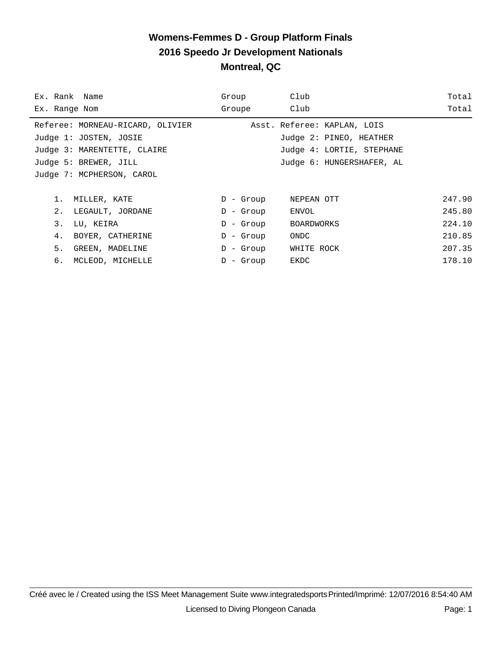| Ex. Rank Name                    | Group        | Club                        | Total  |
|----------------------------------|--------------|-----------------------------|--------|
| Ex. Range Nom                    | Groupe       | Club                        | Total  |
| Referee: MORNEAU-RICARD, OLIVIER |              | Asst. Referee: KAPLAN, LOIS |        |
| Judge 1: JOSTEN, JOSIE           |              | Judge 2: PINEO, HEATHER     |        |
| Judge 3: MARENTETTE, CLAIRE      |              | Judge 4: LORTIE, STEPHANE   |        |
| Judge 5: BREWER, JILL            |              | Judge 6: HUNGERSHAFER, AL   |        |
| Judge 7: MCPHERSON, CAROL        |              |                             |        |
|                                  |              |                             |        |
| 1.<br>MILLER, KATE               | $D -$ Group  | NEPEAN OTT                  | 247.90 |
| 2.<br>LEGAULT, JORDANE           | D - Group    | ENVOL                       | 245.80 |
| 3.<br>LU, KEIRA                  | D - Group    | BOARDWORKS                  | 224.10 |
| 4.<br>BOYER, CATHERINE           | $D -$ Group  | ONDC                        | 210.85 |
| 5.<br>GREEN, MADELINE            | D - Group    | WHITE ROCK                  | 207.35 |
| б.<br>MCLEOD, MICHELLE           | - Group<br>D | EKDC                        | 178.10 |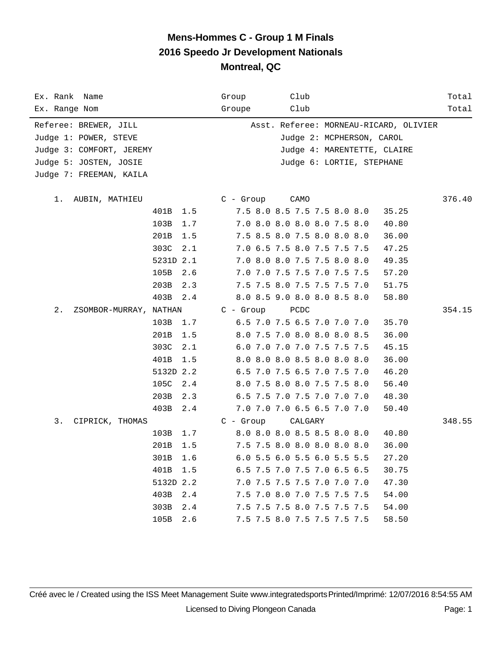| Ex. Rank Name                   |             | Club<br>Group                          | Total  |
|---------------------------------|-------------|----------------------------------------|--------|
| Ex. Range Nom                   |             | Club<br>Groupe                         | Total  |
| Referee: BREWER, JILL           |             | Asst. Referee: MORNEAU-RICARD, OLIVIER |        |
| Judge 1: POWER, STEVE           |             | Judge 2: MCPHERSON, CAROL              |        |
| Judge 3: COMFORT, JEREMY        |             | Judge 4: MARENTETTE, CLAIRE            |        |
| Judge 5: JOSTEN, JOSIE          |             | Judge 6: LORTIE, STEPHANE              |        |
| Judge 7: FREEMAN, KAILA         |             |                                        |        |
| 1.<br>AUBIN, MATHIEU            |             | $C - Group$<br>CAMO                    | 376.40 |
|                                 | 401B<br>1.5 | 7.5 8.0 8.5 7.5 7.5 8.0 8.0<br>35.25   |        |
|                                 | 103B<br>1.7 | 7.0 8.0 8.0 8.0 8.0 7.5 8.0<br>40.80   |        |
|                                 | 201B<br>1.5 | 7.5 8.5 8.0 7.5 8.0 8.0 8.0<br>36.00   |        |
|                                 | 303C<br>2.1 | 7.0 6.5 7.5 8.0 7.5 7.5 7.5<br>47.25   |        |
|                                 | 5231D 2.1   | 7.0 8.0 8.0 7.5 7.5 8.0 8.0<br>49.35   |        |
|                                 | 105B<br>2.6 | 7.0 7.0 7.5 7.5 7.0 7.5 7.5<br>57.20   |        |
|                                 | 203B<br>2.3 | 7.5 7.5 8.0 7.5 7.5 7.5 7.0<br>51.75   |        |
|                                 | 403B<br>2.4 | 8.0 8.5 9.0 8.0 8.0 8.5 8.0<br>58.80   |        |
| $2$ .<br>ZSOMBOR-MURRAY, NATHAN |             | $C -$ Group<br>PCDC                    | 354.15 |
|                                 | 103B<br>1.7 | 6.5 7.0 7.5 6.5 7.0 7.0 7.0<br>35.70   |        |
|                                 | 201B<br>1.5 | 8.0 7.5 7.0 8.0 8.0 8.0 8.5<br>36.00   |        |
|                                 | 303C<br>2.1 | 6.0 7.0 7.0 7.0 7.5 7.5 7.5<br>45.15   |        |
|                                 | 401B<br>1.5 | 8.0 8.0 8.0 8.5 8.0 8.0 8.0<br>36.00   |        |
|                                 | 5132D 2.2   | 6.5 7.0 7.5 6.5 7.0 7.5 7.0<br>46.20   |        |
|                                 | 105C<br>2.4 | 8.0 7.5 8.0 8.0 7.5 7.5 8.0<br>56.40   |        |
|                                 | 203B<br>2.3 | 6.5 7.5 7.0 7.5 7.0 7.0 7.0<br>48.30   |        |
|                                 | 403B<br>2.4 | 7.0 7.0 7.0 6.5 6.5 7.0 7.0<br>50.40   |        |
| 3.<br>CIPRICK, THOMAS           |             | $C - Group$<br>CALGARY                 | 348.55 |
|                                 | 103B<br>1.7 | 8.0 8.0 8.0 8.5 8.5 8.0 8.0<br>40.80   |        |
|                                 | 201B<br>1.5 | 7.5 7.5 8.0 8.0 8.0 8.0 8.0<br>36.00   |        |
|                                 | 301B<br>1.6 | 6.0 5.5 6.0 5.5 6.0 5.5 5.5<br>27.20   |        |
|                                 | 401B<br>1.5 | 6.5 7.5 7.0 7.5 7.0 6.5 6.5<br>30.75   |        |
|                                 | 5132D 2.2   | 7.0 7.5 7.5 7.5 7.0 7.0 7.0<br>47.30   |        |
|                                 | 403B<br>2.4 | 7.5 7.0 8.0 7.0 7.5 7.5 7.5<br>54.00   |        |
|                                 | 303B<br>2.4 | 7.5 7.5 7.5 8.0 7.5 7.5 7.5<br>54.00   |        |
|                                 | 105B<br>2.6 | 7.5 7.5 8.0 7.5 7.5 7.5 7.5<br>58.50   |        |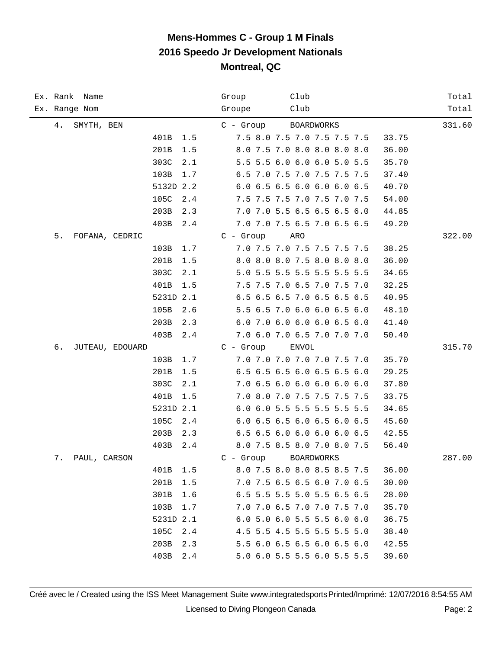|    | Ex. Rank Name   |               | Group       | Club                        | Total  |
|----|-----------------|---------------|-------------|-----------------------------|--------|
|    | Ex. Range Nom   |               | Groupe      | Club                        | Total  |
| 4. | SMYTH, BEN      |               | C - Group   | BOARDWORKS                  | 331.60 |
|    |                 | 401B<br>1.5   |             | 7.5 8.0 7.5 7.0 7.5 7.5 7.5 | 33.75  |
|    |                 | 201B<br>1.5   |             | 8.0 7.5 7.0 8.0 8.0 8.0 8.0 | 36.00  |
|    |                 | 303C<br>2.1   |             | 5.5 5.5 6.0 6.0 6.0 5.0 5.5 | 35.70  |
|    |                 | 103B<br>1.7   |             | 6.5 7.0 7.5 7.0 7.5 7.5 7.5 | 37.40  |
|    |                 | 5132D 2.2     |             | 6.0 6.5 6.5 6.0 6.0 6.0 6.5 | 40.70  |
|    |                 | 105C<br>2.4   |             | 7.5 7.5 7.5 7.0 7.5 7.0 7.5 | 54.00  |
|    |                 | 203B<br>2.3   |             | 7.0 7.0 5.5 6.5 6.5 6.5 6.0 | 44.85  |
|    |                 | 403B<br>2.4   |             | 7.0 7.0 7.5 6.5 7.0 6.5 6.5 | 49.20  |
| 5. | FOFANA, CEDRIC  |               | $C -$ Group | ARO                         | 322.00 |
|    |                 | 103B<br>1.7   |             | 7.0 7.5 7.0 7.5 7.5 7.5 7.5 | 38.25  |
|    |                 | 201B<br>1.5   |             | 8.0 8.0 8.0 7.5 8.0 8.0 8.0 | 36.00  |
|    |                 | 303C<br>2.1   |             | 5.0 5.5 5.5 5.5 5.5 5.5 5.5 | 34.65  |
|    |                 | 401B<br>1.5   |             | 7.5 7.5 7.0 6.5 7.0 7.5 7.0 | 32.25  |
|    |                 | 5231D 2.1     |             | 6.5 6.5 6.5 7.0 6.5 6.5 6.5 | 40.95  |
|    |                 | 105B<br>2.6   |             | 5.5 6.5 7.0 6.0 6.0 6.5 6.0 | 48.10  |
|    |                 | 203B<br>2.3   |             | 6.0 7.0 6.0 6.0 6.0 6.5 6.0 | 41.40  |
|    |                 | 403B<br>2.4   |             | 7.0 6.0 7.0 6.5 7.0 7.0 7.0 | 50.40  |
| б. | JUTEAU, EDOUARD |               | $C -$ Group | ENVOL                       | 315.70 |
|    |                 | 103B<br>1.7   |             | 7.0 7.0 7.0 7.0 7.0 7.5 7.0 | 35.70  |
|    |                 | 201B<br>1.5   |             | 6.5 6.5 6.5 6.0 6.5 6.5 6.0 | 29.25  |
|    |                 | 303C<br>2.1   |             | 7.0 6.5 6.0 6.0 6.0 6.0 6.0 | 37.80  |
|    |                 | 401B<br>1.5   |             | 7.0 8.0 7.0 7.5 7.5 7.5 7.5 | 33.75  |
|    |                 | 5231D 2.1     |             | 6.0 6.0 5.5 5.5 5.5 5.5 5.5 | 34.65  |
|    |                 | 105C<br>2.4   |             | 6.0 6.5 6.5 6.0 6.5 6.0 6.5 | 45.60  |
|    |                 | 203B<br>2.3   |             | 6.5 6.5 6.0 6.0 6.0 6.0 6.5 | 42.55  |
|    |                 | 403B<br>2.4   |             | 8.0 7.5 8.5 8.0 7.0 8.0 7.5 | 56.40  |
| 7. | PAUL, CARSON    |               | $C -$ Group | <b>BOARDWORKS</b>           | 287.00 |
|    |                 | 401B<br>1.5   |             | 8.0 7.5 8.0 8.0 8.5 8.5 7.5 | 36.00  |
|    |                 | 201B<br>1.5   |             | 7.0 7.5 6.5 6.5 6.0 7.0 6.5 | 30.00  |
|    |                 | 301B<br>1.6   |             | 6.5 5.5 5.5 5.0 5.5 6.5 6.5 | 28.00  |
|    |                 | 103B<br>1.7   |             | 7.0 7.0 6.5 7.0 7.0 7.5 7.0 | 35.70  |
|    |                 | 5231D 2.1     |             | 6.0 5.0 6.0 5.5 5.5 6.0 6.0 | 36.75  |
|    |                 | 105C<br>2.4   |             | 4.5 5.5 4.5 5.5 5.5 5.5 5.0 | 38.40  |
|    |                 | 203B<br>2.3   |             | 5.5 6.0 6.5 6.5 6.0 6.5 6.0 | 42.55  |
|    |                 | 403B<br>$2.4$ |             | 5.0 6.0 5.5 5.5 6.0 5.5 5.5 | 39.60  |

Créé avec le / Created using the ISS Meet Management Suite www.integratedsports Printed/Imprimé: 12/07/2016 8:54:55 AM Licensed to Diving Plongeon Canada Page: 2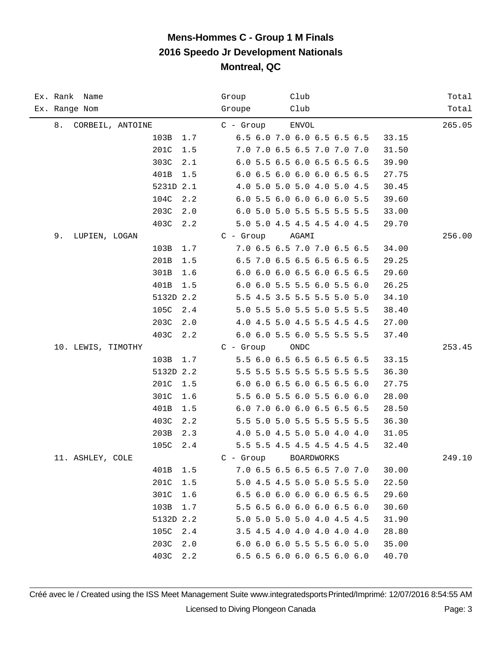| Ex. Rank Name          | Club<br>Group                        | Total  |
|------------------------|--------------------------------------|--------|
| Ex. Range Nom          | Club<br>Groupe                       | Total  |
| CORBEIL, ANTOINE<br>8. | ENVOL<br>$C -$ Group                 | 265.05 |
| 103B<br>1.7            | 6.5 6.0 7.0 6.0 6.5 6.5 6.5<br>33.15 |        |
| 201C<br>1.5            | 7.0 7.0 6.5 6.5 7.0 7.0 7.0<br>31.50 |        |
| 303C<br>2.1            | 6.0 5.5 6.5 6.0 6.5 6.5 6.5<br>39.90 |        |
| 401B<br>1.5            | 6.0 6.5 6.0 6.0 6.0 6.5 6.5<br>27.75 |        |
| 5231D 2.1              | 4.0 5.0 5.0 5.0 4.0 5.0 4.5<br>30.45 |        |
| 104C<br>2.2            | 6.0 5.5 6.0 6.0 6.0 6.0 5.5<br>39.60 |        |
| 203C<br>2.0            | 6.0 5.0 5.0 5.5 5.5 5.5 5.5<br>33.00 |        |
| 403C<br>2.2            | 5.0 5.0 4.5 4.5 4.5 4.0 4.5<br>29.70 |        |
| 9.<br>LUPIEN, LOGAN    | $C - Group$<br>AGAMI                 | 256.00 |
| 103B<br>1.7            | 7.0 6.5 6.5 7.0 7.0 6.5 6.5<br>34.00 |        |
| 201B<br>1.5            | 6.5 7.0 6.5 6.5 6.5 6.5 6.5<br>29.25 |        |
| 301B<br>1.6            | 6.0 6.0 6.0 6.5 6.0 6.5 6.5<br>29.60 |        |
| 401B<br>1.5            | 6.0 6.0 5.5 5.5 6.0 5.5 6.0<br>26.25 |        |
| 5132D 2.2              | 5.5 4.5 3.5 5.5 5.5 5.0 5.0<br>34.10 |        |
| 105C<br>2.4            | 5.0 5.5 5.0 5.5 5.0 5.5 5.5<br>38.40 |        |
| 203C<br>2.0            | 4.0 4.5 5.0 4.5 5.5 4.5 4.5<br>27.00 |        |
| 403C<br>2.2            | 6.0 6.0 5.5 6.0 5.5 5.5 5.5<br>37.40 |        |
| 10. LEWIS, TIMOTHY     | $C -$ Group<br>ONDC                  | 253.45 |
| 103B<br>1.7            | 5.5 6.0 6.5 6.5 6.5 6.5 6.5<br>33.15 |        |
| 5132D 2.2              | 5.5 5.5 5.5 5.5 5.5 5.5 5.5<br>36.30 |        |
| 201C<br>1.5            | 6.0 6.0 6.5 6.0 6.5 6.5 6.0<br>27.75 |        |
| 301C<br>1.6            | 5.5 6.0 5.5 6.0 5.5 6.0 6.0<br>28.00 |        |
| 401B<br>1.5            | 6.0 7.0 6.0 6.0 6.5 6.5 6.5<br>28.50 |        |
| 403C<br>2.2            | 5.5 5.0 5.0 5.5 5.5 5.5 5.5<br>36.30 |        |
| 203B<br>2.3            | 4.0 5.0 4.5 5.0 5.0 4.0 4.0<br>31.05 |        |
| 105C<br>2.4            | 5.5 5.5 4.5 4.5 4.5 4.5 4.5<br>32.40 |        |
| 11. ASHLEY, COLE       | $C -$ Group<br><b>BOARDWORKS</b>     | 249.10 |
| 401B<br>1.5            | 7.0 6.5 6.5 6.5 6.5 7.0 7.0<br>30.00 |        |
| 201C<br>1.5            | 5.0 4.5 4.5 5.0 5.0 5.5 5.0<br>22.50 |        |
| 301C<br>1.6            | 6.5 6.0 6.0 6.0 6.0 6.5 6.5<br>29.60 |        |
| 103B<br>1.7            | 5.5 6.5 6.0 6.0 6.0 6.5 6.0<br>30.60 |        |
| 5132D 2.2              | 5.0 5.0 5.0 5.0 4.0 4.5 4.5<br>31.90 |        |
| 105C<br>2.4            | 3.5 4.5 4.0 4.0 4.0 4.0 4.0<br>28.80 |        |
| 203C<br>2.0            | 6.0 6.0 6.0 5.5 5.5 6.0 5.0<br>35.00 |        |
| 403C<br>2.2            | 6.5 6.5 6.0 6.0 6.5 6.0 6.0<br>40.70 |        |

Créé avec le / Created using the ISS Meet Management Suite www.integratedsports Printed/Imprimé: 12/07/2016 8:54:55 AM Licensed to Diving Plongeon Canada Page: 3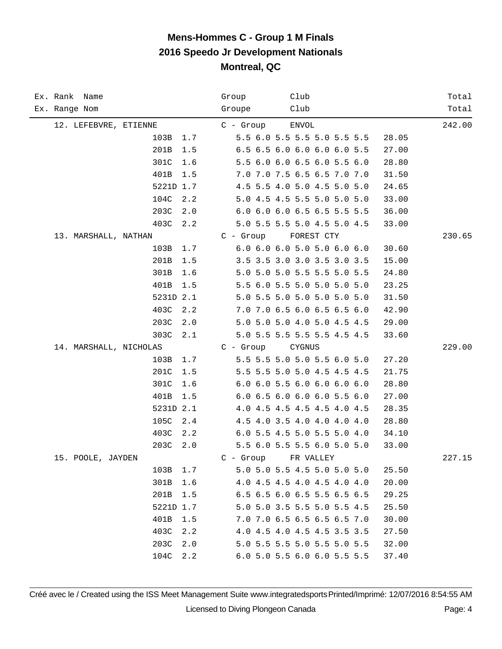| Ex. Rank Name          |             | Group       | Club                        | Total  |
|------------------------|-------------|-------------|-----------------------------|--------|
| Ex. Range Nom          |             | Groupe      | Club                        | Total  |
| 12. LEFEBVRE, ETIENNE  |             | C - Group   | ENVOL                       | 242.00 |
|                        | 103B<br>1.7 |             | 5.5 6.0 5.5 5.5 5.0 5.5 5.5 | 28.05  |
|                        | 201B<br>1.5 |             | 6.5 6.5 6.0 6.0 6.0 6.0 5.5 | 27.00  |
|                        | 301C<br>1.6 |             | 5.5 6.0 6.0 6.5 6.0 5.5 6.0 | 28.80  |
|                        | 401B<br>1.5 |             | 7.0 7.0 7.5 6.5 6.5 7.0 7.0 | 31.50  |
|                        | 5221D 1.7   |             | 4.5 5.5 4.0 5.0 4.5 5.0 5.0 | 24.65  |
|                        | 104C<br>2.2 |             | 5.0 4.5 4.5 5.5 5.0 5.0 5.0 | 33.00  |
|                        | 203C<br>2.0 |             | 6.0 6.0 6.0 6.5 6.5 5.5 5.5 | 36.00  |
|                        | 403C<br>2.2 |             | 5.0 5.5 5.5 5.0 4.5 5.0 4.5 | 33.00  |
| 13. MARSHALL, NATHAN   |             | $C - Group$ | FOREST CTY                  | 230.65 |
|                        | 103B<br>1.7 |             | 6.0 6.0 6.0 5.0 5.0 6.0 6.0 | 30.60  |
|                        | 201B<br>1.5 |             | 3.5 3.5 3.0 3.0 3.5 3.0 3.5 | 15.00  |
|                        | 301B<br>1.6 |             | 5.0 5.0 5.0 5.5 5.5 5.0 5.5 | 24.80  |
|                        | 401B<br>1.5 |             | 5.5 6.0 5.5 5.0 5.0 5.0 5.0 | 23.25  |
|                        | 5231D 2.1   |             | 5.0 5.5 5.0 5.0 5.0 5.0 5.0 | 31.50  |
|                        | 403C<br>2.2 |             | 7.0 7.0 6.5 6.0 6.5 6.5 6.0 | 42.90  |
|                        | 203C<br>2.0 |             | 5.0 5.0 5.0 4.0 5.0 4.5 4.5 | 29.00  |
|                        | 303C<br>2.1 |             | 5.0 5.5 5.5 5.5 5.5 4.5 4.5 | 33.60  |
| 14. MARSHALL, NICHOLAS |             | $C -$ Group | CYGNUS                      | 229.00 |
|                        | 103B<br>1.7 |             | 5.5 5.5 5.0 5.0 5.5 6.0 5.0 | 27.20  |
|                        | 201C<br>1.5 |             | 5.5 5.5 5.0 5.0 4.5 4.5 4.5 | 21.75  |
|                        | 301C<br>1.6 |             | 6.0 6.0 5.5 6.0 6.0 6.0 6.0 | 28.80  |
|                        | 401B<br>1.5 |             | 6.0 6.5 6.0 6.0 6.0 5.5 6.0 | 27.00  |
|                        | 5231D 2.1   |             | 4.0 4.5 4.5 4.5 4.5 4.0 4.5 | 28.35  |
|                        | 105C<br>2.4 |             | 4.5 4.0 3.5 4.0 4.0 4.0 4.0 | 28.80  |
|                        | 403C<br>2.2 |             | 6.0 5.5 4.5 5.0 5.5 5.0 4.0 | 34.10  |
|                        | 203C<br>2.0 |             | 5.5 6.0 5.5 5.5 6.0 5.0 5.0 | 33.00  |
| 15. POOLE, JAYDEN      |             | $C -$ Group | FR VALLEY                   | 227.15 |
|                        | 103B<br>1.7 |             | 5.0 5.0 5.5 4.5 5.0 5.0 5.0 | 25.50  |
|                        | 301B<br>1.6 |             | 4.0 4.5 4.5 4.0 4.5 4.0 4.0 | 20.00  |
|                        | 201B<br>1.5 |             | 6.5 6.5 6.0 6.5 5.5 6.5 6.5 | 29.25  |
|                        | 5221D 1.7   |             | 5.0 5.0 3.5 5.5 5.0 5.5 4.5 | 25.50  |
|                        | 401B<br>1.5 |             | 7.0 7.0 6.5 6.5 6.5 6.5 7.0 | 30.00  |
|                        | 403C<br>2.2 |             | 4.0 4.5 4.0 4.5 4.5 3.5 3.5 | 27.50  |
|                        | 203C<br>2.0 |             | 5.0 5.5 5.5 5.0 5.5 5.0 5.5 | 32.00  |
|                        | 104C<br>2.2 |             | 6.0 5.0 5.5 6.0 6.0 5.5 5.5 | 37.40  |

Créé avec le / Created using the ISS Meet Management Suite www.integratedsports Printed/Imprimé: 12/07/2016 8:54:55 AM Licensed to Diving Plongeon Canada Page: 4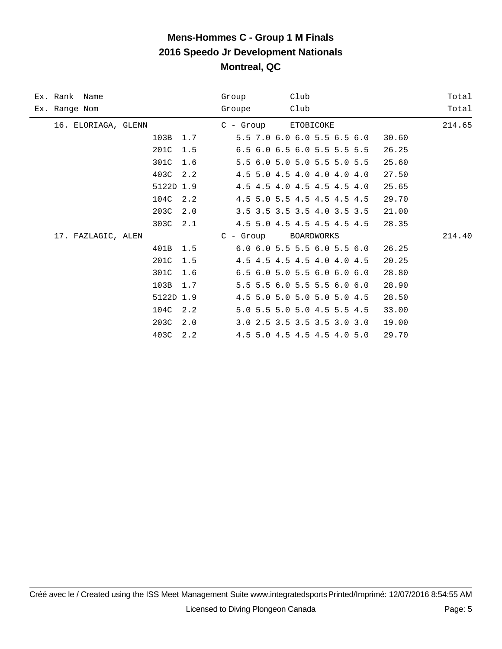|               | Ex. Rank Name       |           |     | Group      | Club |                                           |       | Total  |
|---------------|---------------------|-----------|-----|------------|------|-------------------------------------------|-------|--------|
| Ex. Range Nom |                     |           |     | Groupe     | Club |                                           |       | Total  |
|               | 16. ELORIAGA, GLENN |           |     | $C - Grow$ |      | ETOBICOKE                                 |       | 214.65 |
|               |                     | 103B      | 1.7 |            |      | 5.5 7.0 6.0 6.0 5.5 6.5 6.0               | 30.60 |        |
|               |                     | 201C      | 1.5 |            |      | 6.5 6.0 6.5 6.0 5.5 5.5 5.5               | 26.25 |        |
|               |                     | 301C      | 1.6 |            |      | 5.5 6.0 5.0 5.0 5.5 5.0 5.5               | 25.60 |        |
|               |                     | 403C      | 2.2 |            |      | 4.5 5.0 4.5 4.0 4.0 4.0 4.0               | 27.50 |        |
|               |                     | 5122D 1.9 |     |            |      | 4.5 4.5 4.0 4.5 4.5 4.5 4.0               | 25.65 |        |
|               |                     | 104C      | 2.2 |            |      | 4.5 5.0 5.5 4.5 4.5 4.5 4.5               | 29.70 |        |
|               |                     | 203C      | 2.0 |            |      | 3.5 3.5 3.5 3.5 4.0 3.5 3.5               | 21.00 |        |
|               |                     | 303C      | 2.1 |            |      | 4.5 5.0 4.5 4.5 4.5 4.5 4.5               | 28.35 |        |
|               | 17. FAZLAGIC, ALEN  |           |     | $C - Grow$ |      | BOARDWORKS                                |       | 214.40 |
|               |                     | 401B      | 1.5 |            |      | 6.0 6.0 5.5 5.5 6.0 5.5 6.0               | 26.25 |        |
|               |                     | 201C      | 1.5 |            |      | 4.5 4.5 4.5 4.5 4.0 4.0 4.5               | 20.25 |        |
|               |                     | 301C      | 1.6 |            |      | $6.5$ $6.0$ $5.0$ $5.5$ $6.0$ $6.0$ $6.0$ | 28.80 |        |
|               |                     | 103B      | 1.7 |            |      | 5.5 5.5 6.0 5.5 5.5 6.0 6.0               | 28.90 |        |
|               |                     | 5122D 1.9 |     |            |      | 4.5 5.0 5.0 5.0 5.0 5.0 4.5               | 28.50 |        |
|               |                     | 104C      | 2.2 |            |      | 5.0 5.5 5.0 5.0 4.5 5.5 4.5               | 33.00 |        |
|               |                     | 203C      | 2.0 |            |      | 3.0 2.5 3.5 3.5 3.5 3.0 3.0               | 19.00 |        |
|               |                     | 403C      | 2.2 |            |      | 4.5 5.0 4.5 4.5 4.5 4.0 5.0               | 29.70 |        |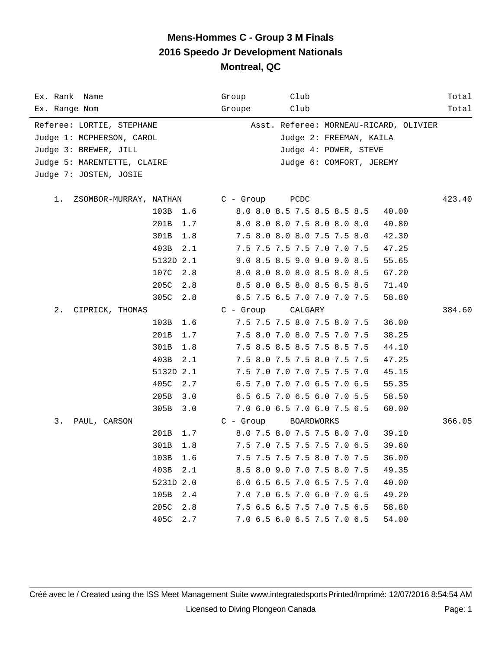| Ex. Rank Name                |             | Club<br>Group                          | Total  |
|------------------------------|-------------|----------------------------------------|--------|
| Ex. Range Nom                |             | Groupe<br>Club                         | Total  |
| Referee: LORTIE, STEPHANE    |             | Asst. Referee: MORNEAU-RICARD, OLIVIER |        |
| Judge 1: MCPHERSON, CAROL    |             | Judge 2: FREEMAN, KAILA                |        |
| Judge 3: BREWER, JILL        |             | Judge 4: POWER, STEVE                  |        |
| Judge 5: MARENTETTE, CLAIRE  |             | Judge 6: COMFORT, JEREMY               |        |
| Judge 7: JOSTEN, JOSIE       |             |                                        |        |
|                              |             |                                        |        |
| 1.<br>ZSOMBOR-MURRAY, NATHAN |             | $C - Group$<br>PCDC                    | 423.40 |
|                              | 103B<br>1.6 | 8.0 8.0 8.5 7.5 8.5 8.5 8.5<br>40.00   |        |
|                              | 201B<br>1.7 | 8.0 8.0 8.0 7.5 8.0 8.0 8.0<br>40.80   |        |
|                              | 301B<br>1.8 | 7.5 8.0 8.0 8.0 7.5 7.5 8.0<br>42.30   |        |
|                              | 403B<br>2.1 | 7.5 7.5 7.5 7.5 7.0 7.0 7.5<br>47.25   |        |
|                              | 5132D 2.1   | 9.0 8.5 8.5 9.0 9.0 9.0 8.5<br>55.65   |        |
|                              | 107C<br>2.8 | 8.0 8.0 8.0 8.0 8.5 8.0 8.5<br>67.20   |        |
|                              | 205C<br>2.8 | 8.5 8.0 8.5 8.0 8.5 8.5 8.5<br>71.40   |        |
|                              | 305C<br>2.8 | 6.5 7.5 6.5 7.0 7.0 7.0 7.5<br>58.80   |        |
| $2$ .<br>CIPRICK, THOMAS     |             | $C - Group$<br>CALGARY                 | 384.60 |
|                              | 103B<br>1.6 | 7.5 7.5 7.5 8.0 7.5 8.0 7.5<br>36.00   |        |
|                              | 201B<br>1.7 | 7.5 8.0 7.0 8.0 7.5 7.0 7.5<br>38.25   |        |
|                              | 301B<br>1.8 | 7.5 8.5 8.5 8.5 7.5 8.5 7.5<br>44.10   |        |
|                              | 403B<br>2.1 | 7.5 8.0 7.5 7.5 8.0 7.5 7.5<br>47.25   |        |
|                              | 5132D 2.1   | 7.5 7.0 7.0 7.0 7.5 7.5 7.0<br>45.15   |        |
|                              | 405C<br>2.7 | 6.5 7.0 7.0 7.0 6.5 7.0 6.5<br>55.35   |        |
|                              | 205B<br>3.0 | 6.5 6.5 7.0 6.5 6.0 7.0 5.5<br>58.50   |        |
|                              | 305B<br>3.0 | 7.0 6.0 6.5 7.0 6.0 7.5 6.5<br>60.00   |        |
| 3.<br>PAUL, CARSON           |             | $C - Group$<br>BOARDWORKS              | 366.05 |
|                              | 201B<br>1.7 | 8.0 7.5 8.0 7.5 7.5 8.0 7.0<br>39.10   |        |
|                              | 301B<br>1.8 | 7.5 7.0 7.5 7.5 7.5 7.0 6.5<br>39.60   |        |
|                              | 103B<br>1.6 | 7.5 7.5 7.5 7.5 8.0 7.0 7.5<br>36.00   |        |
|                              | 403B<br>2.1 | 8.5 8.0 9.0 7.0 7.5 8.0 7.5<br>49.35   |        |
|                              | 5231D 2.0   | 6.0 6.5 6.5 7.0 6.5 7.5 7.0<br>40.00   |        |
|                              | 105B<br>2.4 | 7.0 7.0 6.5 7.0 6.0 7.0 6.5<br>49.20   |        |
|                              | 205C<br>2.8 | 7.5 6.5 6.5 7.5 7.0 7.5 6.5<br>58.80   |        |
|                              | 405C<br>2.7 | 54.00<br>7.0 6.5 6.0 6.5 7.5 7.0 6.5   |        |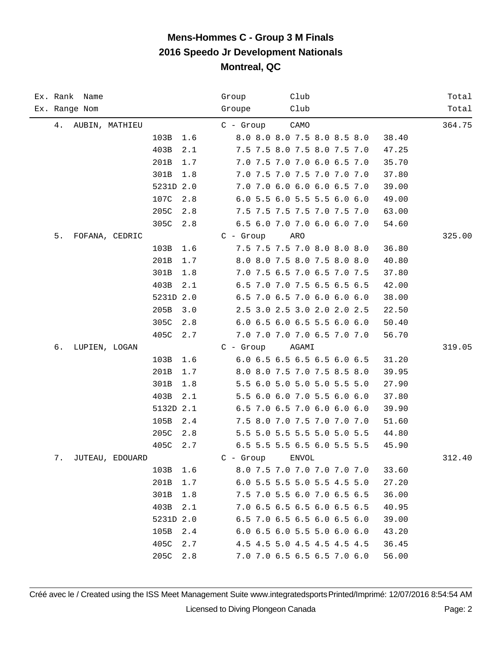| Ex. Rank Name            | Group<br>Club                        | Total  |
|--------------------------|--------------------------------------|--------|
| Ex. Range Nom            | Club<br>Groupe                       | Total  |
| 4.<br>AUBIN, MATHIEU     | $C -$ Group<br>CAMO                  | 364.75 |
| 103B<br>1.6              | 8.0 8.0 8.0 7.5 8.0 8.5 8.0<br>38.40 |        |
| 403B<br>2.1              | 7.5 7.5 8.0 7.5 8.0 7.5 7.0<br>47.25 |        |
| 201B<br>1.7              | 7.0 7.5 7.0 7.0 6.0 6.5 7.0<br>35.70 |        |
| 301B<br>1.8              | 7.0 7.5 7.0 7.5 7.0 7.0 7.0<br>37.80 |        |
| 5231D 2.0                | 7.0 7.0 6.0 6.0 6.0 6.5 7.0<br>39.00 |        |
| 107C<br>2.8              | 6.0 5.5 6.0 5.5 5.5 6.0 6.0<br>49.00 |        |
| 205C<br>2.8              | 7.5 7.5 7.5 7.5 7.0 7.5 7.0<br>63.00 |        |
| 305C<br>2.8              | 6.5 6.0 7.0 7.0 6.0 6.0 7.0<br>54.60 |        |
| 5.<br>FOFANA, CEDRIC     | $C - Growp$<br>ARO                   | 325.00 |
| 103B<br>1.6              | 7.5 7.5 7.5 7.0 8.0 8.0 8.0<br>36.80 |        |
| 201B<br>1.7              | 8.0 8.0 7.5 8.0 7.5 8.0 8.0<br>40.80 |        |
| 301B<br>1.8              | 7.0 7.5 6.5 7.0 6.5 7.0 7.5<br>37.80 |        |
| 403B<br>2.1              | 6.5 7.0 7.0 7.5 6.5 6.5 6.5<br>42.00 |        |
| 5231D 2.0                | 6.5 7.0 6.5 7.0 6.0 6.0 6.0<br>38.00 |        |
| 205B<br>3.0              | 2.5 3.0 2.5 3.0 2.0 2.0 2.5<br>22.50 |        |
| 305C<br>2.8              | 6.0 6.5 6.0 6.5 5.5 6.0 6.0<br>50.40 |        |
| 405C<br>2.7              | 7.0 7.0 7.0 7.0 6.5 7.0 7.0<br>56.70 |        |
| б.<br>LUPIEN, LOGAN      | $C - Growp$<br>AGAMI                 | 319.05 |
| 103B<br>1.6              | 6.0 6.5 6.5 6.5 6.5 6.0 6.5<br>31.20 |        |
| 201B<br>1.7              | 8.0 8.0 7.5 7.0 7.5 8.5 8.0<br>39.95 |        |
| 301B<br>1.8              | 5.5 6.0 5.0 5.0 5.0 5.5 5.0<br>27.90 |        |
| 403B<br>2.1              | 5.5 6.0 6.0 7.0 5.5 6.0 6.0<br>37.80 |        |
| 5132D 2.1                | 6.5 7.0 6.5 7.0 6.0 6.0 6.0<br>39.90 |        |
| 105B<br>2.4              | 7.5 8.0 7.0 7.5 7.0 7.0 7.0<br>51.60 |        |
| 205C<br>2.8              | 5.5 5.0 5.5 5.5 5.0 5.0 5.5<br>44.80 |        |
| 405C<br>2.7              | 6.5 5.5 5.5 6.5 6.0 5.5 5.5<br>45.90 |        |
| $7$ .<br>JUTEAU, EDOUARD | $C -$ Group<br><b>ENVOL</b>          | 312.40 |
| 1.6<br>103B              | 8.0 7.5 7.0 7.0 7.0 7.0 7.0<br>33.60 |        |
| 201B<br>1.7              | 6.0 5.5 5.5 5.0 5.5 4.5 5.0<br>27.20 |        |
| 301B<br>1.8              | 7.5 7.0 5.5 6.0 7.0 6.5 6.5<br>36.00 |        |
| 403B<br>2.1              | 7.0 6.5 6.5 6.5 6.0 6.5 6.5<br>40.95 |        |
| 5231D 2.0                | 6.5 7.0 6.5 6.5 6.0 6.5 6.0<br>39.00 |        |
| 105B<br>2.4              | 6.0 6.5 6.0 5.5 5.0 6.0 6.0<br>43.20 |        |
| 405C<br>2.7              | 4.5 4.5 5.0 4.5 4.5 4.5 4.5<br>36.45 |        |
| 205C<br>2.8              | 7.0 7.0 6.5 6.5 6.5 7.0 6.0<br>56.00 |        |

Créé avec le / Created using the ISS Meet Management Suite www.integratedsports Printed/Imprimé: 12/07/2016 8:54:54 AM Licensed to Diving Plongeon Canada Page: 2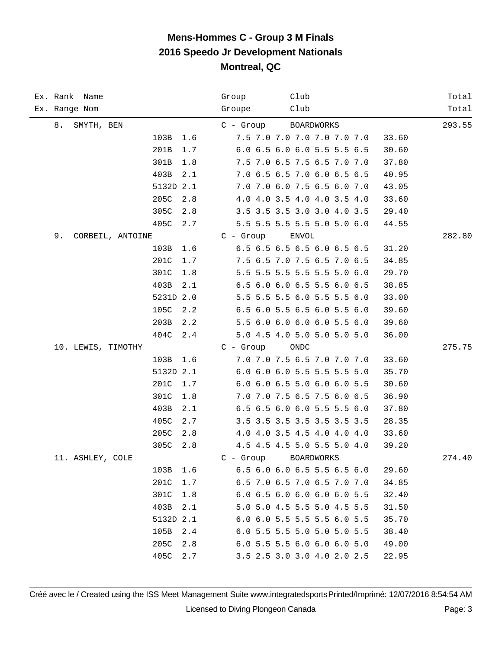| Ex. Rank Name          |           | Group       | Club                        | Total  |
|------------------------|-----------|-------------|-----------------------------|--------|
| Ex. Range Nom          |           | Groupe      | Club                        | Total  |
| 8.<br>SMYTH, BEN       |           | C - Group   | BOARDWORKS                  | 293.55 |
| 103B                   | 1.6       |             | 7.5 7.0 7.0 7.0 7.0 7.0 7.0 | 33.60  |
| 201B                   | 1.7       |             | 6.0 6.5 6.0 6.0 5.5 5.5 6.5 | 30.60  |
| 301B                   | 1.8       |             | 7.5 7.0 6.5 7.5 6.5 7.0 7.0 | 37.80  |
| 403B                   | 2.1       |             | 7.0 6.5 6.5 7.0 6.0 6.5 6.5 | 40.95  |
|                        | 5132D 2.1 |             | 7.0 7.0 6.0 7.5 6.5 6.0 7.0 | 43.05  |
| 205C                   | 2.8       |             | 4.0 4.0 3.5 4.0 4.0 3.5 4.0 | 33.60  |
| 305C                   | 2.8       |             | 3.5 3.5 3.5 3.0 3.0 4.0 3.5 | 29.40  |
| 405C                   | 2.7       |             | 5.5 5.5 5.5 5.5 5.0 5.0 6.0 | 44.55  |
| 9.<br>CORBEIL, ANTOINE |           | $C -$ Group | <b>ENVOL</b>                | 282.80 |
| 103B                   | 1.6       |             | 6.5 6.5 6.5 6.5 6.0 6.5 6.5 | 31.20  |
| 201C                   | 1.7       |             | 7.5 6.5 7.0 7.5 6.5 7.0 6.5 | 34.85  |
| 301C                   | 1.8       |             | 5.5 5.5 5.5 5.5 5.5 5.0 6.0 | 29.70  |
| 403B                   | 2.1       |             | 6.5 6.0 6.0 6.5 5.5 6.0 6.5 | 38.85  |
|                        | 5231D 2.0 |             | 5.5 5.5 5.5 6.0 5.5 5.5 6.0 | 33.00  |
| 105C                   | 2.2       |             | 6.5 6.0 5.5 6.5 6.0 5.5 6.0 | 39.60  |
| 203B                   | 2.2       |             | 5.5 6.0 6.0 6.0 6.0 5.5 6.0 | 39.60  |
| 404C                   | 2.4       |             | 5.0 4.5 4.0 5.0 5.0 5.0 5.0 | 36.00  |
| 10. LEWIS, TIMOTHY     |           | $C -$ Group | ONDC                        | 275.75 |
| 103B                   | 1.6       |             | 7.0 7.0 7.5 6.5 7.0 7.0 7.0 | 33.60  |
|                        | 5132D 2.1 |             | 6.0 6.0 6.0 5.5 5.5 5.5 5.0 | 35.70  |
| 201C                   | 1.7       |             | 6.0 6.0 6.5 5.0 6.0 6.0 5.5 | 30.60  |
| 301C                   | 1.8       |             | 7.0 7.0 7.5 6.5 7.5 6.0 6.5 | 36.90  |
| 403B                   | 2.1       |             | 6.5 6.5 6.0 6.0 5.5 5.5 6.0 | 37.80  |
| 405C                   | 2.7       |             | 3.5 3.5 3.5 3.5 3.5 3.5 3.5 | 28.35  |
| 205C                   | 2.8       |             | 4.0 4.0 3.5 4.5 4.0 4.0 4.0 | 33.60  |
| 305C                   | 2.8       |             | 4.5 4.5 4.5 5.0 5.5 5.0 4.0 | 39.20  |
| 11. ASHLEY, COLE       |           | $C -$ Group | <b>BOARDWORKS</b>           | 274.40 |
| 103B                   | 1.6       |             | 6.5 6.0 6.0 6.5 5.5 6.5 6.0 | 29.60  |
| 201C                   | 1.7       |             | 6.5 7.0 6.5 7.0 6.5 7.0 7.0 | 34.85  |
| 301C                   | 1.8       |             | 6.0 6.5 6.0 6.0 6.0 6.0 5.5 | 32.40  |
| 403B                   | 2.1       |             | 5.0 5.0 4.5 5.5 5.0 4.5 5.5 | 31.50  |
|                        | 5132D 2.1 |             | 6.0 6.0 5.5 5.5 5.5 6.0 5.5 | 35.70  |
| 105B                   | 2.4       |             | 6.0 5.5 5.5 5.0 5.0 5.0 5.5 | 38.40  |
| 205C                   | 2.8       |             | 6.0 5.5 5.5 6.0 6.0 6.0 5.0 | 49.00  |
| 405C                   | 2.7       |             | 3.5 2.5 3.0 3.0 4.0 2.0 2.5 | 22.95  |

Créé avec le / Created using the ISS Meet Management Suite www.integratedsports Printed/Imprimé: 12/07/2016 8:54:54 AM Licensed to Diving Plongeon Canada Page: 3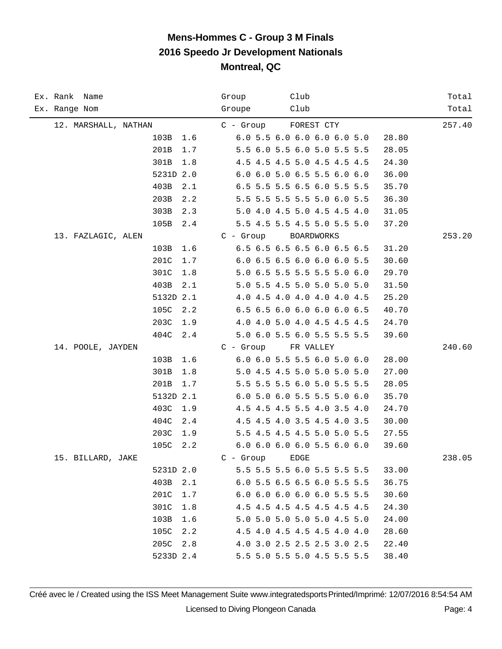| Ex. Rank Name        | Group<br>Club                        | Total  |
|----------------------|--------------------------------------|--------|
| Ex. Range Nom        | Groupe<br>Club                       | Total  |
| 12. MARSHALL, NATHAN | FOREST CTY<br>C - Group              | 257.40 |
| 103B<br>1.6          | 6.0 5.5 6.0 6.0 6.0 6.0 5.0<br>28.80 |        |
| 201B<br>1.7          | 5.5 6.0 5.5 6.0 5.0 5.5 5.5<br>28.05 |        |
| 301B<br>1.8          | 4.5 4.5 4.5 5.0 4.5 4.5 4.5<br>24.30 |        |
| 5231D 2.0            | 6.0 6.0 5.0 6.5 5.5 6.0 6.0<br>36.00 |        |
| 403B<br>2.1          | 6.5 5.5 5.5 6.5 6.0 5.5 5.5<br>35.70 |        |
| 203B<br>2.2          | 5.5 5.5 5.5 5.5 5.0 6.0 5.5<br>36.30 |        |
| 303B<br>2.3          | 5.0 4.0 4.5 5.0 4.5 4.5 4.0<br>31.05 |        |
| 105B<br>2.4          | 5.5 4.5 5.5 4.5 5.0 5.5 5.0<br>37.20 |        |
| 13. FAZLAGIC, ALEN   | $C - Group$<br>BOARDWORKS            | 253.20 |
| 103B<br>1.6          | 6.5 6.5 6.5 6.5 6.0 6.5 6.5<br>31.20 |        |
| 201C<br>1.7          | 6.0 6.5 6.5 6.0 6.0 6.0 5.5<br>30.60 |        |
| 301C<br>1.8          | 5.0 6.5 5.5 5.5 5.5 5.0 6.0<br>29.70 |        |
| 403B<br>2.1          | 5.0 5.5 4.5 5.0 5.0 5.0 5.0<br>31.50 |        |
| 5132D 2.1            | 4.0 4.5 4.0 4.0 4.0 4.0 4.5<br>25.20 |        |
| 105C<br>2.2          | 6.5 6.5 6.0 6.0 6.0 6.0 6.5<br>40.70 |        |
| 203C<br>1.9          | 4.0 4.0 5.0 4.0 4.5 4.5 4.5<br>24.70 |        |
| 404C<br>2.4          | 5.0 6.0 5.5 6.0 5.5 5.5 5.5<br>39.60 |        |
| 14. POOLE, JAYDEN    | $C - Group$<br>FR VALLEY             | 240.60 |
| 103B<br>1.6          | 6.0 6.0 5.5 5.5 6.0 5.0 6.0<br>28.00 |        |
| 301B<br>1.8          | 5.0 4.5 4.5 5.0 5.0 5.0 5.0<br>27.00 |        |
| 201B<br>1.7          | 5.5 5.5 5.5 6.0 5.0 5.5 5.5<br>28.05 |        |
| 5132D 2.1            | 6.0 5.0 6.0 5.5 5.5 5.0 6.0<br>35.70 |        |
| 403C<br>1.9          | 4.5 4.5 4.5 5.5 4.0 3.5 4.0<br>24.70 |        |
| 404C<br>2.4          | 4.5 4.5 4.0 3.5 4.5 4.0 3.5<br>30.00 |        |
| 203C<br>1.9          | 5.5 4.5 4.5 4.5 5.0 5.0 5.5<br>27.55 |        |
| 105C<br>2.2          | 6.0 6.0 6.0 6.0 5.5 6.0 6.0<br>39.60 |        |
| 15. BILLARD, JAKE    | $C -$ Group<br>EDGE                  | 238.05 |
| 5231D 2.0            | 5.5 5.5 5.5 6.0 5.5 5.5 5.5<br>33.00 |        |
| 403B<br>2.1          | 6.0 5.5 6.5 6.5 6.0 5.5 5.5<br>36.75 |        |
| 201C<br>1.7          | 6.0 6.0 6.0 6.0 6.0 5.5 5.5<br>30.60 |        |
| 301C<br>1.8          | 4.5 4.5 4.5 4.5 4.5 4.5 4.5<br>24.30 |        |
| 103B<br>1.6          | 5.0 5.0 5.0 5.0 5.0 4.5 5.0<br>24.00 |        |
| 105C<br>2.2          | 4.5 4.0 4.5 4.5 4.5 4.0 4.0<br>28.60 |        |
| 205C<br>2.8          | 4.0 3.0 2.5 2.5 2.5 3.0 2.5<br>22.40 |        |
| 5233D 2.4            | 5.5 5.0 5.5 5.0 4.5 5.5 5.5<br>38.40 |        |

Créé avec le / Created using the ISS Meet Management Suite www.integratedsports Printed/Imprimé: 12/07/2016 8:54:54 AM Licensed to Diving Plongeon Canada Page: 4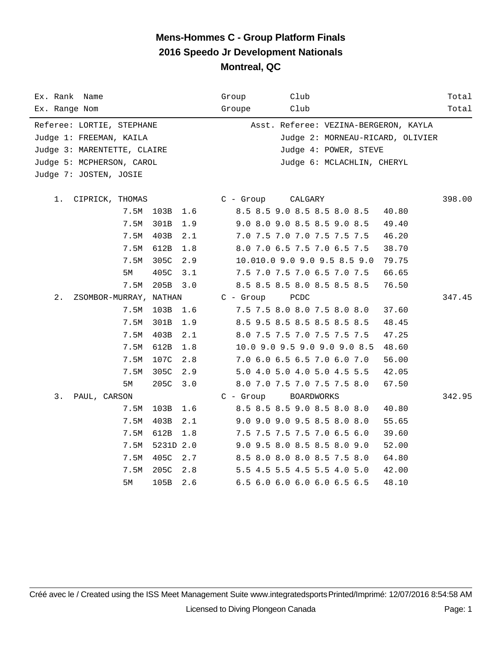| Ex. Rank Name<br>Ex. Range Nom                                                        | Group<br>Groupe                                                                                                      | Club<br>Club                                                                                                                                                                                                                                                                                              | Total<br>Total |  |  |  |  |  |
|---------------------------------------------------------------------------------------|----------------------------------------------------------------------------------------------------------------------|-----------------------------------------------------------------------------------------------------------------------------------------------------------------------------------------------------------------------------------------------------------------------------------------------------------|----------------|--|--|--|--|--|
| Referee: LORTIE, STEPHANE<br>Judge 1: FREEMAN, KAILA<br>Judge 3: MARENTETTE, CLAIRE   |                                                                                                                      | Asst. Referee: VEZINA-BERGERON, KAYLA<br>Judge 2: MORNEAU-RICARD, OLIVIER<br>Judge 4: POWER, STEVE                                                                                                                                                                                                        |                |  |  |  |  |  |
| Judge 5: MCPHERSON, CAROL<br>Judge 7: JOSTEN, JOSIE                                   |                                                                                                                      | Judge 6: MCLACHLIN, CHERYL                                                                                                                                                                                                                                                                                |                |  |  |  |  |  |
| 1.<br>CIPRICK, THOMAS<br>7.5M<br>7.5M<br>7.5M<br>7.5M<br>7.5M<br>5М<br>7.5M           | C - Group<br>103B<br>1.6<br>301B<br>1.9<br>403B<br>2.1<br>612B<br>1.8<br>305C<br>2.9<br>405C<br>3.1<br>205B<br>3.0   | CALGARY<br>8.5 8.5 9.0 8.5 8.5 8.0 8.5<br>40.80<br>9.0 8.0 9.0 8.5 8.5 9.0 8.5<br>49.40<br>7.0 7.5 7.0 7.0 7.5 7.5 7.5<br>46.20<br>8.0 7.0 6.5 7.5 7.0 6.5 7.5<br>38.70<br>10.010.0 9.0 9.0 9.5 8.5 9.0<br>79.75<br>7.5 7.0 7.5 7.0 6.5 7.0 7.5<br>66.65<br>8.5 8.5 8.5 8.0 8.5 8.5 8.5<br>76.50          | 398.00         |  |  |  |  |  |
| $2$ .<br>ZSOMBOR-MURRAY, NATHAN<br>7.5M<br>7.5M<br>7.5M<br>7.5M<br>7.5M<br>7.5M<br>5М | $C - Growp$<br>103B<br>1.6<br>301B<br>1.9<br>403B<br>2.1<br>612B<br>1.8<br>107C<br>2.8<br>305C<br>2.9<br>205C<br>3.0 | PCDC<br>7.5 7.5 8.0 8.0 7.5 8.0 8.0<br>37.60<br>8.5 9.5 8.5 8.5 8.5 8.5 8.5<br>48.45<br>8.0 7.5 7.5 7.0 7.5 7.5 7.5<br>47.25<br>10.0 9.0 9.5 9.0 9.0 9.0 8.5<br>48.60<br>7.0 6.0 6.5 6.5 7.0 6.0 7.0<br>56.00<br>5.0 4.0 5.0 4.0 5.0 4.5 5.5<br>42.05<br>8.0 7.0 7.5 7.0 7.5 7.5 8.0<br>67.50             | 347.45         |  |  |  |  |  |
| 3.<br>PAUL, CARSON<br>7.5M<br>7.5M<br>7.5M<br>7.5M<br>7.5M<br>7.5M<br>5М              | C - Group<br>103B<br>1.6<br>403B<br>2.1<br>612B<br>1.8<br>5231D 2.0<br>405C<br>2.7<br>205C<br>2.8<br>105B<br>2.6     | <b>BOARDWORKS</b><br>8.5 8.5 8.5 9.0 8.5 8.0 8.0<br>40.80<br>9.0 9.0 9.0 9.5 8.5 8.0 8.0<br>55.65<br>7.5 7.5 7.5 7.5 7.0 6.5 6.0<br>39.60<br>9.0 9.5 8.0 8.5 8.5 8.0 9.0<br>52.00<br>8.5 8.0 8.0 8.0 8.5 7.5 8.0<br>64.80<br>5.5 4.5 5.5 4.5 5.5 4.0 5.0<br>42.00<br>6.5 6.0 6.0 6.0 6.0 6.5 6.5<br>48.10 | 342.95         |  |  |  |  |  |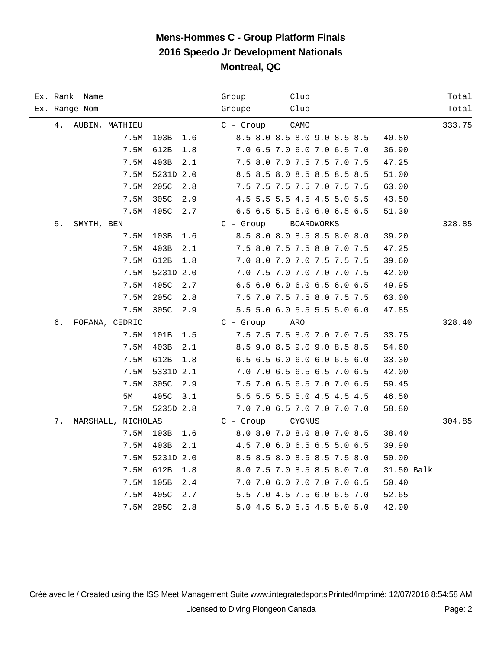| Ex. Rank Name |                    |               | Club<br>Group                | Total      |
|---------------|--------------------|---------------|------------------------------|------------|
| Ex. Range Nom |                    |               | Club<br>Groupe               | Total      |
|               | 4. AUBIN, MATHIEU  |               | $C - Grow$<br>CAMO           | 333.75     |
|               | 7.5M               | 103B<br>1.6   | 8.5 8.0 8.5 8.0 9.0 8.5 8.5  | 40.80      |
|               | 7.5M               | 612B<br>1.8   | 7.0 6.5 7.0 6.0 7.0 6.5 7.0  | 36.90      |
|               | 7.5M               | 403B<br>2.1   | 7.5 8.0 7.0 7.5 7.5 7.0 7.5  | 47.25      |
|               | 7.5M               | 5231D 2.0     | 8.5 8.5 8.0 8.5 8.5 8.5 8.5  | 51.00      |
|               | 7.5M               | 205C<br>2.8   | 7.5 7.5 7.5 7.5 7.0 7.5 7.5  | 63.00      |
|               | 7.5M               | 305C<br>2.9   | 4.5 5.5 5.5 4.5 4.5 5.0 5.5  | 43.50      |
|               | 7.5M               | 405C<br>2.7   | 6.5 6.5 5.5 6.0 6.0 6.5 6.5  | 51.30      |
| 5.            | SMYTH, BEN         |               | $C - Group$<br>BOARDWORKS    | 328.85     |
|               | 7.5M               | 103B<br>1.6   | 8.5 8.0 8.0 8.5 8.5 8.0 8.0  | 39.20      |
|               | 7.5M               | 403B<br>2.1   | 7.5 8.0 7.5 7.5 8.0 7.0 7.5  | 47.25      |
|               | 7.5M               | 612B<br>1.8   | 7.0 8.0 7.0 7.0 7.5 7.5 7.5  | 39.60      |
|               | 7.5M               | 5231D 2.0     | 7.0 7.5 7.0 7.0 7.0 7.0 7.5  | 42.00      |
|               | 7.5M               | 405C<br>2.7   | 6.5 6.0 6.0 6.0 6.5 6.0 6.5  | 49.95      |
|               | 7.5M               | 205C<br>2.8   | 7.5 7.0 7.5 7.5 8.0 7.5 7.5  | 63.00      |
|               | 7.5M               | 305C<br>2.9   | 5.5 5.0 6.0 5.5 5.5 5.0 6.0  | 47.85      |
| б.            | FOFANA, CEDRIC     |               | $C - Growp$<br>ARO           | 328.40     |
|               | 7.5M               | 101B<br>1.5   | 7.5 7.5 7.5 8.0 7.0 7.0 7.5  | 33.75      |
|               | 7.5M               | 403B<br>2.1   | 8.5 9.0 8.5 9.0 9.0 8.5 8.5  | 54.60      |
|               | 7.5M               | 612B<br>1.8   | 6.5 6.5 6.0 6.0 6.0 6.5 6.0  | 33.30      |
|               | 7.5M               | 5331D 2.1     | 7.0 7.0 6.5 6.5 6.5 7.0 6.5  | 42.00      |
|               | 7.5M               | 305C<br>2.9   | 7.5 7.0 6.5 6.5 7.0 7.0 6.5  | 59.45      |
|               | 5M                 | 405C<br>$3.1$ | 5.5 5.5 5.5 5.0 4.5 4.5 4.5  | 46.50      |
|               | 7.5M               | 5235D 2.8     | 7.0 7.0 6.5 7.0 7.0 7.0 7.0  | 58.80      |
| 7.            | MARSHALL, NICHOLAS |               | $C -$ Group<br><b>CYGNUS</b> | 304.85     |
|               | 7.5M               | 103B<br>1.6   | 8.0 8.0 7.0 8.0 8.0 7.0 8.5  | 38.40      |
|               | 7.5M               | 403B<br>2.1   | 4.5 7.0 6.0 6.5 6.5 5.0 6.5  | 39.90      |
|               | 7.5M               | 5231D 2.0     | 8.5 8.5 8.0 8.5 8.5 7.5 8.0  | 50.00      |
|               | 7.5M               | 612B<br>1.8   | 8.0 7.5 7.0 8.5 8.5 8.0 7.0  | 31.50 Balk |
|               | 7.5M               | 105B<br>2.4   | 7.0 7.0 6.0 7.0 7.0 7.0 6.5  | 50.40      |
|               | 7.5M               | 405C<br>2.7   | 5.5 7.0 4.5 7.5 6.0 6.5 7.0  | 52.65      |
|               | 7.5M               | 205C<br>2.8   | 5.0 4.5 5.0 5.5 4.5 5.0 5.0  | 42.00      |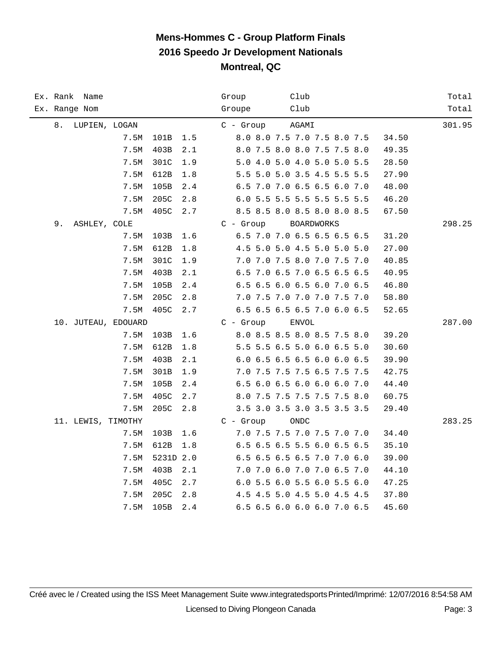| Ex. Rank Name       |      |           |     | Group       | Club                        |       | Total  |
|---------------------|------|-----------|-----|-------------|-----------------------------|-------|--------|
| Ex. Range Nom       |      |           |     | Groupe      | Club                        |       | Total  |
| 8.<br>LUPIEN, LOGAN |      |           |     | $C -$ Group | AGAMI                       |       | 301.95 |
|                     | 7.5M | 101B      | 1.5 |             | 8.0 8.0 7.5 7.0 7.5 8.0 7.5 | 34.50 |        |
|                     | 7.5M | 403B      | 2.1 |             | 8.0 7.5 8.0 8.0 7.5 7.5 8.0 | 49.35 |        |
|                     | 7.5M | 301C      | 1.9 |             | 5.0 4.0 5.0 4.0 5.0 5.0 5.5 | 28.50 |        |
|                     | 7.5M | 612B      | 1.8 |             | 5.5 5.0 5.0 3.5 4.5 5.5 5.5 | 27.90 |        |
|                     | 7.5M | 105B      | 2.4 |             | 6.5 7.0 7.0 6.5 6.5 6.0 7.0 | 48.00 |        |
|                     | 7.5M | 205C      | 2.8 |             | 6.0 5.5 5.5 5.5 5.5 5.5 5.5 | 46.20 |        |
|                     | 7.5M | 405C      | 2.7 |             | 8.5 8.5 8.0 8.5 8.0 8.0 8.5 | 67.50 |        |
| 9.<br>ASHLEY, COLE  |      |           |     | $C - Group$ | BOARDWORKS                  |       | 298.25 |
|                     | 7.5M | 103B      | 1.6 |             | 6.5 7.0 7.0 6.5 6.5 6.5 6.5 | 31.20 |        |
|                     | 7.5M | 612B      | 1.8 |             | 4.5 5.0 5.0 4.5 5.0 5.0 5.0 | 27.00 |        |
|                     | 7.5M | 301C      | 1.9 |             | 7.0 7.0 7.5 8.0 7.0 7.5 7.0 | 40.85 |        |
|                     | 7.5M | 403B      | 2.1 |             | 6.5 7.0 6.5 7.0 6.5 6.5 6.5 | 40.95 |        |
|                     | 7.5M | 105B      | 2.4 |             | 6.5 6.5 6.0 6.5 6.0 7.0 6.5 | 46.80 |        |
|                     | 7.5M | 205C      | 2.8 |             | 7.0 7.5 7.0 7.0 7.0 7.5 7.0 | 58.80 |        |
|                     | 7.5M | 405C      | 2.7 |             | 6.5 6.5 6.5 6.5 7.0 6.0 6.5 | 52.65 |        |
| 10. JUTEAU, EDOUARD |      |           |     | $C - Group$ | <b>ENVOL</b>                |       | 287.00 |
|                     | 7.5M | 103B      | 1.6 |             | 8.0 8.5 8.5 8.0 8.5 7.5 8.0 | 39.20 |        |
|                     | 7.5M | 612B      | 1.8 |             | 5.5 5.5 6.5 5.0 6.0 6.5 5.0 | 30.60 |        |
|                     | 7.5M | 403B      | 2.1 |             | 6.0 6.5 6.5 6.5 6.0 6.0 6.5 | 39.90 |        |
|                     | 7.5M | 301B      | 1.9 |             | 7.0 7.5 7.5 7.5 6.5 7.5 7.5 | 42.75 |        |
|                     | 7.5M | 105B      | 2.4 |             | 6.5 6.0 6.5 6.0 6.0 6.0 7.0 | 44.40 |        |
|                     | 7.5M | 405C      | 2.7 |             | 8.0 7.5 7.5 7.5 7.5 7.5 8.0 | 60.75 |        |
|                     | 7.5M | 205C      | 2.8 |             | 3.5 3.0 3.5 3.0 3.5 3.5 3.5 | 29.40 |        |
| 11. LEWIS, TIMOTHY  |      |           |     | $C -$ Group | ONDC                        |       | 283.25 |
|                     | 7.5M | 103B      | 1.6 |             | 7.0 7.5 7.5 7.0 7.5 7.0 7.0 | 34.40 |        |
|                     | 7.5M | 612B      | 1.8 |             | 6.5 6.5 6.5 5.5 6.0 6.5 6.5 | 35.10 |        |
|                     | 7.5M | 5231D 2.0 |     |             | 6.5 6.5 6.5 6.5 7.0 7.0 6.0 | 39.00 |        |
|                     | 7.5M | 403B      | 2.1 |             | 7.0 7.0 6.0 7.0 7.0 6.5 7.0 | 44.10 |        |
|                     | 7.5M | 405C      | 2.7 |             | 6.0 5.5 6.0 5.5 6.0 5.5 6.0 | 47.25 |        |
|                     | 7.5M | 205C      | 2.8 |             | 4.5 4.5 5.0 4.5 5.0 4.5 4.5 | 37.80 |        |
|                     | 7.5M | 105B      | 2.4 |             | 6.5 6.5 6.0 6.0 6.0 7.0 6.5 | 45.60 |        |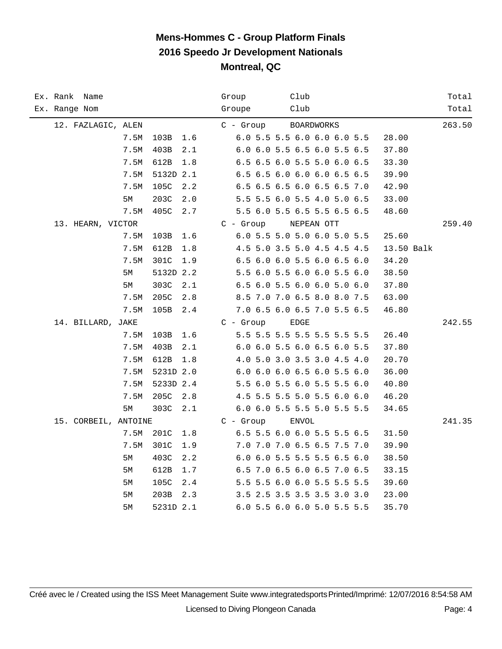| Ex. Rank Name        |      |           |     | Club<br>Group                             | Total  |
|----------------------|------|-----------|-----|-------------------------------------------|--------|
| Ex. Range Nom        |      |           |     | Groupe<br>Club                            | Total  |
| 12. FAZLAGIC, ALEN   |      |           |     | $C$ - Group<br><b>BOARDWORKS</b>          | 263.50 |
|                      | 7.5M | 103B      | 1.6 | 6.0 5.5 5.5 6.0 6.0 6.0 5.5<br>28.00      |        |
|                      | 7.5M | 403B      | 2.1 | 6.0 6.0 5.5 6.5 6.0 5.5 6.5<br>37.80      |        |
|                      | 7.5M | 612B      | 1.8 | 6.5 6.5 6.0 5.5 5.0 6.0 6.5<br>33.30      |        |
|                      | 7.5M | 5132D 2.1 |     | 6.5 6.5 6.0 6.0 6.0 6.5 6.5<br>39.90      |        |
|                      | 7.5M | 105C      | 2.2 | 6.5 6.5 6.5 6.0 6.5 6.5 7.0<br>42.90      |        |
|                      | 5М   | 203C      | 2.0 | 5.5 5.5 6.0 5.5 4.0 5.0 6.5<br>33.00      |        |
|                      | 7.5M | 405C      | 2.7 | 5.5 6.0 5.5 6.5 5.5 6.5 6.5<br>48.60      |        |
| 13. HEARN, VICTOR    |      |           |     | $C -$ Group<br>NEPEAN OTT                 | 259.40 |
|                      | 7.5M | 103B      | 1.6 | 6.0 5.5 5.0 5.0 6.0 5.0 5.5<br>25.60      |        |
|                      | 7.5M | 612B      | 1.8 | 4.5 5.0 3.5 5.0 4.5 4.5 4.5<br>13.50 Balk |        |
|                      | 7.5M | 301C      | 1.9 | 6.5 6.0 6.0 5.5 6.0 6.5 6.0<br>34.20      |        |
|                      | 5M   | 5132D 2.2 |     | 5.5 6.0 5.5 6.0 6.0 5.5 6.0<br>38.50      |        |
|                      | 5М   | 303C      | 2.1 | 6.5 6.0 5.5 6.0 6.0 5.0 6.0<br>37.80      |        |
|                      | 7.5M | 205C      | 2.8 | 8.5 7.0 7.0 6.5 8.0 8.0 7.5<br>63.00      |        |
|                      | 7.5M | 105B      | 2.4 | 7.0 6.5 6.0 6.5 7.0 5.5 6.5<br>46.80      |        |
| 14. BILLARD, JAKE    |      |           |     | $C - Group$<br><b>EDGE</b>                | 242.55 |
|                      | 7.5M | 103B      | 1.6 | 5.5 5.5 5.5 5.5 5.5 5.5 5.5<br>26.40      |        |
|                      | 7.5M | 403B      | 2.1 | 6.0 6.0 5.5 6.0 6.5 6.0 5.5<br>37.80      |        |
|                      | 7.5M | 612B      | 1.8 | 4.0 5.0 3.0 3.5 3.0 4.5 4.0<br>20.70      |        |
|                      | 7.5M | 5231D 2.0 |     | 6.0 6.0 6.0 6.5 6.0 5.5 6.0<br>36.00      |        |
|                      | 7.5M | 5233D 2.4 |     | 5.5 6.0 5.5 6.0 5.5 5.5 6.0<br>40.80      |        |
|                      | 7.5M | 205C      | 2.8 | 4.5 5.5 5.5 5.0 5.5 6.0 6.0<br>46.20      |        |
|                      | 5M   | 303C      | 2.1 | 6.0 6.0 5.5 5.5 5.0 5.5 5.5<br>34.65      |        |
| 15. CORBEIL, ANTOINE |      |           |     | $C - Group$<br><b>ENVOL</b>               | 241.35 |
|                      | 7.5M | 201C      | 1.8 | 6.5 5.5 6.0 6.0 5.5 5.5 6.5<br>31.50      |        |
|                      | 7.5M | 301C      | 1.9 | 7.0 7.0 7.0 6.5 6.5 7.5 7.0<br>39.90      |        |
|                      | 5M   | 403C      | 2.2 | 6.0 6.0 5.5 5.5 5.5 6.5 6.0<br>38.50      |        |
|                      | 5M   | 612B      | 1.7 | 6.5 7.0 6.5 6.0 6.5 7.0 6.5<br>33.15      |        |
|                      | 5М   | 105C      | 2.4 | 5.5 5.5 6.0 6.0 5.5 5.5 5.5<br>39.60      |        |
|                      | 5M   | 203B      | 2.3 | 3.5 2.5 3.5 3.5 3.5 3.0 3.0<br>23.00      |        |
|                      | 5M   | 5231D 2.1 |     | 6.0 5.5 6.0 6.0 5.0 5.5 5.5<br>35.70      |        |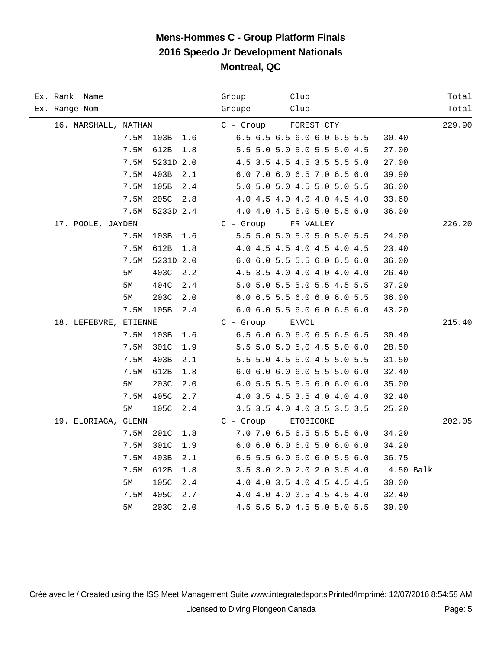|  | Ex. Rank Name         |      |           |     | Group |             |  | Club         |                             |  |             | Total  |
|--|-----------------------|------|-----------|-----|-------|-------------|--|--------------|-----------------------------|--|-------------|--------|
|  | Ex. Range Nom         |      |           |     |       | Groupe      |  | Club         |                             |  |             | Total  |
|  | 16. MARSHALL, NATHAN  |      |           |     |       | $C - Grow$  |  |              | FOREST CTY                  |  |             | 229.90 |
|  |                       | 7.5M | 103B      | 1.6 |       |             |  |              | 6.5 6.5 6.5 6.0 6.0 6.5 5.5 |  | 30.40       |        |
|  |                       | 7.5M | 612B      | 1.8 |       |             |  |              | 5.5 5.0 5.0 5.0 5.5 5.0 4.5 |  | 27.00       |        |
|  |                       | 7.5M | 5231D 2.0 |     |       |             |  |              | 4.5 3.5 4.5 4.5 3.5 5.5 5.0 |  | 27.00       |        |
|  |                       | 7.5M | 403B      | 2.1 |       |             |  |              | 6.0 7.0 6.0 6.5 7.0 6.5 6.0 |  | 39.90       |        |
|  |                       | 7.5M | 105B      | 2.4 |       |             |  |              | 5.0 5.0 5.0 4.5 5.0 5.0 5.5 |  | 36.00       |        |
|  |                       | 7.5M | 205C      | 2.8 |       |             |  |              | 4.0 4.5 4.0 4.0 4.0 4.5 4.0 |  | 33.60       |        |
|  |                       | 7.5M | 5233D 2.4 |     |       |             |  |              | 4.0 4.0 4.5 6.0 5.0 5.5 6.0 |  | 36.00       |        |
|  | 17. POOLE, JAYDEN     |      |           |     |       | $C - Group$ |  |              | FR VALLEY                   |  |             | 226.20 |
|  |                       | 7.5M | 103B      | 1.6 |       |             |  |              | 5.5 5.0 5.0 5.0 5.0 5.0 5.5 |  | 24.00       |        |
|  |                       | 7.5M | 612B      | 1.8 |       |             |  |              | 4.0 4.5 4.5 4.0 4.5 4.0 4.5 |  | 23.40       |        |
|  |                       | 7.5M | 5231D 2.0 |     |       |             |  |              | 6.0 6.0 5.5 5.5 6.0 6.5 6.0 |  | 36.00       |        |
|  |                       | 5M   | 403C      | 2.2 |       |             |  |              | 4.5 3.5 4.0 4.0 4.0 4.0 4.0 |  | 26.40       |        |
|  |                       | 5M   | 404C      | 2.4 |       |             |  |              | 5.0 5.0 5.5 5.0 5.5 4.5 5.5 |  | 37.20       |        |
|  |                       | 5M   | 203C      | 2.0 |       |             |  |              | 6.0 6.5 5.5 6.0 6.0 6.0 5.5 |  | 36.00       |        |
|  |                       | 7.5M | 105B      | 2.4 |       |             |  |              | 6.0 6.0 5.5 6.0 6.0 6.5 6.0 |  | 43.20       |        |
|  | 18. LEFEBVRE, ETIENNE |      |           |     |       | $C - Group$ |  | <b>ENVOL</b> |                             |  |             | 215.40 |
|  |                       | 7.5M | 103B      | 1.6 |       |             |  |              | 6.5 6.0 6.0 6.0 6.5 6.5 6.5 |  | 30.40       |        |
|  |                       | 7.5M | 301C      | 1.9 |       |             |  |              | 5.5 5.0 5.0 5.0 4.5 5.0 6.0 |  | 28.50       |        |
|  |                       | 7.5M | 403B      | 2.1 |       |             |  |              | 5.5 5.0 4.5 5.0 4.5 5.0 5.5 |  | 31.50       |        |
|  |                       | 7.5M | 612B      | 1.8 |       |             |  |              | 6.0 6.0 6.0 6.0 5.5 5.0 6.0 |  | 32.40       |        |
|  |                       | 5M   | 203C      | 2.0 |       |             |  |              | 6.0 5.5 5.5 5.5 6.0 6.0 6.0 |  | 35.00       |        |
|  |                       | 7.5M | 405C      | 2.7 |       |             |  |              | 4.0 3.5 4.5 3.5 4.0 4.0 4.0 |  | 32.40       |        |
|  |                       | 5М   | 105C      | 2.4 |       |             |  |              | 3.5 3.5 4.0 4.0 3.5 3.5 3.5 |  | 25.20       |        |
|  | 19. ELORIAGA, GLENN   |      |           |     |       | $C - Group$ |  |              | ETOBICOKE                   |  |             | 202.05 |
|  |                       | 7.5M | 201C      | 1.8 |       |             |  |              | 7.0 7.0 6.5 6.5 5.5 5.5 6.0 |  | 34.20       |        |
|  |                       | 7.5M | 301C      | 1.9 |       |             |  |              | 6.0 6.0 6.0 6.0 5.0 6.0 6.0 |  | 34.20       |        |
|  |                       | 7.5M | 403B      | 2.1 |       |             |  |              | 6.5 5.5 6.0 5.0 6.0 5.5 6.0 |  | 36.75       |        |
|  |                       | 7.5M | 612B      | 1.8 |       |             |  |              | 3.5 3.0 2.0 2.0 2.0 3.5 4.0 |  | $4.50$ Balk |        |
|  |                       | 5М   | 105C      | 2.4 |       |             |  |              | 4.0 4.0 3.5 4.0 4.5 4.5 4.5 |  | 30.00       |        |
|  |                       | 7.5M | 405C      | 2.7 |       |             |  |              | 4.0 4.0 4.0 3.5 4.5 4.5 4.0 |  | 32.40       |        |
|  |                       | 5M   | 203C      | 2.0 |       |             |  |              | 4.5 5.5 5.0 4.5 5.0 5.0 5.5 |  | 30.00       |        |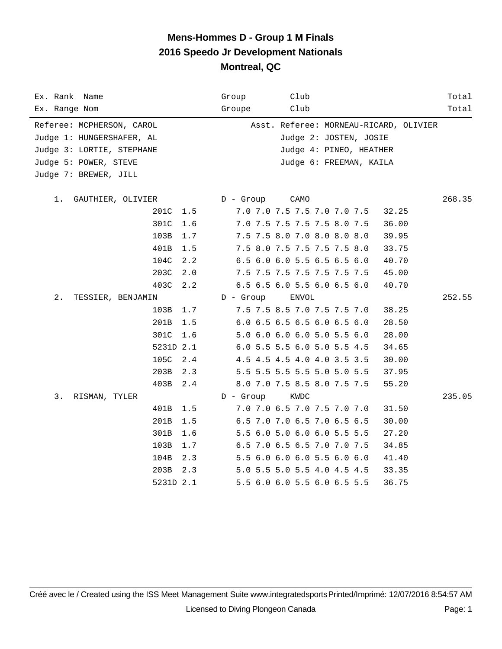| Ex. Rank Name<br>Ex. Range Nom |             | Group<br>Groupe | Club<br>Club                           | Total<br>Total |
|--------------------------------|-------------|-----------------|----------------------------------------|----------------|
|                                |             |                 |                                        |                |
| Referee: MCPHERSON, CAROL      |             |                 | Asst. Referee: MORNEAU-RICARD, OLIVIER |                |
| Judge 1: HUNGERSHAFER, AL      |             |                 | Judge 2: JOSTEN, JOSIE                 |                |
| Judge 3: LORTIE, STEPHANE      |             |                 | Judge 4: PINEO, HEATHER                |                |
| Judge 5: POWER, STEVE          |             |                 | Judge 6: FREEMAN, KAILA                |                |
| Judge 7: BREWER, JILL          |             |                 |                                        |                |
|                                |             |                 |                                        |                |
| 1.<br>GAUTHIER, OLIVIER        |             | $D -$ Group     | CAMO                                   | 268.35         |
|                                | 201C<br>1.5 |                 | 7.0 7.0 7.5 7.5 7.0 7.0 7.5            | 32.25          |
|                                | 301C<br>1.6 |                 | 7.0 7.5 7.5 7.5 7.5 8.0 7.5            | 36.00          |
|                                | 103B<br>1.7 |                 | 7.5 7.5 8.0 7.0 8.0 8.0 8.0            | 39.95          |
|                                | 401B<br>1.5 |                 | 7.5 8.0 7.5 7.5 7.5 7.5 8.0            | 33.75          |
|                                | 104C<br>2.2 |                 | 6.5 6.0 6.0 5.5 6.5 6.5 6.0            | 40.70          |
|                                | 203C<br>2.0 |                 | 7.5 7.5 7.5 7.5 7.5 7.5 7.5            | 45.00          |
|                                | 403C<br>2.2 |                 | 6.5 6.5 6.0 5.5 6.0 6.5 6.0            | 40.70          |
| $2$ .<br>TESSIER, BENJAMIN     |             | $D -$ Group     | ENVOL                                  | 252.55         |
|                                | 103B<br>1.7 |                 | 7.5 7.5 8.5 7.0 7.5 7.5 7.0            | 38.25          |
|                                | 201B<br>1.5 |                 | 6.0 6.5 6.5 6.5 6.0 6.5 6.0            | 28.50          |
|                                | 301C<br>1.6 |                 | 5.0 6.0 6.0 6.0 5.0 5.5 6.0            | 28.00          |
|                                | 5231D 2.1   |                 | 6.0 5.5 5.5 6.0 5.0 5.5 4.5            | 34.65          |
|                                | 105C<br>2.4 |                 | 4.5 4.5 4.5 4.0 4.0 3.5 3.5            | 30.00          |
|                                | 203B<br>2.3 |                 | 5.5 5.5 5.5 5.5 5.0 5.0 5.5            | 37.95          |
|                                | 403B<br>2.4 |                 | 8.0 7.0 7.5 8.5 8.0 7.5 7.5            | 55.20          |
| 3.<br>RISMAN, TYLER            |             | D - Group       | KWDC                                   | 235.05         |
|                                | 401B<br>1.5 |                 | 7.0 7.0 6.5 7.0 7.5 7.0 7.0            | 31.50          |
|                                | 201B<br>1.5 |                 | 6.5 7.0 7.0 6.5 7.0 6.5 6.5            | 30.00          |
|                                | 301B<br>1.6 |                 | 5.5 6.0 5.0 6.0 6.0 5.5 5.5            | 27.20          |
|                                | 103B<br>1.7 |                 | 6.5 7.0 6.5 6.5 7.0 7.0 7.5            | 34.85          |
|                                | 104B<br>2.3 |                 | 5.5 6.0 6.0 6.0 5.5 6.0 6.0            | 41.40          |
|                                | 203B<br>2.3 |                 | 5.0 5.5 5.0 5.5 4.0 4.5 4.5            | 33.35          |
|                                | 5231D 2.1   |                 | 5.5 6.0 6.0 5.5 6.0 6.5 5.5            | 36.75          |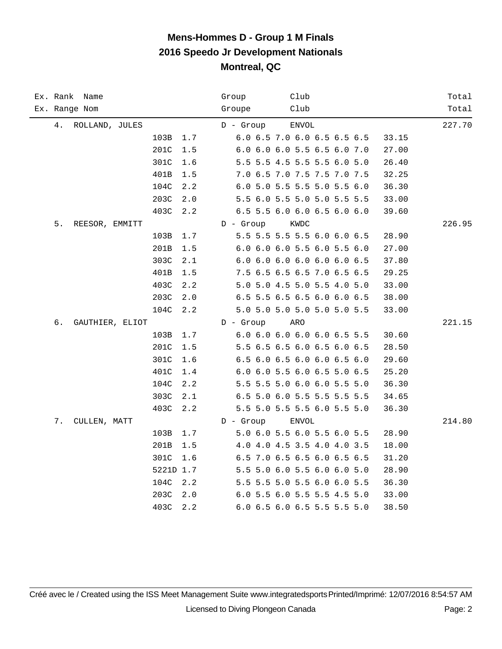| Ex. Rank Name         | Club<br>Group                        | Total  |
|-----------------------|--------------------------------------|--------|
| Ex. Range Nom         | Club<br>Groupe                       | Total  |
| 4.<br>ROLLAND, JULES  | D - Group<br><b>ENVOL</b>            | 227.70 |
| 103B<br>1.7           | 6.0 6.5 7.0 6.0 6.5 6.5 6.5<br>33.15 |        |
| 201C<br>1.5           | 6.0 6.0 6.0 5.5 6.5 6.0 7.0<br>27.00 |        |
| 301C<br>1.6           | 5.5 5.5 4.5 5.5 5.5 6.0 5.0<br>26.40 |        |
| 401B<br>$1.5\,$       | 7.0 6.5 7.0 7.5 7.5 7.0 7.5<br>32.25 |        |
| 104C<br>2.2           | 6.0 5.0 5.5 5.5 5.0 5.5 6.0<br>36.30 |        |
| 203C<br>2.0           | 5.5 6.0 5.5 5.0 5.0 5.5 5.5<br>33.00 |        |
| 403C<br>2.2           | 6.5 5.5 6.0 6.0 6.5 6.0 6.0<br>39.60 |        |
| 5.<br>REESOR, EMMITT  | $D -$ Group<br>KWDC                  | 226.95 |
| 103B<br>1.7           | 5.5 5.5 5.5 5.5 6.0 6.0 6.5<br>28.90 |        |
| 201B<br>1.5           | 6.0 6.0 6.0 5.5 6.0 5.5 6.0<br>27.00 |        |
| 303C<br>2.1           | 6.0 6.0 6.0 6.0 6.0 6.0 6.5<br>37.80 |        |
| 401B<br>1.5           | 7.5 6.5 6.5 6.5 7.0 6.5 6.5<br>29.25 |        |
| 403C<br>2.2           | 5.0 5.0 4.5 5.0 5.5 4.0 5.0<br>33.00 |        |
| 203C<br>2.0           | 6.5 5.5 6.5 6.5 6.0 6.0 6.5<br>38.00 |        |
| 104C<br>2.2           | 5.0 5.0 5.0 5.0 5.0 5.0 5.5<br>33.00 |        |
| б.<br>GAUTHIER, ELIOT | $D -$ Group<br>ARO                   | 221.15 |
| 103B<br>1.7           | 6.0 6.0 6.0 6.0 6.0 6.5 5.5<br>30.60 |        |
| 201C<br>1.5           | 5.5 6.5 6.5 6.0 6.5 6.0 6.5<br>28.50 |        |
| 301C<br>1.6           | 6.5 6.0 6.5 6.0 6.0 6.5 6.0<br>29.60 |        |
| 401C<br>1.4           | 6.0 6.0 5.5 6.0 6.5 5.0 6.5<br>25.20 |        |
| 104C<br>2.2           | 5.5 5.5 5.0 6.0 6.0 5.5 5.0<br>36.30 |        |
| 303C<br>2.1           | 6.5 5.0 6.0 5.5 5.5 5.5 5.5<br>34.65 |        |
| 403C<br>2.2           | 5.5 5.0 5.5 5.5 6.0 5.5 5.0<br>36.30 |        |
| 7.<br>CULLEN, MATT    | $D -$ Group<br><b>ENVOL</b>          | 214.80 |
| 103B<br>1.7           | 5.0 6.0 5.5 6.0 5.5 6.0 5.5<br>28.90 |        |
| 201B<br>1.5           | 4.0 4.0 4.5 3.5 4.0 4.0 3.5<br>18.00 |        |
| 301C<br>1.6           | 6.5 7.0 6.5 6.5 6.0 6.5 6.5<br>31.20 |        |
| 5221D 1.7             | 5.5 5.0 6.0 5.5 6.0 6.0 5.0<br>28.90 |        |
| 104C<br>2.2           | 5.5 5.5 5.0 5.5 6.0 6.0 5.5<br>36.30 |        |
| 203C<br>2.0           | 6.0 5.5 6.0 5.5 5.5 4.5 5.0<br>33.00 |        |
| 403C<br>2.2           | 6.0 6.5 6.0 6.5 5.5 5.5 5.0<br>38.50 |        |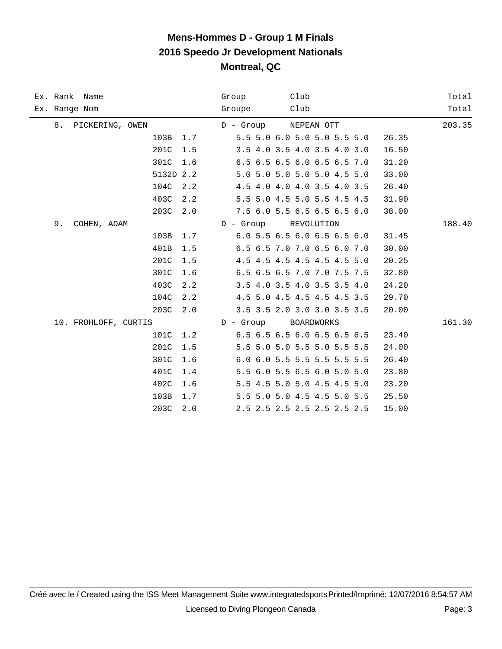|    | Ex. Rank Name        |           |     | Group                         | Club |                             |       | Total  |
|----|----------------------|-----------|-----|-------------------------------|------|-----------------------------|-------|--------|
|    | Ex. Range Nom        |           |     | Groupe                        | Club |                             |       | Total  |
|    | 8. PICKERING, OWEN   |           |     | D - Group NEPEAN OTT          |      |                             |       | 203.35 |
|    |                      | 103B 1.7  |     | $5.5$ 5.0 6.0 5.0 5.0 5.5 5.0 |      |                             | 26.35 |        |
|    |                      | 201C      | 1.5 |                               |      | 3.5 4.0 3.5 4.0 3.5 4.0 3.0 | 16.50 |        |
|    |                      | 301C      | 1.6 |                               |      | 6.5 6.5 6.5 6.0 6.5 6.5 7.0 | 31.20 |        |
|    |                      | 5132D 2.2 |     |                               |      | 5.0 5.0 5.0 5.0 5.0 4.5 5.0 | 33.00 |        |
|    |                      | 104C      | 2.2 |                               |      | 4.5 4.0 4.0 4.0 3.5 4.0 3.5 | 26.40 |        |
|    |                      | 403C      | 2.2 |                               |      | 5.5 5.0 4.5 5.0 5.5 4.5 4.5 | 31.90 |        |
|    |                      | 203C      | 2.0 |                               |      | 7.5 6.0 5.5 6.5 6.5 6.5 6.0 | 38.00 |        |
| 9. | COHEN, ADAM          |           |     | D - Group REVOLUTION          |      |                             |       | 188.40 |
|    |                      | 103B      | 1.7 |                               |      | 6.0 5.5 6.5 6.0 6.5 6.5 6.0 | 31.45 |        |
|    |                      | 401B      | 1.5 |                               |      | 6.5 6.5 7.0 7.0 6.5 6.0 7.0 | 30.00 |        |
|    |                      | 201C      | 1.5 |                               |      | 4.5 4.5 4.5 4.5 4.5 4.5 5.0 | 20.25 |        |
|    |                      | 301C      | 1.6 |                               |      | 6.5 6.5 6.5 7.0 7.0 7.5 7.5 | 32.80 |        |
|    |                      | 403C      | 2.2 |                               |      | 3.5 4.0 3.5 4.0 3.5 3.5 4.0 | 24.20 |        |
|    |                      | 104C      | 2.2 |                               |      | 4.5 5.0 4.5 4.5 4.5 4.5 3.5 | 29.70 |        |
|    |                      | 203C      | 2.0 |                               |      | 3.5 3.5 2.0 3.0 3.0 3.5 3.5 | 20.00 |        |
|    | 10. FROHLOFF, CURTIS |           |     | D - Group                     |      | BOARDWORKS                  |       | 161.30 |
|    |                      | 101C      | 1.2 |                               |      | 6.5 6.5 6.5 6.0 6.5 6.5 6.5 | 23.40 |        |
|    |                      | 201C      | 1.5 |                               |      | 5.5 5.0 5.0 5.5 5.0 5.5 5.5 | 24.00 |        |
|    |                      | 301C      | 1.6 |                               |      | 6.0 6.0 5.5 5.5 5.5 5.5 5.5 | 26.40 |        |
|    |                      | 401C      | 1.4 |                               |      | 5.5 6.0 5.5 6.5 6.0 5.0 5.0 | 23.80 |        |
|    |                      | 402C      | 1.6 |                               |      | 5.5 4.5 5.0 5.0 4.5 4.5 5.0 | 23.20 |        |
|    |                      | 103B      | 1.7 |                               |      | 5.5 5.0 5.0 4.5 4.5 5.0 5.5 | 25.50 |        |
|    |                      | 203C      | 2.0 |                               |      | 2.5 2.5 2.5 2.5 2.5 2.5 2.5 | 15.00 |        |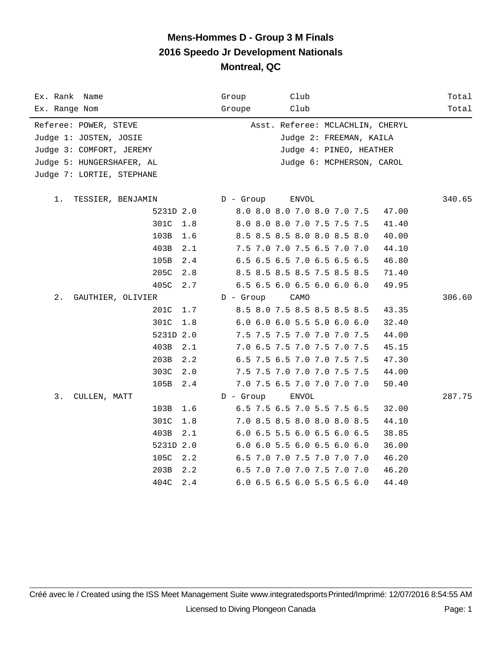| Ex. Rank Name<br>Ex. Range Nom | Club<br>Group<br>Club<br>Groupe      | Total<br>Total |
|--------------------------------|--------------------------------------|----------------|
| Referee: POWER, STEVE          | Asst. Referee: MCLACHLIN, CHERYL     |                |
| Judge 1: JOSTEN, JOSIE         | Judge 2: FREEMAN, KAILA              |                |
| Judge 3: COMFORT, JEREMY       | Judge 4: PINEO, HEATHER              |                |
| Judge 5: HUNGERSHAFER, AL      | Judge 6: MCPHERSON, CAROL            |                |
| Judge 7: LORTIE, STEPHANE      |                                      |                |
|                                |                                      |                |
| $1$ .<br>TESSIER, BENJAMIN     | $D -$ Group<br><b>ENVOL</b>          | 340.65         |
| 5231D 2.0                      | 8.0 8.0 8.0 7.0 8.0 7.0 7.5<br>47.00 |                |
| 301C<br>1.8                    | 8.0 8.0 8.0 7.0 7.5 7.5 7.5<br>41.40 |                |
| 103B<br>1.6                    | 8.5 8.5 8.5 8.0 8.0 8.5 8.0<br>40.00 |                |
| 403B<br>2.1                    | 7.5 7.0 7.0 7.5 6.5 7.0 7.0<br>44.10 |                |
| 105B<br>2.4                    | 6.5 6.5 6.5 7.0 6.5 6.5 6.5<br>46.80 |                |
| 205C<br>2.8                    | 8.5 8.5 8.5 8.5 7.5 8.5 8.5<br>71.40 |                |
| 405C<br>2.7                    | 6.5 6.5 6.0 6.5 6.0 6.0 6.0<br>49.95 |                |
| $2$ .<br>GAUTHIER, OLIVIER     | $D -$ Group<br>CAMO                  | 306.60         |
| 201C<br>1.7                    | 8.5 8.0 7.5 8.5 8.5 8.5 8.5<br>43.35 |                |
| 301C<br>1.8                    | 6.0 6.0 6.0 5.5 5.0 6.0 6.0<br>32.40 |                |
| 5231D 2.0                      | 7.5 7.5 7.5 7.0 7.0 7.0 7.5<br>44.00 |                |
| 403B<br>2.1                    | 7.0 6.5 7.5 7.0 7.5 7.0 7.5<br>45.15 |                |
| 203B<br>2.2                    | 6.5 7.5 6.5 7.0 7.0 7.5 7.5<br>47.30 |                |
| 303C<br>2.0                    | 7.5 7.5 7.0 7.0 7.0 7.5 7.5<br>44.00 |                |
| 105B<br>2.4                    | 7.0 7.5 6.5 7.0 7.0 7.0 7.0<br>50.40 |                |
| 3.<br>CULLEN, MATT             | $D -$ Group<br>ENVOL                 | 287.75         |
| 103B<br>1.6                    | 6.5 7.5 6.5 7.0 5.5 7.5 6.5<br>32.00 |                |
| 301C<br>1.8                    | 7.0 8.5 8.5 8.0 8.0 8.0 8.5<br>44.10 |                |
| 403B<br>2.1                    | 6.0 6.5 5.5 6.0 6.5 6.0 6.5<br>38.85 |                |
| 5231D 2.0                      | 6.0 6.0 5.5 6.0 6.5 6.0 6.0<br>36.00 |                |
| 105C<br>2.2                    | 6.5 7.0 7.0 7.5 7.0 7.0 7.0<br>46.20 |                |
| 203B<br>2.2                    | 6.5 7.0 7.0 7.0 7.5 7.0 7.0<br>46.20 |                |
| 404C<br>2.4                    | 6.0 6.5 6.5 6.0 5.5 6.5 6.0<br>44.40 |                |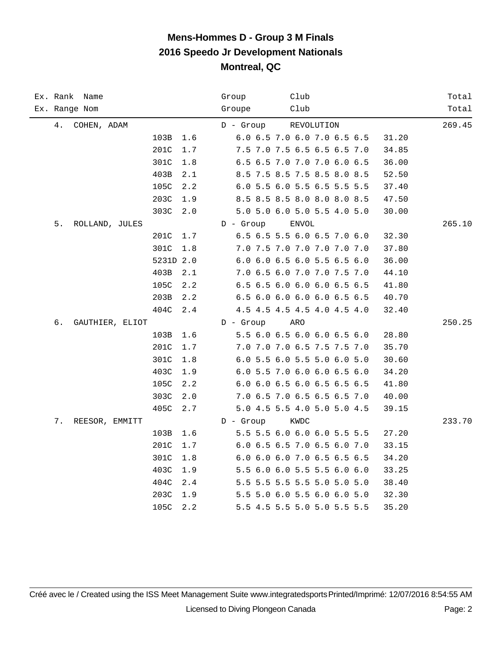| Ex. Rank Name<br>Ex. Range Nom |                 |           |     | Group<br>Groupe | Club<br>Club                |            |       | Total<br>Total |
|--------------------------------|-----------------|-----------|-----|-----------------|-----------------------------|------------|-------|----------------|
|                                |                 |           |     |                 |                             |            |       |                |
| 4.                             | COHEN, ADAM     |           |     | $D -$ Group     |                             | REVOLUTION |       | 269.45         |
|                                |                 | 103B      | 1.6 |                 | 6.0 6.5 7.0 6.0 7.0 6.5 6.5 |            | 31.20 |                |
|                                |                 | 201C      | 1.7 |                 | 7.5 7.0 7.5 6.5 6.5 6.5 7.0 |            | 34.85 |                |
|                                |                 | 301C      | 1.8 |                 | 6.5 6.5 7.0 7.0 7.0 6.0 6.5 |            | 36.00 |                |
|                                |                 | 403B      | 2.1 |                 | 8.5 7.5 8.5 7.5 8.5 8.0 8.5 |            | 52.50 |                |
|                                |                 | 105C      | 2.2 |                 | 6.0 5.5 6.0 5.5 6.5 5.5 5.5 |            | 37.40 |                |
|                                |                 | 203C      | 1.9 |                 | 8.5 8.5 8.5 8.0 8.0 8.0 8.5 |            | 47.50 |                |
|                                |                 | 303C      | 2.0 |                 | 5.0 5.0 6.0 5.0 5.5 4.0 5.0 |            | 30.00 |                |
| 5.                             | ROLLAND, JULES  |           |     | $D -$ Group     | <b>ENVOL</b>                |            |       | 265.10         |
|                                |                 | 201C      | 1.7 |                 | 6.5 6.5 5.5 6.0 6.5 7.0 6.0 |            | 32.30 |                |
|                                |                 | 301C      | 1.8 |                 | 7.0 7.5 7.0 7.0 7.0 7.0 7.0 |            | 37.80 |                |
|                                |                 | 5231D 2.0 |     |                 | 6.0 6.0 6.5 6.0 5.5 6.5 6.0 |            | 36.00 |                |
|                                |                 | 403B      | 2.1 |                 | 7.0 6.5 6.0 7.0 7.0 7.5 7.0 |            | 44.10 |                |
|                                |                 | 105C      | 2.2 |                 | 6.5 6.5 6.0 6.0 6.0 6.5 6.5 |            | 41.80 |                |
|                                |                 | 203B      | 2.2 |                 | 6.5 6.0 6.0 6.0 6.0 6.5 6.5 |            | 40.70 |                |
|                                |                 | 404C      | 2.4 |                 | 4.5 4.5 4.5 4.5 4.0 4.5 4.0 |            | 32.40 |                |
| б.                             | GAUTHIER, ELIOT |           |     | $D -$ Group     | ARO                         |            |       | 250.25         |
|                                |                 | 103B      | 1.6 |                 | 5.5 6.0 6.5 6.0 6.0 6.5 6.0 |            | 28.80 |                |
|                                |                 | 201C      | 1.7 |                 | 7.0 7.0 7.0 6.5 7.5 7.5 7.0 |            | 35.70 |                |
|                                |                 | 301C      | 1.8 |                 | 6.0 5.5 6.0 5.5 5.0 6.0 5.0 |            | 30.60 |                |
|                                |                 | 403C      | 1.9 |                 | 6.0 5.5 7.0 6.0 6.0 6.5 6.0 |            | 34.20 |                |
|                                |                 | 105C      | 2.2 |                 | 6.0 6.0 6.5 6.0 6.5 6.5 6.5 |            | 41.80 |                |
|                                |                 | 303C      | 2.0 |                 | 7.0 6.5 7.0 6.5 6.5 6.5 7.0 |            | 40.00 |                |
|                                |                 | 405C      | 2.7 |                 | 5.0 4.5 5.5 4.0 5.0 5.0 4.5 |            | 39.15 |                |
| 7.                             | REESOR, EMMITT  |           |     | $D -$ Group     | KWDC                        |            |       | 233.70         |
|                                |                 | 103B      | 1.6 |                 | 5.5 5.5 6.0 6.0 6.0 5.5 5.5 |            | 27.20 |                |
|                                |                 | 201C      | 1.7 |                 | 6.0 6.5 6.5 7.0 6.5 6.0 7.0 |            | 33.15 |                |
|                                |                 | 301C      | 1.8 |                 | 6.0 6.0 6.0 7.0 6.5 6.5 6.5 |            | 34.20 |                |
|                                |                 | 403C      | 1.9 |                 | 5.5 6.0 6.0 5.5 5.5 6.0 6.0 |            | 33.25 |                |
|                                |                 | 404C      | 2.4 |                 | 5.5 5.5 5.5 5.5 5.0 5.0 5.0 |            | 38.40 |                |
|                                |                 | 203C      | 1.9 |                 | 5.5 5.0 6.0 5.5 6.0 6.0 5.0 |            | 32.30 |                |
|                                |                 | 105C      | 2.2 |                 | 5.5 4.5 5.5 5.0 5.0 5.5 5.5 |            | 35.20 |                |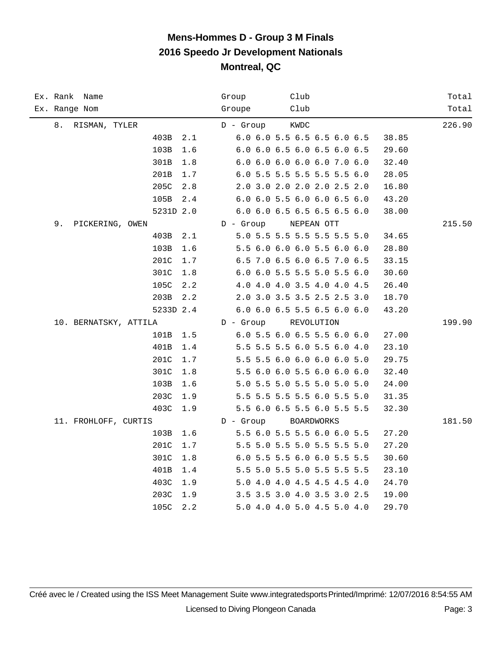| Ex. Rank Name<br>Ex. Range Nom | Club<br>Group<br>Club<br>Groupe      | Total<br>Total |
|--------------------------------|--------------------------------------|----------------|
|                                |                                      |                |
| 8. RISMAN, TYLER               | $D -$ Group<br>KWDC                  | 226.90         |
| 403B<br>2.1                    | 6.0 6.0 5.5 6.5 6.5 6.0 6.5<br>38.85 |                |
| 103B<br>1.6                    | 6.0 6.0 6.5 6.0 6.5 6.0 6.5<br>29.60 |                |
| 301B<br>1.8                    | 6.0 6.0 6.0 6.0 6.0 7.0 6.0<br>32.40 |                |
| 201B<br>1.7                    | 6.0 5.5 5.5 5.5 5.5 5.5 6.0<br>28.05 |                |
| 205C<br>2.8                    | 2.0 3.0 2.0 2.0 2.0 2.5 2.0<br>16.80 |                |
| 105B<br>2.4                    | 6.0 6.0 5.5 6.0 6.0 6.5 6.0<br>43.20 |                |
| 5231D 2.0                      | 6.0 6.0 6.5 6.5 6.5 6.5 6.0<br>38.00 |                |
| 9.<br>PICKERING, OWEN          | D - Group<br>NEPEAN OTT              | 215.50         |
| 403B<br>2.1                    | 5.0 5.5 5.5 5.5 5.5 5.5 5.0<br>34.65 |                |
| 103B<br>1.6                    | 5.5 6.0 6.0 6.0 5.5 6.0 6.0<br>28.80 |                |
| 201C<br>1.7                    | 6.5 7.0 6.5 6.0 6.5 7.0 6.5<br>33.15 |                |
| 301C<br>1.8                    | 6.0 6.0 5.5 5.5 5.0 5.5 6.0<br>30.60 |                |
| 105C<br>2.2                    | 4.0 4.0 4.0 3.5 4.0 4.0 4.5<br>26.40 |                |
| 203B<br>2.2                    | 2.0 3.0 3.5 3.5 2.5 2.5 3.0<br>18.70 |                |
| 5233D 2.4                      | 6.0 6.0 6.5 5.5 6.5 6.0 6.0<br>43.20 |                |
| 10. BERNATSKY, ATTILA          | $D -$ Group<br>REVOLUTION            | 199.90         |
| 101B<br>1.5                    | 6.0 5.5 6.0 6.5 5.5 6.0 6.0<br>27.00 |                |
| 401B<br>1.4                    | 5.5 5.5 5.5 6.0 5.5 6.0 4.0<br>23.10 |                |
| 201C<br>1.7                    | 5.5 5.5 6.0 6.0 6.0 6.0 5.0<br>29.75 |                |
| 301C<br>1.8                    | 5.5 6.0 6.0 5.5 6.0 6.0 6.0<br>32.40 |                |
| 103B<br>1.6                    | 5.0 5.5 5.0 5.5 5.0 5.0 5.0<br>24.00 |                |
| 203C<br>1.9                    | 5.5 5.5 5.5 5.5 6.0 5.5 5.0<br>31.35 |                |
| 403C<br>1.9                    | 5.5 6.0 6.5 5.5 6.0 5.5 5.5<br>32.30 |                |
| 11. FROHLOFF, CURTIS           | $D -$ Group<br>BOARDWORKS            | 181.50         |
| 103B<br>1.6                    | 5.5 6.0 5.5 5.5 6.0 6.0 5.5<br>27.20 |                |
| 201C<br>1.7                    | 5.5 5.0 5.5 5.0 5.5 5.5 5.0<br>27.20 |                |
| 301C<br>1.8                    | 6.0 5.5 5.5 6.0 6.0 5.5 5.5<br>30.60 |                |
| 401B<br>1.4                    | 5.5 5.0 5.5 5.0 5.5 5.5 5.5<br>23.10 |                |
| 403C<br>1.9                    | 5.0 4.0 4.0 4.5 4.5 4.5 4.0<br>24.70 |                |
| 203C<br>1.9                    | 3.5 3.5 3.0 4.0 3.5 3.0 2.5<br>19.00 |                |
| 105C<br>2.2                    | 5.0 4.0 4.0 5.0 4.5 5.0 4.0<br>29.70 |                |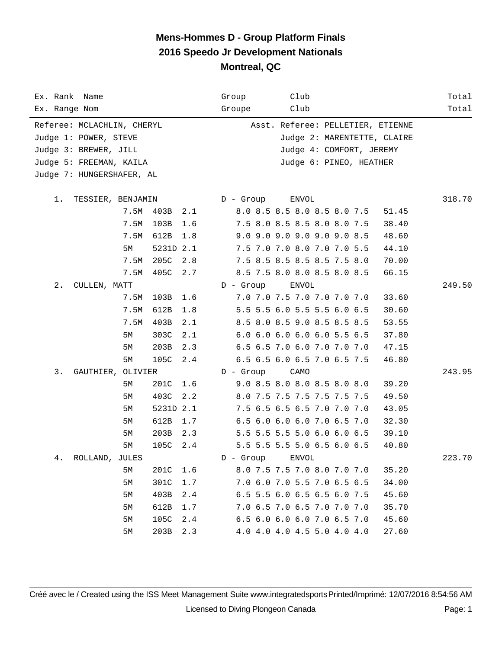| Ex. Rank Name              |      |           |     | Club<br>Group                        | Total  |
|----------------------------|------|-----------|-----|--------------------------------------|--------|
| Ex. Range Nom              |      |           |     | Club<br>Groupe                       | Total  |
| Referee: MCLACHLIN, CHERYL |      |           |     | Asst. Referee: PELLETIER, ETIENNE    |        |
| Judge 1: POWER, STEVE      |      |           |     | Judge 2: MARENTETTE, CLAIRE          |        |
| Judge 3: BREWER, JILL      |      |           |     | Judge 4: COMFORT, JEREMY             |        |
| Judge 5: FREEMAN, KAILA    |      |           |     | Judge 6: PINEO, HEATHER              |        |
| Judge 7: HUNGERSHAFER, AL  |      |           |     |                                      |        |
|                            |      |           |     |                                      |        |
| 1.<br>TESSIER, BENJAMIN    |      |           |     | D - Group<br>ENVOL                   | 318.70 |
|                            | 7.5M | 403B      | 2.1 | 8.0 8.5 8.5 8.0 8.5 8.0 7.5<br>51.45 |        |
|                            | 7.5M | 103B      | 1.6 | 7.5 8.0 8.5 8.5 8.0 8.0 7.5<br>38.40 |        |
|                            | 7.5M | 612B      | 1.8 | 9.0 9.0 9.0 9.0 9.0 9.0 8.5<br>48.60 |        |
|                            | 5М   | 5231D 2.1 |     | 7.5 7.0 7.0 8.0 7.0 7.0 5.5<br>44.10 |        |
|                            | 7.5M | 205C      | 2.8 | 7.5 8.5 8.5 8.5 8.5 7.5 8.0<br>70.00 |        |
|                            | 7.5M | 405C      | 2.7 | 8.5 7.5 8.0 8.0 8.5 8.0 8.5<br>66.15 |        |
| $2$ .<br>CULLEN, MATT      |      |           |     | $D -$ Group<br>ENVOL                 | 249.50 |
|                            | 7.5M | 103B      | 1.6 | 7.0 7.0 7.5 7.0 7.0 7.0 7.0<br>33.60 |        |
|                            | 7.5M | 612B      | 1.8 | 5.5 5.5 6.0 5.5 5.5 6.0 6.5<br>30.60 |        |
|                            | 7.5M | 403B      | 2.1 | 8.5 8.0 8.5 9.0 8.5 8.5 8.5<br>53.55 |        |
|                            | 5M   | 303C      | 2.1 | 6.0 6.0 6.0 6.0 6.0 5.5 6.5<br>37.80 |        |
|                            | 5М   | 203B      | 2.3 | 6.5 6.5 7.0 6.0 7.0 7.0 7.0<br>47.15 |        |
|                            | 5М   | 105C      | 2.4 | 6.5 6.5 6.0 6.5 7.0 6.5 7.5<br>46.80 |        |
| 3.<br>GAUTHIER, OLIVIER    |      |           |     | $D -$ Group<br>CAMO                  | 243.95 |
|                            | 5М   | 201C      | 1.6 | 9.0 8.5 8.0 8.0 8.5 8.0 8.0<br>39.20 |        |
|                            | 5М   | 403C      | 2.2 | 8.0 7.5 7.5 7.5 7.5 7.5 7.5<br>49.50 |        |
|                            | 5М   | 5231D 2.1 |     | 7.5 6.5 6.5 6.5 7.0 7.0 7.0<br>43.05 |        |
|                            | 5М   | 612B      | 1.7 | 6.5 6.0 6.0 6.0 7.0 6.5 7.0<br>32.30 |        |
|                            | 5М   | 203B      | 2.3 | 5.5 5.5 5.5 5.0 6.0 6.0 6.5<br>39.10 |        |
|                            | 5М   | 105C      | 2.4 | 5.5 5.5 5.5 5.0 6.5 6.0 6.5<br>40.80 |        |
| 4.<br>ROLLAND, JULES       |      |           |     | $D -$ Group<br>ENVOL                 | 223.70 |
|                            | 5M   | 201C      | 1.6 | 8.0 7.5 7.5 7.0 8.0 7.0 7.0<br>35.20 |        |
|                            | 5M   | 301C      | 1.7 | 7.0 6.0 7.0 5.5 7.0 6.5 6.5<br>34.00 |        |
|                            | 5M   | 403B      | 2.4 | 6.5 5.5 6.0 6.5 6.5 6.0 7.5<br>45.60 |        |
|                            | 5М   | 612B      | 1.7 | 7.0 6.5 7.0 6.5 7.0 7.0 7.0<br>35.70 |        |
|                            | 5M   | 105C      | 2.4 | 6.5 6.0 6.0 6.0 7.0 6.5 7.0<br>45.60 |        |
|                            | 5M   | 203B      | 2.3 | 4.0 4.0 4.0 4.5 5.0 4.0 4.0<br>27.60 |        |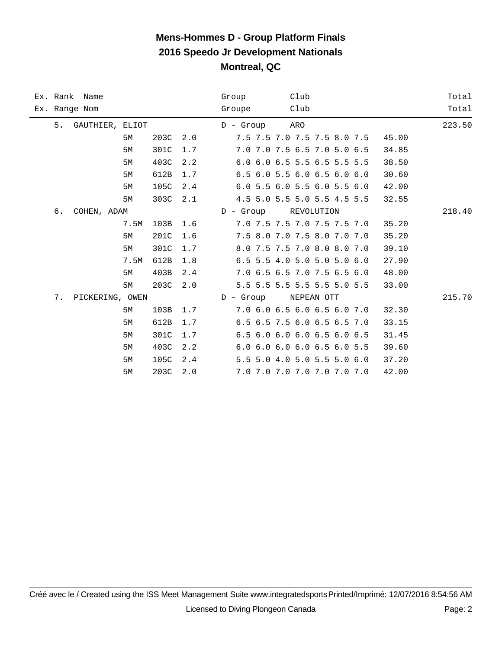| Ex. Rank Name |                    |      |     | Group                | Club |                             |       | Total  |
|---------------|--------------------|------|-----|----------------------|------|-----------------------------|-------|--------|
| Ex. Range Nom |                    |      |     | Groupe               | Club |                             |       | Total  |
|               | 5. GAUTHIER, ELIOT |      |     | D - Group ARO        |      |                             |       | 223.50 |
|               | 5М                 | 203C | 2.0 |                      |      | 7.5 7.5 7.0 7.5 7.5 8.0 7.5 | 45.00 |        |
|               | 5M                 | 301C | 1.7 |                      |      | 7.0 7.0 7.5 6.5 7.0 5.0 6.5 | 34.85 |        |
|               | 5M                 | 403C | 2.2 |                      |      | 6.0 6.0 6.5 5.5 6.5 5.5 5.5 | 38.50 |        |
|               | 5М                 | 612B | 1.7 |                      |      | 6.5 6.0 5.5 6.0 6.5 6.0 6.0 | 30.60 |        |
|               | 5М                 | 105C | 2.4 |                      |      | 6.0 5.5 6.0 5.5 6.0 5.5 6.0 | 42.00 |        |
|               | 5М                 | 303C | 2.1 |                      |      | 4.5 5.0 5.5 5.0 5.5 4.5 5.5 | 32.55 |        |
| б.            | COHEN, ADAM        |      |     | D - Group REVOLUTION |      |                             |       | 218.40 |
|               | 7.5M               | 103B | 1.6 |                      |      | 7.0 7.5 7.5 7.0 7.5 7.5 7.0 | 35.20 |        |
|               | 5М                 | 201C | 1.6 |                      |      | 7.5 8.0 7.0 7.5 8.0 7.0 7.0 | 35.20 |        |
|               | 5М                 | 301C | 1.7 |                      |      | 8.0 7.5 7.5 7.0 8.0 8.0 7.0 | 39.10 |        |
|               | 7.5M               | 612B | 1.8 |                      |      | 6.5 5.5 4.0 5.0 5.0 5.0 6.0 | 27.90 |        |
|               | 5М                 | 403B | 2.4 |                      |      | 7.0 6.5 6.5 7.0 7.5 6.5 6.0 | 48.00 |        |
|               | 5М                 | 203C | 2.0 |                      |      | 5.5 5.5 5.5 5.5 5.5 5.0 5.5 | 33.00 |        |
|               | 7. PICKERING, OWEN |      |     | D - Group            |      | NEPEAN OTT                  |       | 215.70 |
|               | 5М                 | 103B | 1.7 |                      |      | 7.0 6.0 6.5 6.0 6.5 6.0 7.0 | 32.30 |        |
|               | 5M                 | 612B | 1.7 |                      |      | 6.5 6.5 7.5 6.0 6.5 6.5 7.0 | 33.15 |        |
|               | 5M                 | 301C | 1.7 |                      |      | 6.5 6.0 6.0 6.0 6.5 6.0 6.5 | 31.45 |        |
|               | 5M                 | 403C | 2.2 |                      |      | 6.0 6.0 6.0 6.0 6.5 6.0 5.5 | 39.60 |        |
|               | 5М                 | 105C | 2.4 |                      |      | 5.5 5.0 4.0 5.0 5.5 5.0 6.0 | 37.20 |        |
|               | 5М                 | 203C | 2.0 |                      |      | 7.0 7.0 7.0 7.0 7.0 7.0 7.0 | 42.00 |        |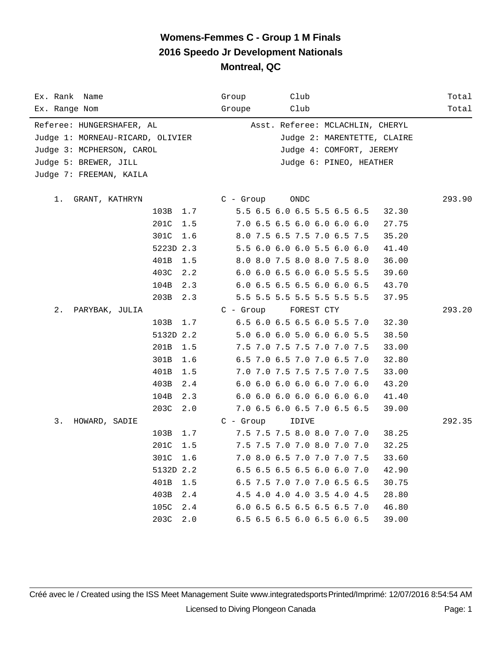| Ex. Rank Name                    |             | Club<br>Group                        | Total  |
|----------------------------------|-------------|--------------------------------------|--------|
| Ex. Range Nom                    |             | Club<br>Groupe                       | Total  |
| Referee: HUNGERSHAFER, AL        |             | Asst. Referee: MCLACHLIN, CHERYL     |        |
| Judge 1: MORNEAU-RICARD, OLIVIER |             | Judge 2: MARENTETTE, CLAIRE          |        |
| Judge 3: MCPHERSON, CAROL        |             | Judge 4: COMFORT, JEREMY             |        |
| Judge 5: BREWER, JILL            |             | Judge 6: PINEO, HEATHER              |        |
| Judge 7: FREEMAN, KAILA          |             |                                      |        |
|                                  |             |                                      |        |
| 1.<br>GRANT, KATHRYN             |             | ONDC<br>$C - Group$                  | 293.90 |
|                                  | 103B 1.7    | 5.5 6.5 6.0 6.5 5.5 6.5 6.5<br>32.30 |        |
|                                  | 201C<br>1.5 | 7.0 6.5 6.5 6.0 6.0 6.0 6.0<br>27.75 |        |
|                                  | 301C<br>1.6 | 8.0 7.5 6.5 7.5 7.0 6.5 7.5<br>35.20 |        |
|                                  | 5223D 2.3   | 5.5 6.0 6.0 6.0 5.5 6.0 6.0<br>41.40 |        |
|                                  | 401B<br>1.5 | 8.0 8.0 7.5 8.0 8.0 7.5 8.0<br>36.00 |        |
|                                  | 403C<br>2.2 | 6.0 6.0 6.5 6.0 6.0 5.5 5.5<br>39.60 |        |
|                                  | 104B<br>2.3 | 6.0 6.5 6.5 6.5 6.0 6.0 6.5<br>43.70 |        |
|                                  | 203B<br>2.3 | 5.5 5.5 5.5 5.5 5.5 5.5 5.5<br>37.95 |        |
| 2.<br>PARYBAK, JULIA             |             | $C - Grow$<br>FOREST CTY             | 293.20 |
|                                  | 103B<br>1.7 | 6.5 6.0 6.5 6.5 6.0 5.5 7.0<br>32.30 |        |
|                                  | 5132D 2.2   | 5.0 6.0 6.0 5.0 6.0 6.0 5.5<br>38.50 |        |
|                                  | 201B<br>1.5 | 7.5 7.0 7.5 7.5 7.0 7.0 7.5<br>33.00 |        |
|                                  | 301B<br>1.6 | 6.5 7.0 6.5 7.0 7.0 6.5 7.0<br>32.80 |        |
|                                  | 401B<br>1.5 | 7.0 7.0 7.5 7.5 7.5 7.0 7.5<br>33.00 |        |
|                                  | 403B<br>2.4 | 6.0 6.0 6.0 6.0 6.0 7.0 6.0<br>43.20 |        |
|                                  | 104B<br>2.3 | 6.0 6.0 6.0 6.0 6.0 6.0 6.0<br>41.40 |        |
|                                  | 203C<br>2.0 | 7.0 6.5 6.0 6.5 7.0 6.5 6.5<br>39.00 |        |
| 3.<br>HOWARD, SADIE              |             | $C - Group$<br>IDIVE                 | 292.35 |
|                                  | 103B<br>1.7 | 7.5 7.5 7.5 8.0 8.0 7.0 7.0<br>38.25 |        |
|                                  | 201C<br>1.5 | 7.5 7.5 7.0 7.0 8.0 7.0 7.0<br>32.25 |        |
|                                  | 301C<br>1.6 | 7.0 8.0 6.5 7.0 7.0 7.0 7.5<br>33.60 |        |
|                                  | 5132D 2.2   | 6.5 6.5 6.5 6.5 6.0 6.0 7.0<br>42.90 |        |
|                                  | 401B<br>1.5 | 6.5 7.5 7.0 7.0 7.0 6.5 6.5<br>30.75 |        |
|                                  | 403B<br>2.4 | 4.5 4.0 4.0 4.0 3.5 4.0 4.5<br>28.80 |        |
|                                  | 105C<br>2.4 | 6.0 6.5 6.5 6.5 6.5 6.5 7.0<br>46.80 |        |
|                                  | 203C<br>2.0 | 6.5 6.5 6.5 6.0 6.5 6.0 6.5<br>39.00 |        |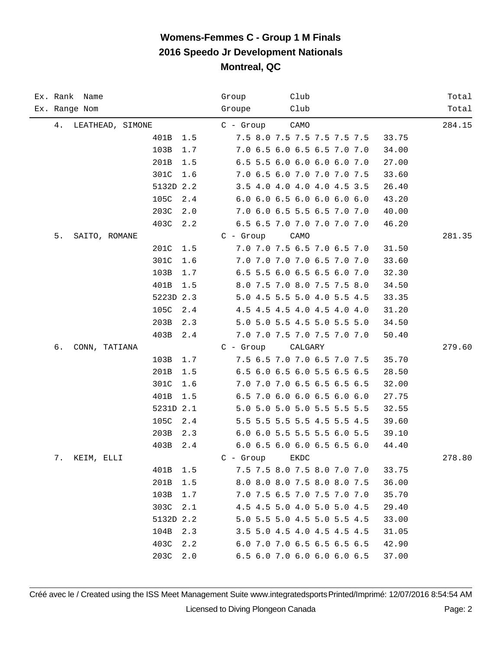| Ex. Rank Name          | Club<br>Group                        | Total  |
|------------------------|--------------------------------------|--------|
| Ex. Range Nom          | Club<br>Groupe                       | Total  |
| LEATHEAD, SIMONE<br>4. | CAMO<br>$C -$ Group                  | 284.15 |
| 401B<br>1.5            | 7.5 8.0 7.5 7.5 7.5 7.5 7.5<br>33.75 |        |
| 103B<br>1.7            | 7.0 6.5 6.0 6.5 6.5 7.0 7.0<br>34.00 |        |
| 201B<br>1.5            | 6.5 5.5 6.0 6.0 6.0 6.0 7.0<br>27.00 |        |
| 301C<br>1.6            | 7.0 6.5 6.0 7.0 7.0 7.0 7.5<br>33.60 |        |
| 5132D 2.2              | 3.5 4.0 4.0 4.0 4.0 4.5 3.5<br>26.40 |        |
| 105C<br>2.4            | 6.0 6.0 6.5 6.0 6.0 6.0 6.0<br>43.20 |        |
| 203C<br>2.0            | 7.0 6.0 6.5 5.5 6.5 7.0 7.0<br>40.00 |        |
| 403C<br>2.2            | 6.5 6.5 7.0 7.0 7.0 7.0 7.0<br>46.20 |        |
| 5.<br>SAITO, ROMANE    | $C - Growp$<br>CAMO                  | 281.35 |
| 201C<br>1.5            | 7.0 7.0 7.5 6.5 7.0 6.5 7.0<br>31.50 |        |
| 301C<br>1.6            | 7.0 7.0 7.0 7.0 6.5 7.0 7.0<br>33.60 |        |
| 103B<br>1.7            | 6.5 5.5 6.0 6.5 6.5 6.0 7.0<br>32.30 |        |
| 401B<br>1.5            | 8.0 7.5 7.0 8.0 7.5 7.5 8.0<br>34.50 |        |
| 5223D 2.3              | 5.0 4.5 5.5 5.0 4.0 5.5 4.5<br>33.35 |        |
| 105C<br>2.4            | 4.5 4.5 4.5 4.0 4.5 4.0 4.0<br>31.20 |        |
| 203B<br>2.3            | 5.0 5.0 5.5 4.5 5.0 5.5 5.0<br>34.50 |        |
| 403B<br>2.4            | 7.0 7.0 7.5 7.0 7.5 7.0 7.0<br>50.40 |        |
| б.<br>CONN, TATIANA    | $C -$ Group<br>CALGARY               | 279.60 |
| 103B<br>1.7            | 7.5 6.5 7.0 7.0 6.5 7.0 7.5<br>35.70 |        |
| 201B<br>1.5            | 6.5 6.0 6.5 6.0 5.5 6.5 6.5<br>28.50 |        |
| 301C<br>1.6            | 7.0 7.0 7.0 6.5 6.5 6.5 6.5<br>32.00 |        |
| 401B<br>1.5            | 6.5 7.0 6.0 6.0 6.5 6.0 6.0<br>27.75 |        |
| 5231D 2.1              | 5.0 5.0 5.0 5.0 5.5 5.5 5.5<br>32.55 |        |
| 105C<br>2.4            | 5.5 5.5 5.5 5.5 4.5 5.5 4.5<br>39.60 |        |
| 203B<br>2.3            | 6.0 6.0 5.5 5.5 5.5 6.0 5.5<br>39.10 |        |
| 403B<br>2.4            | 6.0 6.5 6.0 6.0 6.5 6.5 6.0<br>44.40 |        |
| 7.<br>KEIM, ELLI       | $C -$ Group<br>EKDC                  | 278.80 |
| 401B<br>1.5            | 7.5 7.5 8.0 7.5 8.0 7.0 7.0<br>33.75 |        |
| 201B<br>1.5            | 8.0 8.0 8.0 7.5 8.0 8.0 7.5<br>36.00 |        |
| 103B<br>1.7            | 7.0 7.5 6.5 7.0 7.5 7.0 7.0<br>35.70 |        |
| 303C<br>2.1            | 4.5 4.5 5.0 4.0 5.0 5.0 4.5<br>29.40 |        |
| 5132D 2.2              | 5.0 5.5 5.0 4.5 5.0 5.5 4.5<br>33.00 |        |
| 104B<br>2.3            | 3.5 5.0 4.5 4.0 4.5 4.5 4.5<br>31.05 |        |
| 403C<br>2.2            | 6.0 7.0 7.0 6.5 6.5 6.5 6.5<br>42.90 |        |
| 203C<br>2.0            | 6.5 6.0 7.0 6.0 6.0 6.0 6.5<br>37.00 |        |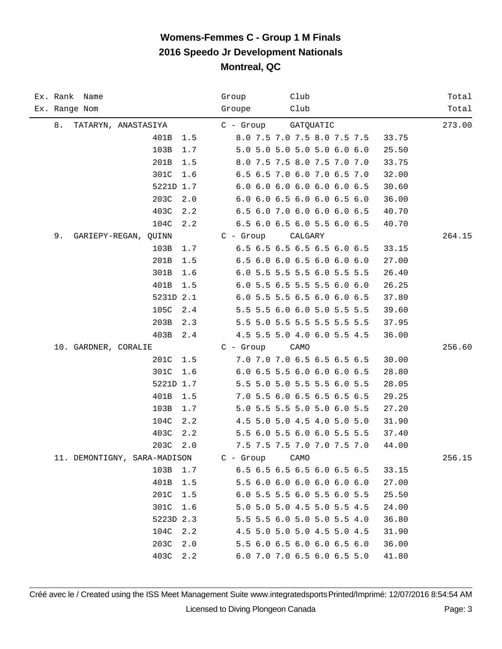| Ex. Rank Name                | Club<br>Group                        | Total  |
|------------------------------|--------------------------------------|--------|
| Ex. Range Nom                | Groupe<br>Club                       | Total  |
| 8.<br>TATARYN, ANASTASIYA    | C - Group<br>GATQUATIC               | 273.00 |
| 401B<br>1.5                  | 8.0 7.5 7.0 7.5 8.0 7.5 7.5<br>33.75 |        |
| 103B<br>1.7                  | 5.0 5.0 5.0 5.0 5.0 6.0 6.0<br>25.50 |        |
| 201B<br>1.5                  | 8.0 7.5 7.5 8.0 7.5 7.0 7.0<br>33.75 |        |
| 301C<br>1.6                  | 6.5 6.5 7.0 6.0 7.0 6.5 7.0<br>32.00 |        |
| 5221D 1.7                    | 6.0 6.0 6.0 6.0 6.0 6.0 6.5<br>30.60 |        |
| 203C<br>2.0                  | 6.0 6.0 6.5 6.0 6.0 6.5 6.0<br>36.00 |        |
| 403C<br>2.2                  | 6.5 6.0 7.0 6.0 6.0 6.0 6.5<br>40.70 |        |
| 104C<br>2.2                  | 6.5 6.0 6.5 6.0 5.5 6.0 6.5<br>40.70 |        |
| 9.<br>GARIEPY-REGAN, QUINN   | $C - Group$<br>CALGARY               | 264.15 |
| 103B<br>1.7                  | 6.5 6.5 6.5 6.5 6.5 6.0 6.5<br>33.15 |        |
| 201B<br>1.5                  | 6.5 6.0 6.0 6.5 6.0 6.0 6.0<br>27.00 |        |
| 301B<br>1.6                  | 6.0 5.5 5.5 5.5 6.0 5.5 5.5<br>26.40 |        |
| 401B<br>1.5                  | 6.0 5.5 6.5 5.5 5.5 6.0 6.0<br>26.25 |        |
| 5231D 2.1                    | 6.0 5.5 5.5 6.5 6.0 6.0 6.5<br>37.80 |        |
| 105C<br>2.4                  | 5.5 5.5 6.0 6.0 5.0 5.5 5.5<br>39.60 |        |
| 203B<br>2.3                  | 5.5 5.0 5.5 5.5 5.5 5.5 5.5<br>37.95 |        |
| 403B<br>2.4                  | 4.5 5.5 5.0 4.0 6.0 5.5 4.5<br>36.00 |        |
| 10. GARDNER, CORALIE         | $C -$ Group<br>CAMO                  | 256.60 |
| 201C<br>1.5                  | 7.0 7.0 7.0 6.5 6.5 6.5 6.5<br>30.00 |        |
| 301C<br>1.6                  | 6.0 6.5 5.5 6.0 6.0 6.0 6.5<br>28.80 |        |
| 5221D 1.7                    | 5.5 5.0 5.0 5.5 5.5 6.0 5.5<br>28.05 |        |
| 401B<br>1.5                  | 7.0 5.5 6.0 6.5 6.5 6.5 6.5<br>29.25 |        |
| 103B<br>1.7                  | 5.0 5.5 5.5 5.0 5.0 6.0 5.5<br>27.20 |        |
| 104C<br>2.2                  | 4.5 5.0 5.0 4.5 4.0 5.0 5.0<br>31.90 |        |
| 403C<br>2.2                  | 5.5 6.0 5.5 6.0 6.0 5.5 5.5<br>37.40 |        |
| 203C<br>2.0                  | 7.5 7.5 7.5 7.0 7.0 7.5 7.0<br>44.00 |        |
| 11. DEMONTIGNY, SARA-MADISON | $C -$ Group<br>CAMO                  | 256.15 |
| 103B<br>1.7                  | 6.5 6.5 6.5 6.5 6.0 6.5 6.5<br>33.15 |        |
| 401B<br>1.5                  | 5.5 6.0 6.0 6.0 6.0 6.0 6.0<br>27.00 |        |
| 201C<br>1.5                  | 6.0 5.5 5.5 6.0 5.5 6.0 5.5<br>25.50 |        |
| 301C<br>1.6                  | 5.0 5.0 5.0 4.5 5.0 5.5 4.5<br>24.00 |        |
| 5223D 2.3                    | 5.5 5.5 6.0 5.0 5.0 5.5 4.0<br>36.80 |        |
| 104C<br>2.2                  | 4.5 5.0 5.0 5.0 4.5 5.0 4.5<br>31.90 |        |
| 203C<br>2.0                  | 5.5 6.0 6.5 6.0 6.0 6.5 6.0<br>36.00 |        |
| 403C<br>2.2                  | 6.0 7.0 7.0 6.5 6.0 6.5 5.0<br>41.80 |        |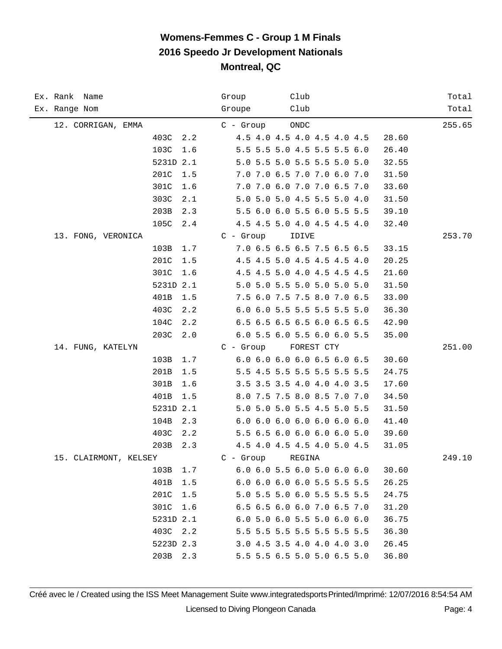| Ex. Rank Name         | Group       | Club                                  | Total  |
|-----------------------|-------------|---------------------------------------|--------|
| Ex. Range Nom         | Groupe      | Club                                  | Total  |
| 12. CORRIGAN, EMMA    | $C -$ Group | ONDC                                  | 255.65 |
| 403C<br>2.2           |             | 4.5 4.0 4.5 4.0 4.5 4.0 4.5           | 28.60  |
| 103C<br>1.6           |             | 5.5 5.5 5.0 4.5 5.5 5.5 6.0           | 26.40  |
| 5231D 2.1             |             | 5.0 5.5 5.0 5.5 5.5 5.0 5.0           | 32.55  |
| 201C<br>1.5           |             | 7.0 7.0 6.5 7.0 7.0 6.0 7.0           | 31.50  |
| 301C<br>1.6           |             | 7.0 7.0 6.0 7.0 7.0 6.5 7.0           | 33.60  |
| 303C<br>2.1           |             | 5.0 5.0 5.0 4.5 5.5 5.0 4.0           | 31.50  |
| 203B<br>2.3           |             | 5.5 6.0 6.0 5.5 6.0 5.5 5.5           | 39.10  |
| 105C<br>2.4           |             | 4.5 4.5 5.0 4.0 4.5 4.5 4.0           | 32.40  |
| 13. FONG, VERONICA    | $C - Group$ | IDIVE                                 | 253.70 |
| 103B<br>1.7           |             | 7.0 6.5 6.5 6.5 7.5 6.5 6.5           | 33.15  |
| 201C<br>1.5           |             | 4.5 4.5 5.0 4.5 4.5 4.5 4.0           | 20.25  |
| 301C<br>1.6           |             | 4.5 4.5 5.0 4.0 4.5 4.5 4.5           | 21.60  |
| 5231D 2.1             |             | 5.0 5.0 5.5 5.0 5.0 5.0 5.0           | 31.50  |
| 401B<br>1.5           |             | 7.5 6.0 7.5 7.5 8.0 7.0 6.5           | 33.00  |
| 403C<br>2.2           |             | 6.0 6.0 5.5 5.5 5.5 5.5 5.0           | 36.30  |
| 104C<br>2.2           |             | 6.5 6.5 6.5 6.5 6.0 6.5 6.5           | 42.90  |
| 203C<br>2.0           |             | 6.0 5.5 6.0 5.5 6.0 6.0 5.5           | 35.00  |
| 14. FUNG, KATELYN     | C - Group   | FOREST CTY                            | 251.00 |
| 103B<br>1.7           |             | 6.0 6.0 6.0 6.0 6.5 6.0 6.5           | 30.60  |
| 201B<br>1.5           |             | 5.5 4.5 5.5 5.5 5.5 5.5 5.5           | 24.75  |
| 301B<br>1.6           |             | 3.5 3.5 3.5 4.0 4.0 4.0 3.5           | 17.60  |
| 401B<br>1.5           |             | 8.0 7.5 7.5 8.0 8.5 7.0 7.0           | 34.50  |
| 5231D 2.1             |             | 5.0 5.0 5.0 5.5 4.5 5.0 5.5           | 31.50  |
| 104B<br>2.3           |             | 6.0 6.0 6.0 6.0 6.0 6.0 6.0           | 41.40  |
| 403C<br>2.2           |             | 5.5 6.5 6.0 6.0 6.0 6.0 5.0           | 39.60  |
| 203B<br>2.3           |             | 4.5 4.0 4.5 4.5 4.0 5.0 4.5           | 31.05  |
| 15. CLAIRMONT, KELSEY | $C -$ Group | REGINA                                | 249.10 |
| 1.7<br>103B           |             | $6.0$ $6.0$ 5.5 $6.0$ 5.0 $6.0$ $6.0$ | 30.60  |
| 401B<br>1.5           |             | 6.0 6.0 6.0 6.0 5.5 5.5 5.5           | 26.25  |
| 201C<br>1.5           |             | 5.0 5.5 5.0 6.0 5.5 5.5 5.5           | 24.75  |
| 301C<br>1.6           |             | 6.5 6.5 6.0 6.0 7.0 6.5 7.0           | 31.20  |
| 5231D 2.1             |             | 6.0 5.0 6.0 5.5 5.0 6.0 6.0           | 36.75  |
| 403C 2.2              |             | 5.5 5.5 5.5 5.5 5.5 5.5 5.5           | 36.30  |
| 5223D 2.3             |             | 3.0 4.5 3.5 4.0 4.0 4.0 3.0           | 26.45  |
| 203B 2.3              |             | 5.5 5.5 6.5 5.0 5.0 6.5 5.0           | 36.80  |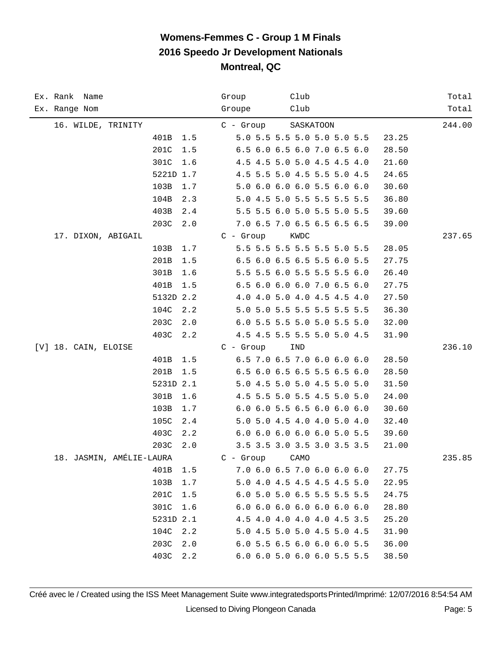| Ex. Rank Name        |                                                                   |                                               | Group       | Club                                                                                                                                                                                                                                              |                                                                      | Total  |
|----------------------|-------------------------------------------------------------------|-----------------------------------------------|-------------|---------------------------------------------------------------------------------------------------------------------------------------------------------------------------------------------------------------------------------------------------|----------------------------------------------------------------------|--------|
| Ex. Range Nom        |                                                                   |                                               | Groupe      | Club                                                                                                                                                                                                                                              |                                                                      | Total  |
|                      | 16. WILDE, TRINITY                                                |                                               | $C -$ Group | SASKATOON                                                                                                                                                                                                                                         |                                                                      | 244.00 |
|                      | 401B                                                              | 1.5                                           |             | 5.0 5.5 5.5 5.0 5.0 5.0 5.5                                                                                                                                                                                                                       | 23.25                                                                |        |
|                      | 201C                                                              | 1.5                                           |             | 6.5 6.0 6.5 6.0 7.0 6.5 6.0                                                                                                                                                                                                                       | 28.50                                                                |        |
|                      | 301C                                                              | 1.6                                           |             | 4.5 4.5 5.0 5.0 4.5 4.5 4.0                                                                                                                                                                                                                       | 21.60                                                                |        |
|                      | 5221D 1.7                                                         |                                               |             | 4.5 5.5 5.0 4.5 5.5 5.0 4.5                                                                                                                                                                                                                       | 24.65                                                                |        |
|                      | 103B                                                              | 1.7                                           |             | 5.0 6.0 6.0 6.0 5.5 6.0 6.0                                                                                                                                                                                                                       | 30.60                                                                |        |
|                      | 104B                                                              | 2.3                                           |             | 5.0 4.5 5.0 5.5 5.5 5.5 5.5                                                                                                                                                                                                                       | 36.80                                                                |        |
|                      | 403B                                                              | 2.4                                           |             | 5.5 5.5 6.0 5.0 5.5 5.0 5.5                                                                                                                                                                                                                       | 39.60                                                                |        |
|                      | 203C                                                              | 2.0                                           |             | 7.0 6.5 7.0 6.5 6.5 6.5 6.5                                                                                                                                                                                                                       | 39.00                                                                |        |
|                      | 17. DIXON, ABIGAIL                                                |                                               | $C - Group$ | KWDC                                                                                                                                                                                                                                              |                                                                      | 237.65 |
|                      | 103B                                                              | $1.7$                                         |             | 5.5 5.5 5.5 5.5 5.5 5.0 5.5                                                                                                                                                                                                                       | 28.05                                                                |        |
|                      | 201B                                                              | 1.5                                           |             | 6.5 6.0 6.5 6.5 5.5 6.0 5.5                                                                                                                                                                                                                       | 27.75                                                                |        |
|                      | 301B                                                              | 1.6                                           |             | 5.5 5.5 6.0 5.5 5.5 5.5 6.0                                                                                                                                                                                                                       | 26.40                                                                |        |
|                      | 401B                                                              | 1.5                                           |             | 6.5 6.0 6.0 6.0 7.0 6.5 6.0                                                                                                                                                                                                                       | 27.75                                                                |        |
|                      | 5132D 2.2                                                         |                                               |             | 4.0 4.0 5.0 4.0 4.5 4.5 4.0                                                                                                                                                                                                                       | 27.50                                                                |        |
|                      | 104C                                                              | 2.2                                           |             | 5.0 5.0 5.5 5.5 5.5 5.5 5.5                                                                                                                                                                                                                       | 36.30                                                                |        |
|                      | 203C                                                              | 2.0                                           |             | 6.0 5.5 5.5 5.0 5.0 5.5 5.0                                                                                                                                                                                                                       | 32.00                                                                |        |
|                      | 403C                                                              | 2.2                                           |             | 4.5 4.5 5.5 5.5 5.0 5.0 4.5                                                                                                                                                                                                                       | 31.90                                                                |        |
| [V] 18. CAIN, ELOISE |                                                                   |                                               | $C -$ Group | IND                                                                                                                                                                                                                                               |                                                                      | 236.10 |
|                      | 401B                                                              | 1.5                                           |             | 6.5 7.0 6.5 7.0 6.0 6.0 6.0                                                                                                                                                                                                                       | 28.50                                                                |        |
|                      | 201B                                                              | 1.5                                           |             | 6.5 6.0 6.5 6.5 5.5 6.5 6.0                                                                                                                                                                                                                       | 28.50                                                                |        |
|                      | 5231D 2.1                                                         |                                               |             | 5.0 4.5 5.0 5.0 4.5 5.0 5.0                                                                                                                                                                                                                       | 31.50                                                                |        |
|                      | 301B                                                              | 1.6                                           |             | 4.5 5.5 5.0 5.5 4.5 5.0 5.0                                                                                                                                                                                                                       | 24.00                                                                |        |
|                      | 103B                                                              | 1.7                                           |             | 6.0 6.0 5.5 6.5 6.0 6.0 6.0                                                                                                                                                                                                                       | 30.60                                                                |        |
|                      | 105C                                                              | 2.4                                           |             | 5.0 5.0 4.5 4.0 4.0 5.0 4.0                                                                                                                                                                                                                       | 32.40                                                                |        |
|                      | 403C                                                              | 2.2                                           |             | 6.0 6.0 6.0 6.0 6.0 5.0 5.5                                                                                                                                                                                                                       | 39.60                                                                |        |
|                      | 203C                                                              | 2.0                                           |             | 3.5 3.5 3.0 3.5 3.0 3.5 3.5                                                                                                                                                                                                                       | 21.00                                                                |        |
|                      | 18. JASMIN, AMÉLIE-LAURA                                          |                                               | $C -$ Group | CAMO                                                                                                                                                                                                                                              |                                                                      | 235.85 |
|                      |                                                                   |                                               |             |                                                                                                                                                                                                                                                   |                                                                      |        |
|                      |                                                                   |                                               |             |                                                                                                                                                                                                                                                   |                                                                      |        |
|                      |                                                                   |                                               |             |                                                                                                                                                                                                                                                   |                                                                      |        |
|                      |                                                                   |                                               |             |                                                                                                                                                                                                                                                   |                                                                      |        |
|                      |                                                                   |                                               |             |                                                                                                                                                                                                                                                   |                                                                      |        |
|                      |                                                                   |                                               |             |                                                                                                                                                                                                                                                   |                                                                      |        |
|                      |                                                                   |                                               |             |                                                                                                                                                                                                                                                   |                                                                      |        |
|                      | 401B<br>103B<br>201C<br>301C<br>5231D 2.1<br>104C<br>203C<br>403C | 1.5<br>1.7<br>1.5<br>1.6<br>2.2<br>2.0<br>2.2 |             | 7.0 6.0 6.5 7.0 6.0 6.0 6.0<br>5.0 4.0 4.5 4.5 4.5 4.5 5.0<br>6.0 5.0 5.0 6.5 5.5 5.5 5.5<br>6.06.06.06.06.06.06.06.0<br>4.5 4.0 4.0 4.0 4.0 4.5 3.5<br>5.0 4.5 5.0 5.0 4.5 5.0 4.5<br>6.0 5.5 6.5 6.0 6.0 6.0 5.5<br>6.0 6.0 5.0 6.0 6.0 5.5 5.5 | 27.75<br>22.95<br>24.75<br>28.80<br>25.20<br>31.90<br>36.00<br>38.50 |        |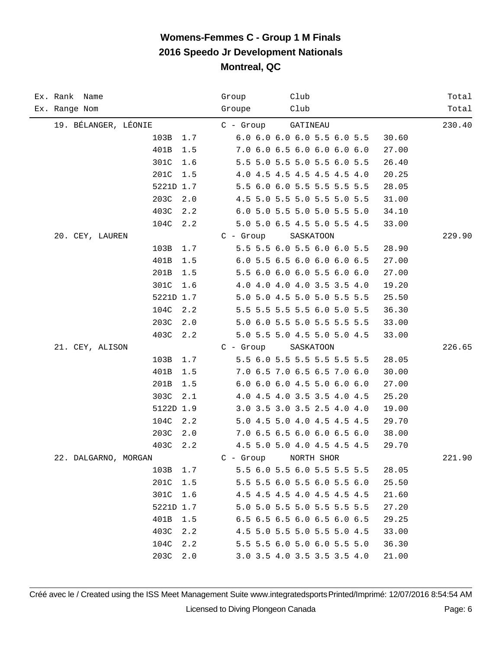| Ex. Rank Name        | Club<br>Group                        | Total  |
|----------------------|--------------------------------------|--------|
| Ex. Range Nom        | Club<br>Groupe                       | Total  |
| 19. BÉLANGER, LÉONIE | GATINEAU<br>C - Group                | 230.40 |
| 103B<br>1.7          | 6.0 6.0 6.0 6.0 5.5 6.0 5.5<br>30.60 |        |
| 401B<br>1.5          | 7.0 6.0 6.5 6.0 6.0 6.0 6.0<br>27.00 |        |
| 301C<br>1.6          | 5.5 5.0 5.5 5.0 5.5 6.0 5.5<br>26.40 |        |
| 201C<br>1.5          | 4.0 4.5 4.5 4.5 4.5 4.5 4.0<br>20.25 |        |
| 5221D 1.7            | 5.5 6.0 6.0 5.5 5.5 5.5 5.5<br>28.05 |        |
| 203C<br>2.0          | 4.5 5.0 5.5 5.0 5.5 5.0 5.5<br>31.00 |        |
| 403C<br>2.2          | 6.0 5.0 5.5 5.0 5.0 5.5 5.0<br>34.10 |        |
| 104C<br>2.2          | 5.0 5.0 6.5 4.5 5.0 5.5 4.5<br>33.00 |        |
| 20. CEY, LAUREN      | $C - Group$<br>SASKATOON             | 229.90 |
| 103B<br>1.7          | 5.5 5.5 6.0 5.5 6.0 6.0 5.5<br>28.90 |        |
| 401B<br>1.5          | 6.0 5.5 6.5 6.0 6.0 6.0 6.5<br>27.00 |        |
| 201B<br>1.5          | 5.5 6.0 6.0 6.0 5.5 6.0 6.0<br>27.00 |        |
| 301C<br>1.6          | 4.0 4.0 4.0 4.0 3.5 3.5 4.0<br>19.20 |        |
| 5221D 1.7            | 5.0 5.0 4.5 5.0 5.0 5.5 5.5<br>25.50 |        |
| 104C<br>2.2          | 5.5 5.5 5.5 5.5 6.0 5.0 5.5<br>36.30 |        |
| 203C<br>2.0          | 5.0 6.0 5.5 5.0 5.5 5.5 5.5<br>33.00 |        |
| 403C<br>2.2          | 5.0 5.5 5.0 4.5 5.0 5.0 4.5<br>33.00 |        |
| 21. CEY, ALISON      | $C -$ Group<br>SASKATOON             | 226.65 |
| 103B<br>1.7          | 5.5 6.0 5.5 5.5 5.5 5.5 5.5<br>28.05 |        |
| 401B<br>1.5          | 7.0 6.5 7.0 6.5 6.5 7.0 6.0<br>30.00 |        |
| 201B<br>1.5          | 6.0 6.0 6.0 4.5 5.0 6.0 6.0<br>27.00 |        |
| 303C<br>2.1          | 4.0 4.5 4.0 3.5 3.5 4.0 4.5<br>25.20 |        |
| 5122D 1.9            | 3.0 3.5 3.0 3.5 2.5 4.0 4.0<br>19.00 |        |
| 104C<br>2.2          | 5.0 4.5 5.0 4.0 4.5 4.5 4.5<br>29.70 |        |
| 203C<br>2.0          | 7.0 6.5 6.5 6.0 6.0 6.5 6.0<br>38.00 |        |
| 403C<br>2.2          | 4.5 5.0 5.0 4.0 4.5 4.5 4.5<br>29.70 |        |
| 22. DALGARNO, MORGAN | $C -$ Group<br>NORTH SHOR            | 221.90 |
| 103B<br>1.7          | 5.5 6.0 5.5 6.0 5.5 5.5 5.5<br>28.05 |        |
| 201C<br>1.5          | 5.5 5.5 6.0 5.5 6.0 5.5 6.0<br>25.50 |        |
| 301C<br>1.6          | 4.5 4.5 4.5 4.0 4.5 4.5 4.5<br>21.60 |        |
| 5221D 1.7            | 5.0 5.0 5.5 5.0 5.5 5.5 5.5<br>27.20 |        |
| 401B<br>1.5          | 6.5 6.5 6.5 6.0 6.5 6.0 6.5<br>29.25 |        |
| 403C<br>2.2          | 4.5 5.0 5.5 5.0 5.5 5.0 4.5<br>33.00 |        |
| 104C<br>2.2          | 5.5 5.5 6.0 5.0 6.0 5.5 5.0<br>36.30 |        |
| 203C<br>2.0          | 3.0 3.5 4.0 3.5 3.5 3.5 4.0<br>21.00 |        |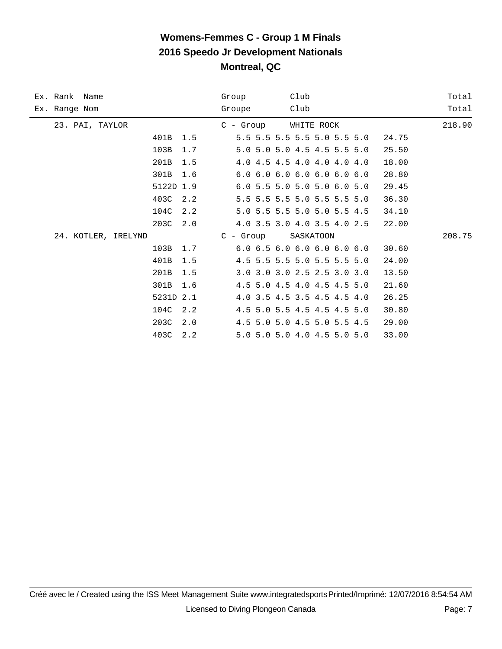| Ex. Rank Name       |           |     | Group       | Club                                            |       | Total  |
|---------------------|-----------|-----|-------------|-------------------------------------------------|-------|--------|
| Ex. Range Nom       |           |     | Groupe      | Club                                            |       | Total  |
| 23. PAI, TAYLOR     |           |     | C - Group   | WHITE ROCK                                      |       | 218.90 |
|                     | 401B      | 1.5 |             | 5.5 5.5 5.5 5.5 5.0 5.5 5.0                     | 24.75 |        |
|                     | 103B      | 1.7 |             | 5.0 5.0 5.0 4.5 4.5 5.5 5.0                     | 25.50 |        |
|                     | 201B      | 1.5 |             | 4.0 4.5 4.5 4.0 4.0 4.0 4.0                     | 18.00 |        |
|                     | 301B      | 1.6 |             | $6.0$ $6.0$ $6.0$ $6.0$ $6.0$ $6.0$ $6.0$ $6.0$ | 28.80 |        |
|                     | 5122D 1.9 |     |             | 6.0 5.5 5.0 5.0 5.0 6.0 5.0                     | 29.45 |        |
|                     | 403C      | 2.2 |             | 5.5 5.5 5.5 5.0 5.5 5.5 5.0                     | 36.30 |        |
|                     | 104C      | 2.2 |             | 5.0 5.5 5.5 5.0 5.0 5.5 4.5                     | 34.10 |        |
|                     | 203C      | 2.0 |             | 4.0 3.5 3.0 4.0 3.5 4.0 2.5                     | 22.00 |        |
| 24. KOTLER, IRELYND |           |     | $C$ - Group | SASKATOON                                       |       | 208.75 |
|                     | 103B      | 1.7 |             | 6.06.56.06.06.06.06.0                           | 30.60 |        |
|                     | 401B      | 1.5 |             | 4.5 5.5 5.5 5.0 5.5 5.5 5.0                     | 24.00 |        |
|                     | 201B      | 1.5 |             | 3.0 3.0 3.0 2.5 2.5 3.0 3.0                     | 13.50 |        |
|                     | 301B      | 1.6 |             | 4.5 5.0 4.5 4.0 4.5 4.5 5.0                     | 21.60 |        |
|                     | 5231D 2.1 |     |             | 4.0 3.5 4.5 3.5 4.5 4.5 4.0                     | 26.25 |        |
|                     | 104C      | 2.2 |             | 4.5 5.0 5.5 4.5 4.5 4.5 5.0                     | 30.80 |        |
|                     | 203C      | 2.0 |             | 4.5 5.0 5.0 4.5 5.0 5.5 4.5                     | 29.00 |        |
|                     | 403C      | 2.2 |             | 5.0 5.0 5.0 4.0 4.5 5.0 5.0                     | 33.00 |        |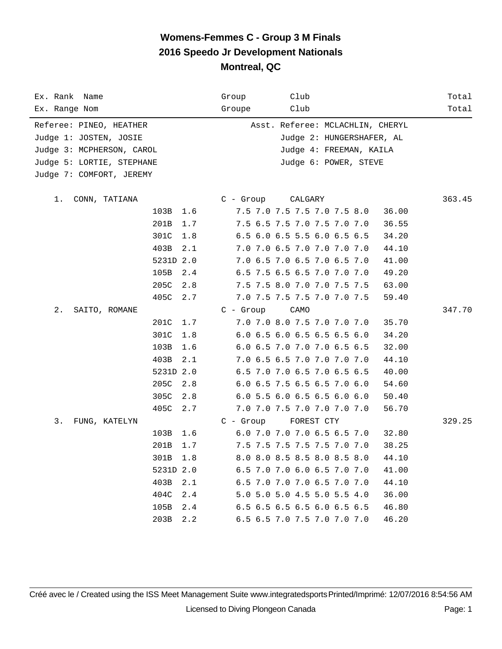| Ex. Rank Name             |             | Club<br>Group                        | Total  |
|---------------------------|-------------|--------------------------------------|--------|
| Ex. Range Nom             |             | Club<br>Groupe                       | Total  |
| Referee: PINEO, HEATHER   |             | Asst. Referee: MCLACHLIN, CHERYL     |        |
| Judge 1: JOSTEN, JOSIE    |             | Judge 2: HUNGERSHAFER, AL            |        |
| Judge 3: MCPHERSON, CAROL |             | Judge 4: FREEMAN, KAILA              |        |
| Judge 5: LORTIE, STEPHANE |             | Judge 6: POWER, STEVE                |        |
| Judge 7: COMFORT, JEREMY  |             |                                      |        |
|                           |             |                                      |        |
| $1$ .<br>CONN, TATIANA    |             | $C -$ Group<br>CALGARY               | 363.45 |
|                           | 103B 1.6    | 7.5 7.0 7.5 7.5 7.0 7.5 8.0<br>36.00 |        |
|                           | 201B<br>1.7 | 7.5 6.5 7.5 7.0 7.5 7.0 7.0<br>36.55 |        |
|                           | 301C<br>1.8 | 6.5 6.0 6.5 5.5 6.0 6.5 6.5<br>34.20 |        |
|                           | 403B<br>2.1 | 7.0 7.0 6.5 7.0 7.0 7.0 7.0<br>44.10 |        |
|                           | 5231D 2.0   | 7.0 6.5 7.0 6.5 7.0 6.5 7.0<br>41.00 |        |
|                           | 105B<br>2.4 | 6.5 7.5 6.5 6.5 7.0 7.0 7.0<br>49.20 |        |
|                           | 205C<br>2.8 | 7.5 7.5 8.0 7.0 7.0 7.5 7.5<br>63.00 |        |
|                           | 405C<br>2.7 | 7.0 7.5 7.5 7.5 7.0 7.0 7.5<br>59.40 |        |
| 2.<br>SAITO, ROMANE       |             | $C - Group$<br>CAMO                  | 347.70 |
|                           | 201C<br>1.7 | 7.0 7.0 8.0 7.5 7.0 7.0 7.0<br>35.70 |        |
|                           | 301C<br>1.8 | 6.0 6.5 6.0 6.5 6.5 6.5 6.0<br>34.20 |        |
|                           | 103B<br>1.6 | 6.0 6.5 7.0 7.0 7.0 6.5 6.5<br>32.00 |        |
|                           | 403B<br>2.1 | 7.0 6.5 6.5 7.0 7.0 7.0 7.0<br>44.10 |        |
|                           | 5231D 2.0   | 6.5 7.0 7.0 6.5 7.0 6.5 6.5<br>40.00 |        |
|                           | 205C<br>2.8 | 6.0 6.5 7.5 6.5 6.5 7.0 6.0<br>54.60 |        |
|                           | 305C<br>2.8 | 6.0 5.5 6.0 6.5 6.5 6.0 6.0<br>50.40 |        |
|                           | 405C<br>2.7 | 7.0 7.0 7.5 7.0 7.0 7.0 7.0<br>56.70 |        |
| 3.<br>FUNG, KATELYN       |             | $C - Group$<br>FOREST CTY            | 329.25 |
|                           | 103B<br>1.6 | 6.0 7.0 7.0 7.0 6.5 6.5 7.0<br>32.80 |        |
|                           | 201B<br>1.7 | 7.5 7.5 7.5 7.5 7.5 7.0 7.0<br>38.25 |        |
|                           | 301B<br>1.8 | 8.0 8.0 8.5 8.5 8.0 8.5 8.0<br>44.10 |        |
|                           | 5231D 2.0   | 6.5 7.0 7.0 6.0 6.5 7.0 7.0<br>41.00 |        |
|                           | 403B<br>2.1 | 6.5 7.0 7.0 7.0 6.5 7.0 7.0<br>44.10 |        |
|                           | 404C<br>2.4 | 36.00<br>5.0 5.0 5.0 4.5 5.0 5.5 4.0 |        |
|                           | 105B<br>2.4 | 6.5 6.5 6.5 6.5 6.0 6.5 6.5<br>46.80 |        |
|                           | 203B<br>2.2 | 6.5 6.5 7.0 7.5 7.0 7.0 7.0<br>46.20 |        |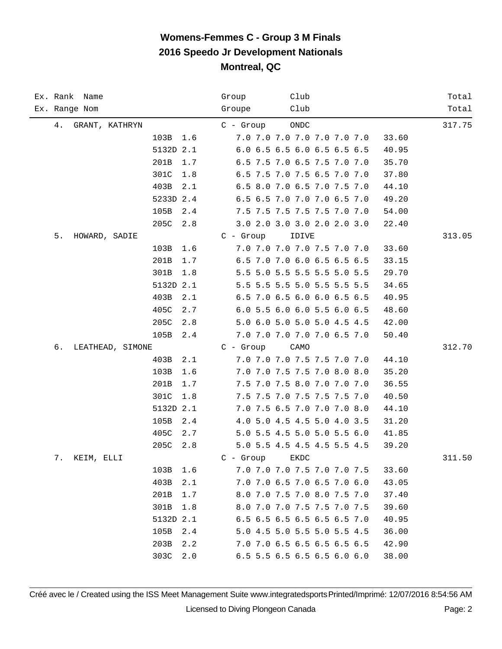| Ex. Rank Name          | Club<br>Group                        | Total  |
|------------------------|--------------------------------------|--------|
| Ex. Range Nom          | Club<br>Groupe                       | Total  |
| 4.<br>GRANT, KATHRYN   | ONDC<br>$C -$ Group                  | 317.75 |
| 103B<br>1.6            | 7.0 7.0 7.0 7.0 7.0 7.0 7.0<br>33.60 |        |
| 5132D 2.1              | 6.0 6.5 6.5 6.0 6.5 6.5 6.5<br>40.95 |        |
| 201B<br>1.7            | 6.5 7.5 7.0 6.5 7.5 7.0 7.0<br>35.70 |        |
| 301C<br>1.8            | 6.5 7.5 7.0 7.5 6.5 7.0 7.0<br>37.80 |        |
| 403B<br>2.1            | 6.5 8.0 7.0 6.5 7.0 7.5 7.0<br>44.10 |        |
| 5233D 2.4              | 6.5 6.5 7.0 7.0 7.0 6.5 7.0<br>49.20 |        |
| 105B<br>2.4            | 7.5 7.5 7.5 7.5 7.5 7.0 7.0<br>54.00 |        |
| 205C<br>2.8            | 3.0 2.0 3.0 3.0 2.0 2.0 3.0<br>22.40 |        |
| 5.<br>HOWARD, SADIE    | $C - Group$<br>IDIVE                 | 313.05 |
| 103B<br>1.6            | 7.0 7.0 7.0 7.0 7.5 7.0 7.0<br>33.60 |        |
| 201B<br>1.7            | 6.5 7.0 7.0 6.0 6.5 6.5 6.5<br>33.15 |        |
| 301B<br>1.8            | 5.5 5.0 5.5 5.5 5.5 5.0 5.5<br>29.70 |        |
| 5132D 2.1              | 5.5 5.5 5.5 5.0 5.5 5.5 5.5<br>34.65 |        |
| 403B<br>2.1            | 6.5 7.0 6.5 6.0 6.0 6.5 6.5<br>40.95 |        |
| 405C<br>2.7            | 6.0 5.5 6.0 6.0 5.5 6.0 6.5<br>48.60 |        |
| 205C<br>2.8            | 5.0 6.0 5.0 5.0 5.0 4.5 4.5<br>42.00 |        |
| 105B<br>2.4            | 7.0 7.0 7.0 7.0 7.0 6.5 7.0<br>50.40 |        |
| б.<br>LEATHEAD, SIMONE | $C -$ Group<br>CAMO                  | 312.70 |
| 403B<br>2.1            | 7.0 7.0 7.0 7.5 7.5 7.0 7.0<br>44.10 |        |
| 103B<br>1.6            | 7.0 7.0 7.5 7.5 7.0 8.0 8.0<br>35.20 |        |
| 201B<br>1.7            | 7.5 7.0 7.5 8.0 7.0 7.0 7.0<br>36.55 |        |
| 301C<br>1.8            | 7.5 7.5 7.0 7.5 7.5 7.5 7.0<br>40.50 |        |
| 5132D 2.1              | 7.0 7.5 6.5 7.0 7.0 7.0 8.0<br>44.10 |        |
| 105B<br>2.4            | 4.0 5.0 4.5 4.5 5.0 4.0 3.5<br>31.20 |        |
| 405C<br>2.7            | 5.0 5.5 4.5 5.0 5.0 5.5 6.0<br>41.85 |        |
| 205C<br>2.8            | 5.0 5.5 4.5 4.5 4.5 5.5 4.5<br>39.20 |        |
| 7.<br>KEIM, ELLI       | $C -$ Group<br>EKDC                  | 311.50 |
| 103B<br>1.6            | 7.0 7.0 7.0 7.5 7.0 7.0 7.5<br>33.60 |        |
| 403B<br>2.1            | 7.0 7.0 6.5 7.0 6.5 7.0 6.0<br>43.05 |        |
| 201B<br>1.7            | 8.0 7.0 7.5 7.0 8.0 7.5 7.0<br>37.40 |        |
| 301B<br>1.8            | 8.0 7.0 7.0 7.5 7.5 7.0 7.5<br>39.60 |        |
| 5132D 2.1              | 6.5 6.5 6.5 6.5 6.5 6.5 7.0<br>40.95 |        |
| 105B<br>2.4            | 5.0 4.5 5.0 5.5 5.0 5.5 4.5<br>36.00 |        |
| 203B<br>2.2            | 7.0 7.0 6.5 6.5 6.5 6.5 6.5<br>42.90 |        |
| 303C<br>2.0            | 6.5 5.5 6.5 6.5 6.5 6.0 6.0<br>38.00 |        |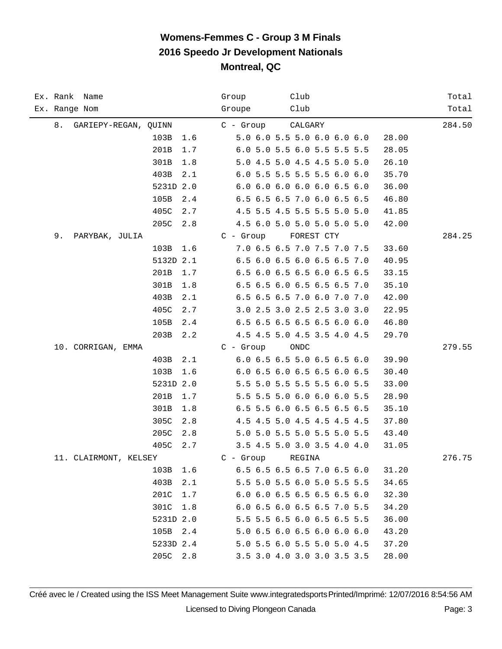| Ex. Rank Name              | Club<br>Group                        | Total  |
|----------------------------|--------------------------------------|--------|
| Ex. Range Nom              | Club<br>Groupe                       | Total  |
| 8.<br>GARIEPY-REGAN, QUINN | CALGARY<br>$C -$ Group               | 284.50 |
| 103B<br>1.6                | 5.0 6.0 5.5 5.0 6.0 6.0 6.0<br>28.00 |        |
| 201B<br>1.7                | 6.0 5.0 5.5 6.0 5.5 5.5 5.5<br>28.05 |        |
| 301B<br>1.8                | 5.0 4.5 5.0 4.5 4.5 5.0 5.0<br>26.10 |        |
| 403B<br>2.1                | 6.0 5.5 5.5 5.5 5.5 6.0 6.0<br>35.70 |        |
| 5231D 2.0                  | 6.0 6.0 6.0 6.0 6.0 6.5 6.0<br>36.00 |        |
| 105B<br>2.4                | 6.5 6.5 6.5 7.0 6.0 6.5 6.5<br>46.80 |        |
| 405C<br>2.7                | 4.5 5.5 4.5 5.5 5.5 5.0 5.0<br>41.85 |        |
| 205C<br>2.8                | 4.5 6.0 5.0 5.0 5.0 5.0 5.0<br>42.00 |        |
| 9.<br>PARYBAK, JULIA       | $C - Group$<br>FOREST CTY            | 284.25 |
| 103B<br>1.6                | 7.0 6.5 6.5 7.0 7.5 7.0 7.5<br>33.60 |        |
| 5132D 2.1                  | 6.5 6.0 6.5 6.0 6.5 6.5 7.0<br>40.95 |        |
| 201B<br>1.7                | 6.5 6.0 6.5 6.5 6.0 6.5 6.5<br>33.15 |        |
| 301B<br>1.8                | 6.5 6.5 6.0 6.5 6.5 6.5 7.0<br>35.10 |        |
| 403B<br>2.1                | 6.5 6.5 6.5 7.0 6.0 7.0 7.0<br>42.00 |        |
| 405C<br>2.7                | 3.0 2.5 3.0 2.5 2.5 3.0 3.0<br>22.95 |        |
| 105B<br>2.4                | 6.5 6.5 6.5 6.5 6.5 6.0 6.0<br>46.80 |        |
| 203B<br>2.2                | 4.5 4.5 5.0 4.5 3.5 4.0 4.5<br>29.70 |        |
| 10. CORRIGAN, EMMA         | $C -$ Group<br>ONDC                  | 279.55 |
| 403B<br>2.1                | 6.0 6.5 6.5 5.0 6.5 6.5 6.0<br>39.90 |        |
| 103B<br>1.6                | 6.0 6.5 6.0 6.5 6.5 6.0 6.5<br>30.40 |        |
| 5231D 2.0                  | 5.5 5.0 5.5 5.5 5.5 6.0 5.5<br>33.00 |        |
| 201B<br>1.7                | 5.5 5.5 5.0 6.0 6.0 6.0 5.5<br>28.90 |        |
| 301B<br>1.8                | 6.5 5.5 6.0 6.5 6.5 6.5 6.5<br>35.10 |        |
| 305C<br>2.8                | 4.5 4.5 5.0 4.5 4.5 4.5 4.5<br>37.80 |        |
| 205C<br>2.8                | 5.0 5.0 5.5 5.0 5.5 5.0 5.5<br>43.40 |        |
| 405C<br>2.7                | 3.5 4.5 5.0 3.0 3.5 4.0 4.0<br>31.05 |        |
| 11. CLAIRMONT, KELSEY      | $C -$ Group<br>REGINA                | 276.75 |
| 1.6<br>103B                | 6.5 6.5 6.5 6.5 7.0 6.5 6.0<br>31.20 |        |
| 403B<br>2.1                | 5.5 5.0 5.5 6.0 5.0 5.5 5.5<br>34.65 |        |
| 201C<br>1.7                | 6.0 6.0 6.5 6.5 6.5 6.5 6.0<br>32.30 |        |
| 301C<br>1.8                | 6.0 6.5 6.0 6.5 6.5 7.0 5.5<br>34.20 |        |
| 5231D 2.0                  | 5.5 5.5 6.5 6.0 6.5 6.5 5.5<br>36.00 |        |
| 105B 2.4                   | 5.0 6.5 6.0 6.5 6.0 6.0 6.0<br>43.20 |        |
| 5233D 2.4                  | 5.0 5.5 6.0 5.5 5.0 5.0 4.5<br>37.20 |        |
| 205C 2.8                   | 3.5 3.0 4.0 3.0 3.0 3.5 3.5<br>28.00 |        |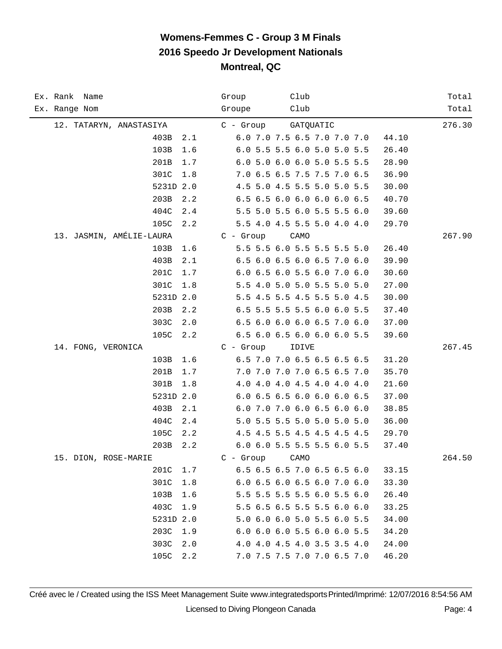| Ex. Rank Name            | Club<br>Group                        | Total  |
|--------------------------|--------------------------------------|--------|
| Ex. Range Nom            | Club<br>Groupe                       | Total  |
| 12. TATARYN, ANASTASIYA  | C - Group<br>GATQUATIC               | 276.30 |
| 403B<br>2.1              | 6.0 7.0 7.5 6.5 7.0 7.0 7.0<br>44.10 |        |
| 103B<br>1.6              | 6.0 5.5 5.5 6.0 5.0 5.0 5.5<br>26.40 |        |
| 201B<br>1.7              | 6.0 5.0 6.0 6.0 5.0 5.5 5.5<br>28.90 |        |
| 301C<br>1.8              | 7.0 6.5 6.5 7.5 7.5 7.0 6.5<br>36.90 |        |
| 5231D 2.0                | 4.5 5.0 4.5 5.5 5.0 5.0 5.5<br>30.00 |        |
| 203B<br>2.2              | 6.5 6.5 6.0 6.0 6.0 6.0 6.5<br>40.70 |        |
| 404C<br>2.4              | 5.5 5.0 5.5 6.0 5.5 5.5 6.0<br>39.60 |        |
| 105C<br>2.2              | 5.5 4.0 4.5 5.5 5.0 4.0 4.0<br>29.70 |        |
| 13. JASMIN, AMÉLIE-LAURA | $C -$ Group<br>CAMO                  | 267.90 |
| 103B<br>1.6              | 5.5 5.5 6.0 5.5 5.5 5.5 5.0<br>26.40 |        |
| 403B<br>2.1              | 6.5 6.0 6.5 6.0 6.5 7.0 6.0<br>39.90 |        |
| 201C<br>1.7              | 6.0 6.5 6.0 5.5 6.0 7.0 6.0<br>30.60 |        |
| 301C<br>1.8              | 5.5 4.0 5.0 5.0 5.5 5.0 5.0<br>27.00 |        |
| 5231D 2.0                | 5.5 4.5 5.5 4.5 5.5 5.0 4.5<br>30.00 |        |
| 203B<br>2.2              | 6.5 5.5 5.5 5.5 6.0 6.0 5.5<br>37.40 |        |
| 303C<br>2.0              | 6.5 6.0 6.0 6.0 6.5 7.0 6.0<br>37.00 |        |
| 105C<br>2.2              | 6.5 6.0 6.5 6.0 6.0 6.0 5.5<br>39.60 |        |
| 14. FONG, VERONICA       | $C -$ Group<br>IDIVE                 | 267.45 |
| 103B<br>1.6              | 6.5 7.0 7.0 6.5 6.5 6.5 6.5<br>31.20 |        |
| 201B<br>1.7              | 7.0 7.0 7.0 7.0 6.5 6.5 7.0<br>35.70 |        |
| 301B<br>1.8              | 4.0 4.0 4.0 4.5 4.0 4.0 4.0<br>21.60 |        |
| 5231D 2.0                | 6.0 6.5 6.5 6.0 6.0 6.0 6.5<br>37.00 |        |
| 403B<br>2.1              | 6.0 7.0 7.0 6.0 6.5 6.0 6.0<br>38.85 |        |
| 404C<br>$2.4$            | 5.0 5.5 5.5 5.0 5.0 5.0 5.0<br>36.00 |        |
| 105C<br>2.2              | 4.5 4.5 5.5 4.5 4.5 4.5 4.5<br>29.70 |        |
| 203B<br>2.2              | 6.0 6.0 5.5 5.5 5.5 6.0 5.5<br>37.40 |        |
| 15. DION, ROSE-MARIE     | $C -$ Group<br>CAMO                  | 264.50 |
| 201C<br>1.7              | 6.5 6.5 6.5 7.0 6.5 6.5 6.0<br>33.15 |        |
| 301C<br>1.8              | 6.0 6.5 6.0 6.5 6.0 7.0 6.0<br>33.30 |        |
| 103B<br>1.6              | 5.5 5.5 5.5 5.5 6.0 5.5 6.0<br>26.40 |        |
| 403C<br>1.9              | 5.5 6.5 6.5 5.5 5.5 6.0 6.0<br>33.25 |        |
| 5231D 2.0                | 5.0 6.0 6.0 5.0 5.5 6.0 5.5<br>34.00 |        |
| 203C<br>1.9              | 6.0 6.0 6.0 5.5 6.0 6.0 5.5<br>34.20 |        |
| 303C<br>2.0              | 4.0 4.0 4.5 4.0 3.5 3.5 4.0<br>24.00 |        |
| 105C<br>2.2              | 46.20<br>7.0 7.5 7.5 7.0 7.0 6.5 7.0 |        |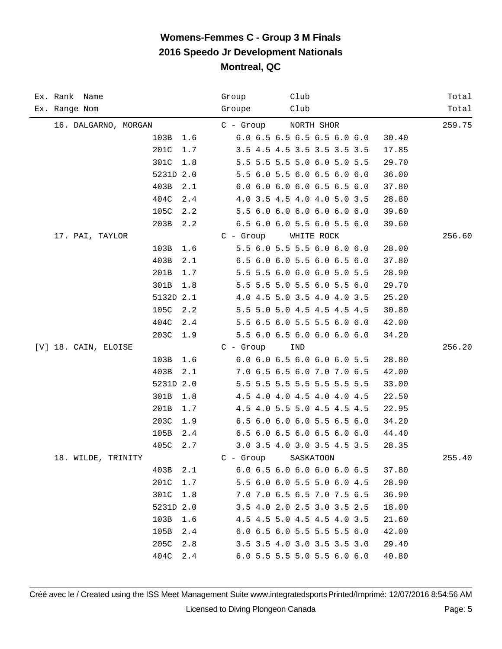| Ex. Rank Name        |             | Club<br>Group               | Total  |
|----------------------|-------------|-----------------------------|--------|
| Ex. Range Nom        |             | Club<br>Groupe              | Total  |
| 16. DALGARNO, MORGAN |             | NORTH SHOR<br>C - Group     | 259.75 |
|                      | 103B<br>1.6 | 6.0 6.5 6.5 6.5 6.5 6.0 6.0 | 30.40  |
|                      | 201C<br>1.7 | 3.5 4.5 4.5 3.5 3.5 3.5 3.5 | 17.85  |
|                      | 301C<br>1.8 | 5.5 5.5 5.5 5.0 6.0 5.0 5.5 | 29.70  |
|                      | 5231D 2.0   | 5.5 6.0 5.5 6.0 6.5 6.0 6.0 | 36.00  |
|                      | 403B<br>2.1 | 6.0 6.0 6.0 6.0 6.5 6.5 6.0 | 37.80  |
|                      | 404C<br>2.4 | 4.0 3.5 4.5 4.0 4.0 5.0 3.5 | 28.80  |
|                      | 105C<br>2.2 | 5.5 6.0 6.0 6.0 6.0 6.0 6.0 | 39.60  |
|                      | 203B<br>2.2 | 6.5 6.0 6.0 5.5 6.0 5.5 6.0 | 39.60  |
| 17. PAI, TAYLOR      |             | $C - Group$<br>WHITE ROCK   | 256.60 |
|                      | 103B<br>1.6 | 5.5 6.0 5.5 5.5 6.0 6.0 6.0 | 28.00  |
|                      | 403B<br>2.1 | 6.5 6.0 6.0 5.5 6.0 6.5 6.0 | 37.80  |
|                      | 201B<br>1.7 | 5.5 5.5 6.0 6.0 6.0 5.0 5.5 | 28.90  |
|                      | 301B<br>1.8 | 5.5 5.5 5.0 5.5 6.0 5.5 6.0 | 29.70  |
|                      | 5132D 2.1   | 4.0 4.5 5.0 3.5 4.0 4.0 3.5 | 25.20  |
|                      | 105C<br>2.2 | 5.5 5.0 5.0 4.5 4.5 4.5 4.5 | 30.80  |
|                      | 404C<br>2.4 | 5.5 6.5 6.0 5.5 5.5 6.0 6.0 | 42.00  |
|                      | 203C<br>1.9 | 5.5 6.0 6.5 6.0 6.0 6.0 6.0 | 34.20  |
| [V] 18. CAIN, ELOISE |             | $C - Group$<br>IND          | 256.20 |
|                      | 103B<br>1.6 | 6.0 6.0 6.5 6.0 6.0 6.0 5.5 | 28.80  |
|                      | 403B<br>2.1 | 7.0 6.5 6.5 6.0 7.0 7.0 6.5 | 42.00  |
|                      | 5231D 2.0   | 5.5 5.5 5.5 5.5 5.5 5.5 5.5 | 33.00  |
|                      | 301B<br>1.8 | 4.5 4.0 4.0 4.5 4.0 4.0 4.5 | 22.50  |
|                      | 201B<br>1.7 | 4.5 4.0 5.5 5.0 4.5 4.5 4.5 | 22.95  |
|                      | 203C<br>1.9 | 6.5 6.0 6.0 6.0 5.5 6.5 6.0 | 34.20  |
|                      | 105B<br>2.4 | 6.5 6.0 6.5 6.0 6.5 6.0 6.0 | 44.40  |
|                      | 405C<br>2.7 | 3.0 3.5 4.0 3.0 3.5 4.5 3.5 | 28.35  |
| 18. WILDE, TRINITY   |             | $C -$ Group<br>SASKATOON    | 255.40 |
|                      | 403B<br>2.1 | 6.0 6.5 6.0 6.0 6.0 6.0 6.5 | 37.80  |
|                      | 201C<br>1.7 | 5.5 6.0 6.0 5.5 5.0 6.0 4.5 | 28.90  |
|                      | 301C<br>1.8 | 7.0 7.0 6.5 6.5 7.0 7.5 6.5 | 36.90  |
|                      | 5231D 2.0   | 3.5 4.0 2.0 2.5 3.0 3.5 2.5 | 18.00  |
|                      | 103B<br>1.6 | 4.5 4.5 5.0 4.5 4.5 4.0 3.5 | 21.60  |
|                      | 105B<br>2.4 | 6.0 6.5 6.0 5.5 5.5 5.5 6.0 | 42.00  |
|                      | 205C<br>2.8 | 3.5 3.5 4.0 3.0 3.5 3.5 3.0 | 29.40  |
|                      | 404C<br>2.4 | 6.0 5.5 5.5 5.0 5.5 6.0 6.0 | 40.80  |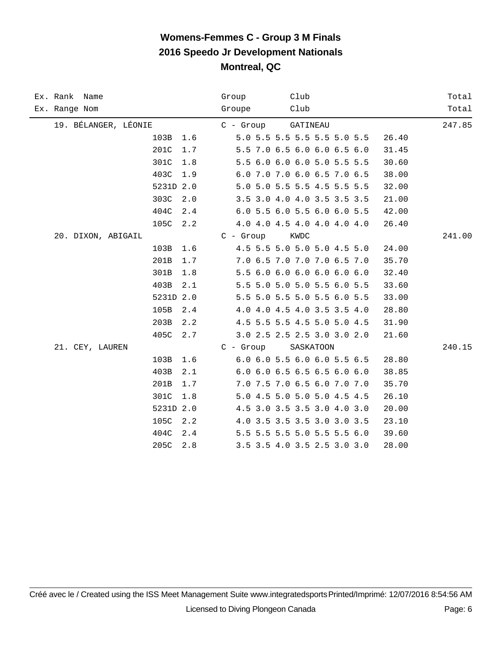| Ex. Rank Name        | Group<br>Club                        | Total  |
|----------------------|--------------------------------------|--------|
| Ex. Range Nom        | Club<br>Groupe                       | Total  |
| 19. BÉLANGER, LÉONIE | C - Group<br>GATINEAU                | 247.85 |
| 103B<br>1.6          | 5.0 5.5 5.5 5.5 5.5 5.0 5.5<br>26.40 |        |
| 201C<br>1.7          | 5.5 7.0 6.5 6.0 6.0 6.5 6.0<br>31.45 |        |
| 301C<br>1.8          | 5.5 6.0 6.0 6.0 5.0 5.5 5.5<br>30.60 |        |
| 403C<br>1.9          | 6.0 7.0 7.0 6.0 6.5 7.0 6.5<br>38.00 |        |
| 5231D 2.0            | 5.0 5.0 5.5 5.5 4.5 5.5 5.5<br>32.00 |        |
| 303C<br>2.0          | 3.5 3.0 4.0 4.0 3.5 3.5 3.5<br>21.00 |        |
| 404C<br>2.4          | 6.0 5.5 6.0 5.5 6.0 6.0 5.5<br>42.00 |        |
| 105C<br>2.2          | 4.0 4.0 4.5 4.0 4.0 4.0 4.0<br>26.40 |        |
| 20. DIXON, ABIGAIL   | $C - Group$<br>KWDC                  | 241.00 |
| 103B<br>1.6          | 4.5 5.5 5.0 5.0 5.0 4.5 5.0<br>24.00 |        |
| 201B<br>1.7          | 7.0 6.5 7.0 7.0 7.0 6.5 7.0<br>35.70 |        |
| 301B<br>1.8          | 5.5 6.0 6.0 6.0 6.0 6.0 6.0<br>32.40 |        |
| 403B<br>2.1          | 5.5 5.0 5.0 5.0 5.5 6.0 5.5<br>33.60 |        |
| 5231D 2.0            | 5.5 5.0 5.5 5.0 5.5 6.0 5.5<br>33.00 |        |
| 105B<br>2.4          | 4.0 4.0 4.5 4.0 3.5 3.5 4.0<br>28.80 |        |
| 203B<br>2.2          | 4.5 5.5 5.5 4.5 5.0 5.0 4.5<br>31.90 |        |
| 405C<br>2.7          | 3.0 2.5 2.5 2.5 3.0 3.0 2.0<br>21.60 |        |
| 21. CEY, LAUREN      | $C -$ Group<br>SASKATOON             | 240.15 |
| 103B<br>1.6          | 6.0 6.0 5.5 6.0 6.0 5.5 6.5<br>28.80 |        |
| 403B<br>2.1          | 6.0 6.0 6.5 6.5 6.5 6.0 6.0<br>38.85 |        |
| 201B<br>1.7          | 7.0 7.5 7.0 6.5 6.0 7.0 7.0<br>35.70 |        |
| 301C<br>1.8          | 5.0 4.5 5.0 5.0 5.0 4.5 4.5<br>26.10 |        |
| 5231D 2.0            | 4.5 3.0 3.5 3.5 3.0 4.0 3.0<br>20.00 |        |
| 105C<br>2.2          | 4.0 3.5 3.5 3.5 3.0 3.0 3.5<br>23.10 |        |
| 404C<br>2.4          | 5.5 5.5 5.5 5.0 5.5 5.5 6.0<br>39.60 |        |
| 205C<br>2.8          | 3.5 3.5 4.0 3.5 2.5 3.0 3.0<br>28.00 |        |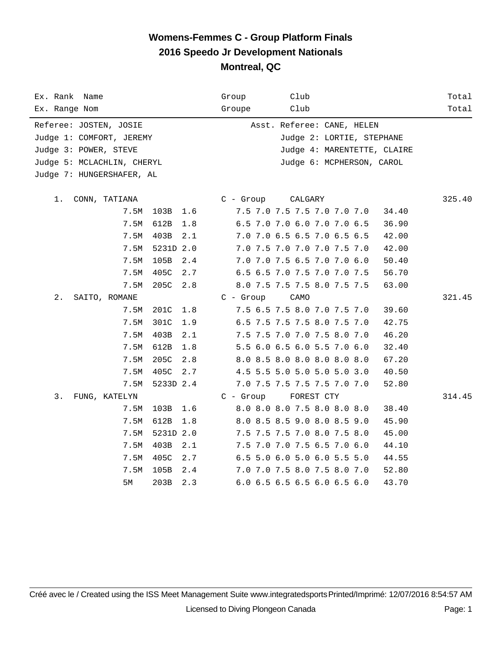| Ex. Rank Name              | Group<br>Club                        | Total  |
|----------------------------|--------------------------------------|--------|
| Ex. Range Nom              | Groupe<br>Club                       | Total  |
| Referee: JOSTEN, JOSIE     | Asst. Referee: CANE, HELEN           |        |
| Judge 1: COMFORT, JEREMY   | Judge 2: LORTIE, STEPHANE            |        |
| Judge 3: POWER, STEVE      | Judge 4: MARENTETTE, CLAIRE          |        |
| Judge 5: MCLACHLIN, CHERYL | Judge 6: MCPHERSON, CAROL            |        |
| Judge 7: HUNGERSHAFER, AL  |                                      |        |
|                            |                                      |        |
| $1$ .<br>CONN, TATIANA     | C - Group<br>CALGARY                 | 325.40 |
| 7.5M<br>103B 1.6           | 7.5 7.0 7.5 7.5 7.0 7.0 7.0<br>34.40 |        |
| 7.5M<br>612B<br>1.8        | 6.5 7.0 7.0 6.0 7.0 7.0 6.5<br>36.90 |        |
| 7.5M<br>403B<br>2.1        | 7.0 7.0 6.5 6.5 7.0 6.5 6.5<br>42.00 |        |
| 7.5M<br>5231D 2.0          | 7.0 7.5 7.0 7.0 7.0 7.5 7.0<br>42.00 |        |
| 105B<br>7.5M<br>2.4        | 7.0 7.0 7.5 6.5 7.0 7.0 6.0<br>50.40 |        |
| 405C<br>7.5M<br>2.7        | 6.5 6.5 7.0 7.5 7.0 7.0 7.5<br>56.70 |        |
| 205C<br>7.5M<br>2.8        | 8.0 7.5 7.5 7.5 8.0 7.5 7.5<br>63.00 |        |
| 2.<br>SAITO, ROMANE        | $C - Grow$<br>CAMO                   | 321.45 |
| 7.5M<br>201C<br>1.8        | 7.5 6.5 7.5 8.0 7.0 7.5 7.0<br>39.60 |        |
| 301C<br>7.5M<br>1.9        | 6.5 7.5 7.5 7.5 8.0 7.5 7.0<br>42.75 |        |
| 7.5M<br>403B<br>2.1        | 7.5 7.5 7.0 7.0 7.5 8.0 7.0<br>46.20 |        |
| 7.5M<br>612B<br>$1.8$      | 5.5 6.0 6.5 6.0 5.5 7.0 6.0<br>32.40 |        |
| 7.5M<br>205C<br>2.8        | 8.0 8.5 8.0 8.0 8.0 8.0 8.0<br>67.20 |        |
| 405C<br>7.5M<br>2.7        | 4.5 5.5 5.0 5.0 5.0 5.0 3.0<br>40.50 |        |
| 7.5M<br>5233D 2.4          | 7.0 7.5 7.5 7.5 7.5 7.0 7.0<br>52.80 |        |
| 3.<br>FUNG, KATELYN        | C - Group<br>FOREST CTY              | 314.45 |
| 103B<br>7.5M<br>1.6        | 8.0 8.0 8.0 7.5 8.0 8.0 8.0<br>38.40 |        |
| 7.5M<br>612B<br>1.8        | 8.0 8.5 8.5 9.0 8.0 8.5 9.0<br>45.90 |        |
| 7.5M<br>5231D 2.0          | 7.5 7.5 7.5 7.0 8.0 7.5 8.0<br>45.00 |        |
| 403B<br>2.1<br>7.5M        | 7.5 7.0 7.0 7.5 6.5 7.0 6.0<br>44.10 |        |
| 7.5M<br>405C<br>2.7        | 6.5 5.0 6.0 5.0 6.0 5.5 5.0<br>44.55 |        |
| 7.5M<br>105B<br>2.4        | 7.0 7.0 7.5 8.0 7.5 8.0 7.0<br>52.80 |        |
| 5М<br>203B<br>2.3          | 6.0 6.5 6.5 6.5 6.0 6.5 6.0<br>43.70 |        |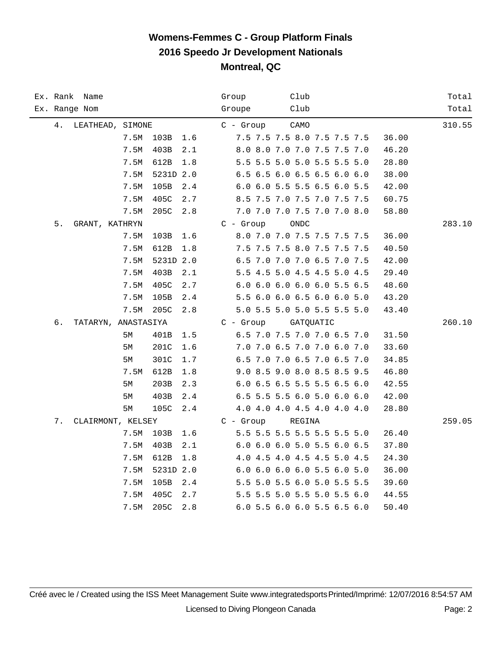| Ex. Rank Name             |      |           |     | Club<br>Group                        | Total  |
|---------------------------|------|-----------|-----|--------------------------------------|--------|
| Ex. Range Nom             |      |           |     | Club<br>Groupe                       | Total  |
| 4.<br>LEATHEAD, SIMONE    |      |           |     | $C -$ Group<br>CAMO                  | 310.55 |
|                           | 7.5M | 103B      | 1.6 | 7.5 7.5 7.5 8.0 7.5 7.5 7.5<br>36.00 |        |
|                           | 7.5M | 403B      | 2.1 | 8.0 8.0 7.0 7.0 7.5 7.5 7.0<br>46.20 |        |
|                           | 7.5M | 612B      | 1.8 | 5.5 5.5 5.0 5.0 5.5 5.5 5.0<br>28.80 |        |
|                           | 7.5M | 5231D 2.0 |     | 6.5 6.5 6.0 6.5 6.5 6.0 6.0<br>38.00 |        |
|                           | 7.5M | 105B      | 2.4 | 6.0 6.0 5.5 5.5 6.5 6.0 5.5<br>42.00 |        |
|                           | 7.5M | 405C      | 2.7 | 8.5 7.5 7.0 7.5 7.0 7.5 7.5<br>60.75 |        |
|                           | 7.5M | 205C      | 2.8 | 7.0 7.0 7.0 7.5 7.0 7.0 8.0<br>58.80 |        |
| 5.<br>GRANT, KATHRYN      |      |           |     | $C - Growp$<br>ONDC                  | 283.10 |
|                           | 7.5M | 103B      | 1.6 | 8.0 7.0 7.0 7.5 7.5 7.5 7.5<br>36.00 |        |
|                           | 7.5M | 612B      | 1.8 | 7.5 7.5 7.5 8.0 7.5 7.5 7.5<br>40.50 |        |
|                           | 7.5M | 5231D 2.0 |     | 6.5 7.0 7.0 7.0 6.5 7.0 7.5<br>42.00 |        |
|                           | 7.5M | 403B      | 2.1 | 5.5 4.5 5.0 4.5 4.5 5.0 4.5<br>29.40 |        |
|                           | 7.5M | 405C      | 2.7 | 6.0 6.0 6.0 6.0 6.0 5.5 6.5<br>48.60 |        |
|                           | 7.5M | 105B      | 2.4 | 5.5 6.0 6.0 6.5 6.0 6.0 5.0<br>43.20 |        |
|                           | 7.5M | 205C      | 2.8 | 5.0 5.5 5.0 5.0 5.5 5.5 5.0<br>43.40 |        |
| б.<br>TATARYN, ANASTASIYA |      |           |     | $C - Group$<br>GATQUATIC             | 260.10 |
|                           | 5M   | 401B      | 1.5 | 6.5 7.0 7.5 7.0 7.0 6.5 7.0<br>31.50 |        |
|                           | 5М   | 201C      | 1.6 | 7.0 7.0 6.5 7.0 7.0 6.0 7.0<br>33.60 |        |
|                           | 5M   | 301C      | 1.7 | 6.5 7.0 7.0 6.5 7.0 6.5 7.0<br>34.85 |        |
|                           | 7.5M | 612B      | 1.8 | 9.0 8.5 9.0 8.0 8.5 8.5 9.5<br>46.80 |        |
|                           | 5М   | 203B      | 2.3 | 6.0 6.5 6.5 5.5 5.5 6.5 6.0<br>42.55 |        |
|                           | 5M   | 403B      | 2.4 | 6.5 5.5 5.5 6.0 5.0 6.0 6.0<br>42.00 |        |
|                           | 5М   | 105C      | 2.4 | 4.0 4.0 4.0 4.5 4.0 4.0 4.0<br>28.80 |        |
| 7.<br>CLAIRMONT, KELSEY   |      |           |     | $C -$ Group<br>REGINA                | 259.05 |
|                           | 7.5M | 103B      | 1.6 | 5.5 5.5 5.5 5.5 5.5 5.5 5.0<br>26.40 |        |
|                           | 7.5M | 403B      | 2.1 | 6.0 6.0 6.0 5.0 5.5 6.0 6.5<br>37.80 |        |
|                           | 7.5M | 612B      | 1.8 | 4.0 4.5 4.0 4.5 4.5 5.0 4.5<br>24.30 |        |
|                           | 7.5M | 5231D 2.0 |     | 6.0 6.0 6.0 6.0 5.5 6.0 5.0<br>36.00 |        |
|                           | 7.5M | 105B      | 2.4 | 5.5 5.0 5.5 6.0 5.0 5.5 5.5<br>39.60 |        |
|                           | 7.5M | 405C      | 2.7 | 5.5 5.5 5.0 5.5 5.0 5.5 6.0<br>44.55 |        |
|                           | 7.5M | 205C      | 2.8 | 6.0 5.5 6.0 6.0 5.5 6.5 6.0<br>50.40 |        |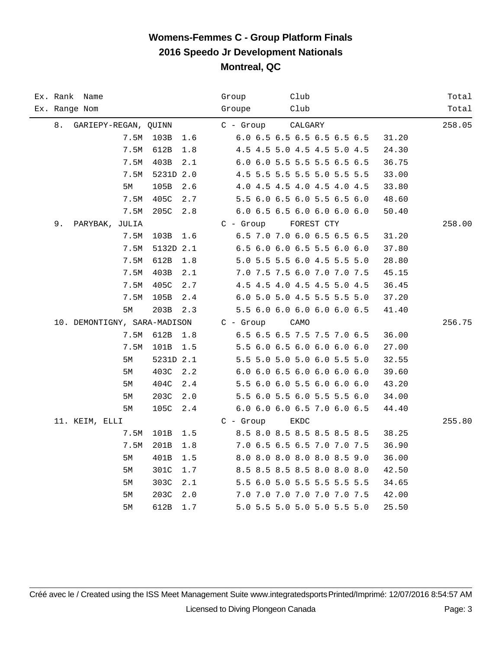|               | Ex. Rank Name                |      |           |       | Group       | Club                        |            |       | Total  |
|---------------|------------------------------|------|-----------|-------|-------------|-----------------------------|------------|-------|--------|
| Ex. Range Nom |                              |      |           |       | Groupe      | Club                        |            |       | Total  |
| 8.            | GARIEPY-REGAN, QUINN         |      |           |       | $C - Group$ | CALGARY                     |            |       | 258.05 |
|               |                              | 7.5M | 103B      | 1.6   |             | 6.0 6.5 6.5 6.5 6.5 6.5 6.5 |            | 31.20 |        |
|               |                              | 7.5M | 612B      | 1.8   |             | 4.5 4.5 5.0 4.5 4.5 5.0 4.5 |            | 24.30 |        |
|               |                              | 7.5M | 403B      | 2.1   |             | 6.0 6.0 5.5 5.5 5.5 6.5 6.5 |            | 36.75 |        |
|               |                              | 7.5M | 5231D 2.0 |       |             | 4.5 5.5 5.5 5.5 5.0 5.5 5.5 |            | 33.00 |        |
|               |                              | 5M   | 105B      | 2.6   |             | 4.0 4.5 4.5 4.0 4.5 4.0 4.5 |            | 33.80 |        |
|               |                              | 7.5M | 405C      | 2.7   |             | 5.5 6.0 6.5 6.0 5.5 6.5 6.0 |            | 48.60 |        |
|               |                              | 7.5M | 205C      | 2.8   |             | 6.0 6.5 6.5 6.0 6.0 6.0 6.0 |            | 50.40 |        |
| 9.            | PARYBAK, JULIA               |      |           |       | $C - Group$ |                             | FOREST CTY |       | 258.00 |
|               |                              | 7.5M | 103B      | 1.6   |             | 6.5 7.0 7.0 6.0 6.5 6.5 6.5 |            | 31.20 |        |
|               |                              | 7.5M | 5132D 2.1 |       |             | 6.5 6.0 6.0 6.5 5.5 6.0 6.0 |            | 37.80 |        |
|               |                              | 7.5M | 612B      | 1.8   |             | 5.0 5.5 5.5 6.0 4.5 5.5 5.0 |            | 28.80 |        |
|               |                              | 7.5M | 403B      | 2.1   |             | 7.0 7.5 7.5 6.0 7.0 7.0 7.5 |            | 45.15 |        |
|               |                              | 7.5M | 405C      | 2.7   |             | 4.5 4.5 4.0 4.5 4.5 5.0 4.5 |            | 36.45 |        |
|               |                              | 7.5M | 105B      | 2.4   |             | 6.0 5.0 5.0 4.5 5.5 5.5 5.0 |            | 37.20 |        |
|               |                              | 5M   | 203B      | 2.3   |             | 5.5 6.0 6.0 6.0 6.0 6.0 6.5 |            | 41.40 |        |
|               | 10. DEMONTIGNY, SARA-MADISON |      |           |       | $C -$ Group | CAMO                        |            |       | 256.75 |
|               |                              | 7.5M | 612B      | 1.8   |             | 6.5 6.5 6.5 7.5 7.5 7.0 6.5 |            | 36.00 |        |
|               |                              | 7.5M | 101B      | $1.5$ |             | 5.5 6.0 6.5 6.0 6.0 6.0 6.0 |            | 27.00 |        |
|               |                              | 5M   | 5231D 2.1 |       |             | 5.5 5.0 5.0 5.0 6.0 5.5 5.0 |            | 32.55 |        |
|               |                              | 5М   | 403C      | 2.2   |             | 6.0 6.0 6.5 6.0 6.0 6.0 6.0 |            | 39.60 |        |
|               |                              | 5М   | 404C      | 2.4   |             | 5.5 6.0 6.0 5.5 6.0 6.0 6.0 |            | 43.20 |        |
|               |                              | 5M   | 203C      | 2.0   |             | 5.5 6.0 5.5 6.0 5.5 5.5 6.0 |            | 34.00 |        |
|               |                              | 5M   | 105C      | 2.4   |             | 6.0 6.0 6.0 6.5 7.0 6.0 6.5 |            | 44.40 |        |
|               | 11. KEIM, ELLI               |      |           |       | $C - Growp$ | EKDC                        |            |       | 255.80 |
|               |                              | 7.5M | 101B      | 1.5   |             | 8.5 8.0 8.5 8.5 8.5 8.5 8.5 |            | 38.25 |        |
|               |                              | 7.5M | 201B      | 1.8   |             | 7.0 6.5 6.5 6.5 7.0 7.0 7.5 |            | 36.90 |        |
|               |                              | 5М   | 401B      | 1.5   |             | 8.0 8.0 8.0 8.0 8.0 8.5 9.0 |            | 36.00 |        |
|               |                              | 5М   | 301C      | 1.7   |             | 8.5 8.5 8.5 8.5 8.0 8.0 8.0 |            | 42.50 |        |
|               |                              | 5М   | 303C      | 2.1   |             | 5.5 6.0 5.0 5.5 5.5 5.5 5.5 |            | 34.65 |        |
|               |                              | 5M   | 203C      | 2.0   |             | 7.0 7.0 7.0 7.0 7.0 7.0 7.5 |            | 42.00 |        |
|               |                              | 5M   | 612B      | 1.7   |             | 5.0 5.5 5.0 5.0 5.0 5.5 5.0 |            | 25.50 |        |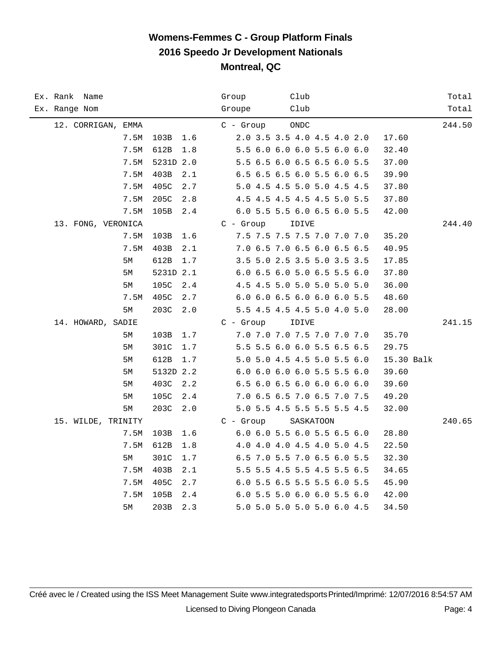| Ex. Rank Name      |      |           |     | Group       | Club      |                             |            | Total  |
|--------------------|------|-----------|-----|-------------|-----------|-----------------------------|------------|--------|
| Ex. Range Nom      |      |           |     | Groupe      | Club      |                             |            | Total  |
| 12. CORRIGAN, EMMA |      |           |     | $C -$ Group | ONDC      |                             |            | 244.50 |
|                    | 7.5M | 103B      | 1.6 |             |           | 2.0 3.5 3.5 4.0 4.5 4.0 2.0 | 17.60      |        |
|                    | 7.5M | 612B      | 1.8 |             |           | 5.5 6.0 6.0 6.0 5.5 6.0 6.0 | 32.40      |        |
|                    | 7.5M | 5231D 2.0 |     |             |           | 5.5 6.5 6.0 6.5 6.5 6.0 5.5 | 37.00      |        |
|                    | 7.5M | 403B      | 2.1 |             |           | 6.5 6.5 6.5 6.0 5.5 6.0 6.5 | 39.90      |        |
|                    | 7.5M | 405C      | 2.7 |             |           | 5.0 4.5 4.5 5.0 5.0 4.5 4.5 | 37.80      |        |
|                    | 7.5M | 205C      | 2.8 |             |           | 4.5 4.5 4.5 4.5 4.5 5.0 5.5 | 37.80      |        |
|                    | 7.5M | 105B      | 2.4 |             |           | 6.0 5.5 5.5 6.0 6.5 6.0 5.5 | 42.00      |        |
| 13. FONG, VERONICA |      |           |     | $C - Growp$ | IDIVE     |                             |            | 244.40 |
|                    | 7.5M | 103B      | 1.6 |             |           | 7.5 7.5 7.5 7.5 7.0 7.0 7.0 | 35.20      |        |
|                    | 7.5M | 403B      | 2.1 |             |           | 7.0 6.5 7.0 6.5 6.0 6.5 6.5 | 40.95      |        |
|                    | 5М   | 612B      | 1.7 |             |           | 3.5 5.0 2.5 3.5 5.0 3.5 3.5 | 17.85      |        |
|                    | 5M   | 5231D 2.1 |     |             |           | 6.0 6.5 6.0 5.0 6.5 5.5 6.0 | 37.80      |        |
|                    | 5M   | 105C      | 2.4 |             |           | 4.5 4.5 5.0 5.0 5.0 5.0 5.0 | 36.00      |        |
|                    | 7.5M | 405C      | 2.7 |             |           | 6.0 6.0 6.5 6.0 6.0 6.0 5.5 | 48.60      |        |
|                    | 5M   | 203C      | 2.0 |             |           | 5.5 4.5 4.5 4.5 5.0 4.0 5.0 | 28.00      |        |
| 14. HOWARD, SADIE  |      |           |     | $C - Grow$  | IDIVE     |                             |            | 241.15 |
|                    | 5M   | 103B      | 1.7 |             |           | 7.0 7.0 7.0 7.5 7.0 7.0 7.0 | 35.70      |        |
|                    | 5M   | 301C      | 1.7 |             |           | 5.5 5.5 6.0 6.0 5.5 6.5 6.5 | 29.75      |        |
|                    | 5М   | 612B      | 1.7 |             |           | 5.0 5.0 4.5 4.5 5.0 5.5 6.0 | 15.30 Balk |        |
|                    | 5M   | 5132D 2.2 |     |             |           | 6.0 6.0 6.0 6.0 5.5 5.5 6.0 | 39.60      |        |
|                    | 5М   | 403C      | 2.2 |             |           | 6.5 6.0 6.5 6.0 6.0 6.0 6.0 | 39.60      |        |
|                    | 5M   | 105C      | 2.4 |             |           | 7.0 6.5 6.5 7.0 6.5 7.0 7.5 | 49.20      |        |
|                    | 5М   | 203C      | 2.0 |             |           | 5.0 5.5 4.5 5.5 5.5 5.5 4.5 | 32.00      |        |
| 15. WILDE, TRINITY |      |           |     | $C - Group$ | SASKATOON |                             |            | 240.65 |
|                    | 7.5M | 103B      | 1.6 |             |           | 6.0 6.0 5.5 6.0 5.5 6.5 6.0 | 28.80      |        |
|                    | 7.5M | 612B      | 1.8 |             |           | 4.0 4.0 4.0 4.5 4.0 5.0 4.5 | 22.50      |        |
|                    | 5M   | 301C      | 1.7 |             |           | 6.5 7.0 5.5 7.0 6.5 6.0 5.5 | 32.30      |        |
|                    | 7.5M | 403B      | 2.1 |             |           | 5.5 5.5 4.5 5.5 4.5 5.5 6.5 | 34.65      |        |
|                    | 7.5M | 405C      | 2.7 |             |           | 6.0 5.5 6.5 5.5 5.5 6.0 5.5 | 45.90      |        |
|                    | 7.5M | 105B      | 2.4 |             |           | 6.0 5.5 5.0 6.0 6.0 5.5 6.0 | 42.00      |        |
|                    | 5M   | 203B      | 2.3 |             |           | 5.0 5.0 5.0 5.0 5.0 6.0 4.5 | 34.50      |        |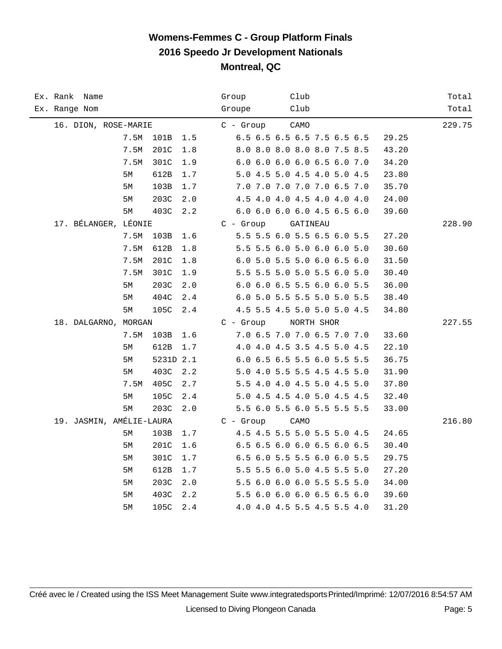| Ex. Rank Name            |      |           |     | Group<br>Club                        | Total  |
|--------------------------|------|-----------|-----|--------------------------------------|--------|
| Ex. Range Nom            |      |           |     | Groupe<br>Club                       | Total  |
| 16. DION, ROSE-MARIE     |      |           |     | $C -$ Group<br>CAMO                  | 229.75 |
|                          | 7.5M | 101B      | 1.5 | 6.5 6.5 6.5 6.5 7.5 6.5 6.5<br>29.25 |        |
|                          | 7.5M | 201C      | 1.8 | 8.0 8.0 8.0 8.0 8.0 7.5 8.5<br>43.20 |        |
|                          | 7.5M | 301C      | 1.9 | 6.0 6.0 6.0 6.0 6.5 6.0 7.0<br>34.20 |        |
|                          | 5М   | 612B      | 1.7 | 5.0 4.5 5.0 4.5 4.0 5.0 4.5<br>23.80 |        |
|                          | 5M   | 103B      | 1.7 | 7.0 7.0 7.0 7.0 7.0 6.5 7.0<br>35.70 |        |
|                          | 5M   | 203C      | 2.0 | 4.5 4.0 4.0 4.5 4.0 4.0 4.0<br>24.00 |        |
|                          | 5М   | 403C      | 2.2 | 6.0 6.0 6.0 6.0 4.5 6.5 6.0<br>39.60 |        |
| 17. BÉLANGER, LÉONIE     |      |           |     | $C - Growp$<br>GATINEAU              | 228.90 |
|                          | 7.5M | 103B      | 1.6 | 5.5 5.5 6.0 5.5 6.5 6.0 5.5<br>27.20 |        |
|                          | 7.5M | 612B      | 1.8 | 5.5 5.5 6.0 5.0 6.0 6.0 5.0<br>30.60 |        |
|                          | 7.5M | 201C      | 1.8 | 6.0 5.0 5.5 5.0 6.0 6.5 6.0<br>31.50 |        |
|                          | 7.5M | 301C      | 1.9 | 5.5 5.5 5.0 5.0 5.5 6.0 5.0<br>30.40 |        |
|                          | 5М   | 203C      | 2.0 | 6.0 6.0 6.5 5.5 6.0 6.0 5.5<br>36.00 |        |
|                          | 5M   | 404C      | 2.4 | 6.0 5.0 5.5 5.5 5.0 5.0 5.5<br>38.40 |        |
|                          | 5М   | 105C      | 2.4 | 4.5 5.5 4.5 5.0 5.0 5.0 4.5<br>34.80 |        |
| 18. DALGARNO, MORGAN     |      |           |     | $C - Group$<br>NORTH SHOR            | 227.55 |
|                          | 7.5M | 103B      | 1.6 | 7.0 6.5 7.0 7.0 6.5 7.0 7.0<br>33.60 |        |
|                          | 5М   | 612B      | 1.7 | 4.0 4.0 4.5 3.5 4.5 5.0 4.5<br>22.10 |        |
|                          | 5M   | 5231D 2.1 |     | 6.0 6.5 6.5 5.5 6.0 5.5 5.5<br>36.75 |        |
|                          | 5М   | 403C      | 2.2 | 5.0 4.0 5.5 5.5 4.5 4.5 5.0<br>31.90 |        |
|                          | 7.5M | 405C      | 2.7 | 5.5 4.0 4.0 4.5 5.0 4.5 5.0<br>37.80 |        |
|                          | 5M   | 105C      | 2.4 | 5.0 4.5 4.5 4.0 5.0 4.5 4.5<br>32.40 |        |
|                          | 5М   | 203C      | 2.0 | 5.5 6.0 5.5 6.0 5.5 5.5 5.5<br>33.00 |        |
| 19. JASMIN, AMÉLIE-LAURA |      |           |     | $C -$ Group<br>CAMO                  | 216.80 |
|                          | 5M   | 103B      | 1.7 | 4.5 4.5 5.5 5.0 5.5 5.0 4.5<br>24.65 |        |
|                          | 5М   | 201C      | 1.6 | 6.5 6.5 6.0 6.0 6.5 6.0 6.5<br>30.40 |        |
|                          | 5М   | 301C      | 1.7 | 6.5 6.0 5.5 5.5 6.0 6.0 5.5<br>29.75 |        |
|                          | 5M   | 612B      | 1.7 | 5.5 5.5 6.0 5.0 4.5 5.5 5.0<br>27.20 |        |
|                          | 5M   | 203C      | 2.0 | 5.5 6.0 6.0 6.0 5.5 5.5 5.0<br>34.00 |        |
|                          | 5М   | 403C      | 2.2 | 5.5 6.0 6.0 6.0 6.5 6.5 6.0<br>39.60 |        |
|                          | 5M   | 105C      | 2.4 | 4.0 4.0 4.5 5.5 4.5 5.5 4.0<br>31.20 |        |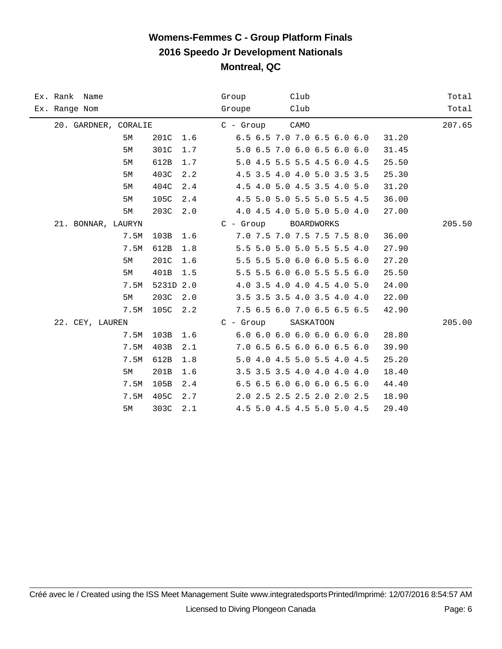|               | Ex. Rank Name        |      |           |     | Club<br>Group                        | Total  |
|---------------|----------------------|------|-----------|-----|--------------------------------------|--------|
| Ex. Range Nom |                      |      |           |     | Club<br>Groupe                       | Total  |
|               | 20. GARDNER, CORALIE |      |           |     | CAMO<br>$C -$ Group                  | 207.65 |
|               |                      | 5M   | 201C      | 1.6 | 6.5 6.5 7.0 7.0 6.5 6.0 6.0<br>31.20 |        |
|               |                      | 5M   | 301C      | 1.7 | 5.0 6.5 7.0 6.0 6.5 6.0 6.0<br>31.45 |        |
|               |                      | 5M   | 612B      | 1.7 | 5.0 4.5 5.5 5.5 4.5 6.0 4.5<br>25.50 |        |
|               |                      | 5M   | 403C      | 2.2 | 4.5 3.5 4.0 4.0 5.0 3.5 3.5<br>25.30 |        |
|               |                      | 5M   | 404C      | 2.4 | 4.5 4.0 5.0 4.5 3.5 4.0 5.0<br>31.20 |        |
|               |                      | 5M   | 105C      | 2.4 | 4.5 5.0 5.0 5.5 5.0 5.5 4.5<br>36.00 |        |
|               |                      | 5M   | 203C      | 2.0 | 4.0 4.5 4.0 5.0 5.0 5.0 4.0<br>27.00 |        |
|               | 21. BONNAR, LAURYN   |      |           |     | $C -$ Group<br><b>BOARDWORKS</b>     | 205.50 |
|               |                      | 7.5M | 103B      | 1.6 | 7.0 7.5 7.0 7.5 7.5 7.5 8.0<br>36.00 |        |
|               |                      | 7.5M | 612B      | 1.8 | 5.5 5.0 5.0 5.0 5.5 5.5 4.0<br>27.90 |        |
|               |                      | 5M   | 201C      | 1.6 | 5.5 5.5 5.0 6.0 6.0 5.5 6.0<br>27.20 |        |
|               |                      | 5M   | 401B      | 1.5 | 5.5 5.5 6.0 6.0 5.5 5.5 6.0<br>25.50 |        |
|               |                      | 7.5M | 5231D 2.0 |     | 4.0 3.5 4.0 4.0 4.5 4.0 5.0<br>24.00 |        |
|               |                      | 5M   | 203C      | 2.0 | 3.5 3.5 3.5 4.0 3.5 4.0 4.0<br>22.00 |        |
|               |                      | 7.5M | 105C      | 2.2 | 7.5 6.5 6.0 7.0 6.5 6.5 6.5<br>42.90 |        |
|               | 22. CEY, LAUREN      |      |           |     | C - Group<br>SASKATOON               | 205.00 |
|               |                      | 7.5M | 103B      | 1.6 | 6.06.06.06.06.06.06.0<br>28.80       |        |
|               |                      | 7.5M | 403B      | 2.1 | 7.0 6.5 6.5 6.0 6.0 6.5 6.0<br>39.90 |        |
|               |                      | 7.5M | 612B      | 1.8 | 5.0 4.0 4.5 5.0 5.5 4.0 4.5<br>25.20 |        |
|               |                      | 5M   | 201B      | 1.6 | 3.5 3.5 3.5 4.0 4.0 4.0 4.0<br>18.40 |        |
|               |                      | 7.5M | 105B      | 2.4 | 6.5 6.5 6.0 6.0 6.0 6.5 6.0<br>44.40 |        |
|               |                      | 7.5M | 405C      | 2.7 | 2.0 2.5 2.5 2.5 2.0 2.0 2.5<br>18.90 |        |
|               |                      | 5М   | 303C      | 2.1 | 4.5 5.0 4.5 4.5 5.0 5.0 4.5<br>29.40 |        |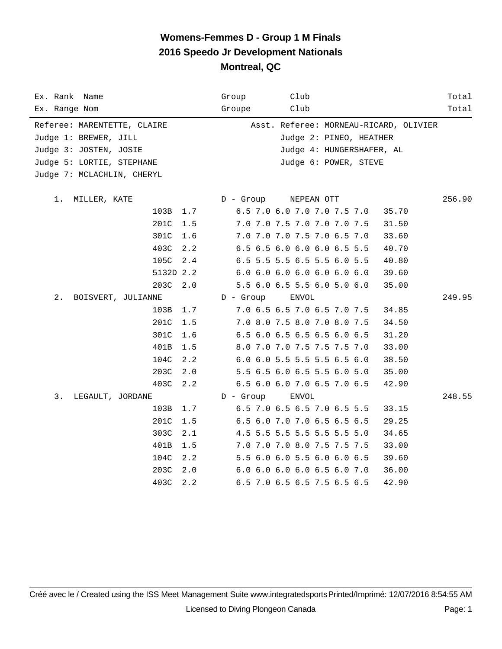| Ex. Rank Name                                        | Group       | Club                                                              | Total  |
|------------------------------------------------------|-------------|-------------------------------------------------------------------|--------|
| Ex. Range Nom                                        | Groupe      | Club                                                              | Total  |
| Referee: MARENTETTE, CLAIRE<br>Judge 1: BREWER, JILL |             | Asst. Referee: MORNEAU-RICARD, OLIVIER<br>Judge 2: PINEO, HEATHER |        |
| Judge 3: JOSTEN, JOSIE                               |             | Judge 4: HUNGERSHAFER, AL                                         |        |
| Judge 5: LORTIE, STEPHANE                            |             | Judge 6: POWER, STEVE                                             |        |
| Judge 7: MCLACHLIN, CHERYL                           |             |                                                                   |        |
|                                                      |             |                                                                   |        |
| 1.<br>MILLER, KATE                                   | D - Group   | NEPEAN OTT                                                        | 256.90 |
| 103B 1.7                                             |             | 6.5 7.0 6.0 7.0 7.0 7.5 7.0<br>35.70                              |        |
| 201C                                                 | 1.5         | 7.0 7.0 7.5 7.0 7.0 7.0 7.5<br>31.50                              |        |
| 301C                                                 | 1.6         | 7.0 7.0 7.0 7.5 7.0 6.5 7.0<br>33.60                              |        |
| 403C                                                 | 2.2         | 6.5 6.5 6.0 6.0 6.0 6.5 5.5<br>40.70                              |        |
| 105C                                                 | 2.4         | 6.5 5.5 5.5 6.5 5.5 6.0 5.5<br>40.80                              |        |
| 5132D 2.2                                            |             | 6.0 6.0 6.0 6.0 6.0 6.0 6.0<br>39.60                              |        |
| 203C                                                 | 2.0         | 5.5 6.0 6.5 5.5 6.0 5.0 6.0<br>35.00                              |        |
| $2$ .<br>BOISVERT, JULIANNE                          | $D -$ Group | ENVOL                                                             | 249.95 |
| 103B 1.7                                             |             | 7.0 6.5 6.5 7.0 6.5 7.0 7.5<br>34.85                              |        |
| 201C                                                 | 1.5         | 7.0 8.0 7.5 8.0 7.0 8.0 7.5<br>34.50                              |        |
| 301C                                                 | 1.6         | 6.5 6.0 6.5 6.5 6.5 6.0 6.5<br>31.20                              |        |
| 401B                                                 | 1.5         | 8.0 7.0 7.0 7.5 7.5 7.5 7.0<br>33.00                              |        |
| 104C                                                 | 2.2         | 6.0 6.0 5.5 5.5 5.5 6.5 6.0<br>38.50                              |        |
| 203C                                                 | 2.0         | 5.5 6.5 6.0 6.5 5.5 6.0 5.0<br>35.00                              |        |
| 403C                                                 | 2.2         | 6.5 6.0 6.0 7.0 6.5 7.0 6.5<br>42.90                              |        |
| 3.<br>LEGAULT, JORDANE                               | D - Group   | <b>ENVOL</b>                                                      | 248.55 |
| 103B                                                 | 1.7         | 6.5 7.0 6.5 6.5 7.0 6.5 5.5<br>33.15                              |        |
| 201C                                                 | 1.5         | 6.5 6.0 7.0 7.0 6.5 6.5 6.5<br>29.25                              |        |
| 303C                                                 | 2.1         | 4.5 5.5 5.5 5.5 5.5 5.5 5.0<br>34.65                              |        |
| 401B                                                 | 1.5         | 7.0 7.0 7.0 8.0 7.5 7.5 7.5<br>33.00                              |        |
| 104C                                                 | 2.2         | 5.5 6.0 6.0 5.5 6.0 6.0 6.5<br>39.60                              |        |
| 203C                                                 | 2.0         | 6.0 6.0 6.0 6.0 6.5 6.0 7.0<br>36.00                              |        |
| 403C                                                 | 2.2         | 6.5 7.0 6.5 6.5 7.5 6.5 6.5<br>42.90                              |        |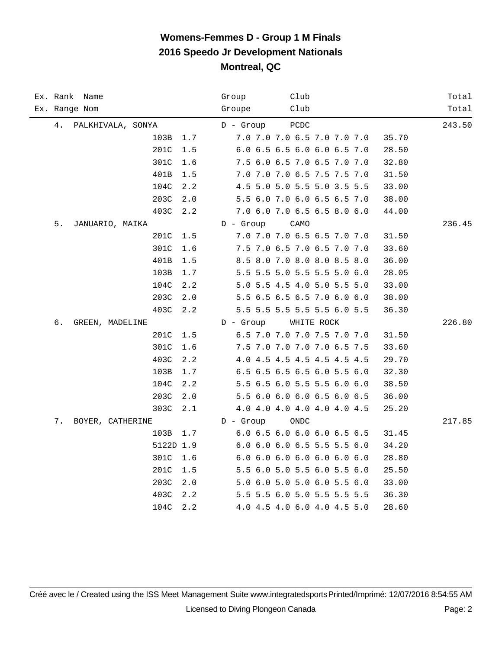| Ex. Rank Name<br>Ex. Range Nom | Club<br>Group<br>Club<br>Groupe                                     | Total<br>Total |
|--------------------------------|---------------------------------------------------------------------|----------------|
|                                |                                                                     |                |
| 4.<br>PALKHIVALA, SONYA        | $D -$ Group<br>PCDC                                                 | 243.50         |
| 103B<br>1.7                    | 7.0 7.0 7.0 6.5 7.0 7.0 7.0<br>35.70                                |                |
| 201C<br>1.5                    | 6.0 6.5 6.5 6.0 6.0 6.5 7.0<br>28.50                                |                |
| 301C<br>1.6                    | 7.5 6.0 6.5 7.0 6.5 7.0 7.0<br>32.80                                |                |
| 401B<br>1.5                    | 7.0 7.0 7.0 6.5 7.5 7.5 7.0<br>31.50                                |                |
| 104C<br>2.2<br>2.0             | 4.5 5.0 5.0 5.5 5.0 3.5 5.5<br>33.00<br>5.5 6.0 7.0 6.0 6.5 6.5 7.0 |                |
| 203C<br>403C<br>2.2            | 38.00<br>7.0 6.0 7.0 6.5 6.5 8.0 6.0                                |                |
| 5.                             | 44.00<br>$D -$ Group                                                |                |
| JANUARIO, MAIKA<br>201C<br>1.5 | CAMO<br>7.0 7.0 7.0 6.5 6.5 7.0 7.0<br>31.50                        | 236.45         |
| 301C<br>1.6                    | 7.5 7.0 6.5 7.0 6.5 7.0 7.0<br>33.60                                |                |
| 401B<br>1.5                    | 8.5 8.0 7.0 8.0 8.0 8.5 8.0<br>36.00                                |                |
| 103B<br>1.7                    | 5.5 5.5 5.0 5.5 5.5 5.0 6.0<br>28.05                                |                |
| 104C<br>2.2                    | 5.0 5.5 4.5 4.0 5.0 5.5 5.0<br>33.00                                |                |
| 203C<br>2.0                    | 5.5 6.5 6.5 6.5 7.0 6.0 6.0<br>38.00                                |                |
| 403C<br>2.2                    | 5.5 5.5 5.5 5.5 5.5 6.0 5.5<br>36.30                                |                |
| б.<br>GREEN, MADELINE          | $D -$ Group<br>WHITE ROCK                                           | 226.80         |
| 201C<br>1.5                    | 6.5 7.0 7.0 7.0 7.5 7.0 7.0<br>31.50                                |                |
| 301C<br>1.6                    | 7.5 7.0 7.0 7.0 7.0 6.5 7.5<br>33.60                                |                |
| 403C<br>2.2                    | 4.0 4.5 4.5 4.5 4.5 4.5 4.5<br>29.70                                |                |
| 103B<br>1.7                    | 6.5 6.5 6.5 6.5 6.0 5.5 6.0<br>32.30                                |                |
| 104C<br>2.2                    | 5.5 6.5 6.0 5.5 5.5 6.0 6.0<br>38.50                                |                |
| 203C<br>2.0                    | 5.5 6.0 6.0 6.0 6.5 6.0 6.5<br>36.00                                |                |
| 303C<br>2.1                    | 4.0 4.0 4.0 4.0 4.0 4.0 4.5<br>25.20                                |                |
| 7.<br>BOYER, CATHERINE         | <b>ONDC</b><br>$D -$ Group                                          | 217.85         |
| 103B<br>1.7                    | 6.0 6.5 6.0 6.0 6.0 6.5 6.5<br>31.45                                |                |
| 5122D 1.9                      | 6.0 6.0 6.0 6.5 5.5 5.5 6.0<br>34.20                                |                |
| 301C<br>1.6                    | 6.0 6.0 6.0 6.0 6.0 6.0 6.0<br>28.80                                |                |
| 201C<br>1.5                    | 5.5 6.0 5.0 5.5 6.0 5.5 6.0<br>25.50                                |                |
| 203C<br>2.0                    | 5.0 6.0 5.0 5.0 6.0 5.5 6.0<br>33.00                                |                |
| 403C<br>2.2                    | 5.5 5.5 6.0 5.0 5.5 5.5 5.5<br>36.30                                |                |
| 104C<br>2.2                    | 4.0 4.5 4.0 6.0 4.0 4.5 5.0<br>28.60                                |                |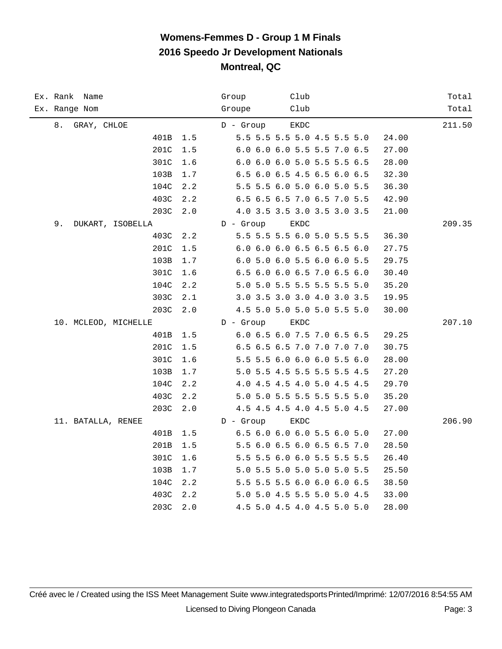| Ex. Rank Name<br>Ex. Range Nom  | Club<br>Group<br>Club<br>Groupe                                     | Total<br>Total |
|---------------------------------|---------------------------------------------------------------------|----------------|
|                                 |                                                                     |                |
| 8.<br>GRAY, CHLOE<br>1.5        | $D -$ Group<br>EKDC<br>5.5 5.5 5.5 5.0 4.5 5.5 5.0                  | 211.50         |
| 401B                            | 24.00<br>6.0 6.0 6.0 5.5 5.5 7.0 6.5                                |                |
| 201C<br>1.5<br>301C             | 27.00                                                               |                |
| 1.6                             | 6.0 6.0 6.0 5.0 5.5 5.5 6.5<br>28.00                                |                |
| 103B<br>1.7                     | 6.5 6.0 6.5 4.5 6.5 6.0 6.5<br>32.30                                |                |
| 104C<br>2.2                     | 5.5 5.5 6.0 5.0 6.0 5.0 5.5<br>36.30                                |                |
| 403C<br>2.2                     | 6.5 6.5 6.5 7.0 6.5 7.0 5.5<br>42.90<br>4.0 3.5 3.5 3.0 3.5 3.0 3.5 |                |
| 203C<br>2.0<br>9.               | 21.00<br>$D -$ Group                                                | 209.35         |
| DUKART, ISOBELLA<br>403C<br>2.2 | EKDC<br>5.5 5.5 5.5 6.0 5.0 5.5 5.5<br>36.30                        |                |
| 201C                            | 6.0 6.0 6.0 6.5 6.5 6.5 6.0                                         |                |
| 1.5<br>103B                     | 27.75<br>6.0 5.0 6.0 5.5 6.0 6.0 5.5                                |                |
| 1.7<br>301C                     | 29.75                                                               |                |
| 1.6                             | 6.5 6.0 6.0 6.5 7.0 6.5 6.0<br>30.40                                |                |
| 104C<br>2.2                     | 5.0 5.0 5.5 5.5 5.5 5.5 5.0<br>35.20                                |                |
| 303C<br>2.1                     | 3.0 3.5 3.0 3.0 4.0 3.0 3.5<br>19.95                                |                |
| 203C<br>2.0                     | 4.5 5.0 5.0 5.0 5.0 5.5 5.0<br>30.00                                |                |
| 10. MCLEOD, MICHELLE            | $D -$ Group<br>EKDC                                                 | 207.10         |
| 401B<br>1.5                     | 6.0 6.5 6.0 7.5 7.0 6.5 6.5<br>29.25                                |                |
| 201C<br>1.5                     | 6.5 6.5 6.5 7.0 7.0 7.0 7.0<br>30.75                                |                |
| 301C<br>1.6                     | 5.5 5.5 6.0 6.0 6.0 5.5 6.0<br>28.00                                |                |
| 103B<br>1.7                     | 5.0 5.5 4.5 5.5 5.5 5.5 4.5<br>27.20                                |                |
| 104C<br>2.2                     | 4.0 4.5 4.5 4.0 5.0 4.5 4.5<br>29.70                                |                |
| 403C<br>2.2                     | 5.0 5.0 5.5 5.5 5.5 5.5 5.0<br>35.20                                |                |
| 203C<br>2.0                     | 4.5 4.5 4.5 4.0 4.5 5.0 4.5<br>27.00                                |                |
| 11. BATALLA, RENEE              | $D -$ Group<br>EKDC                                                 | 206.90         |
| 401B<br>1.5                     | 6.5 6.0 6.0 6.0 5.5 6.0 5.0<br>27.00                                |                |
| 201B<br>1.5                     | 5.5 6.0 6.5 6.0 6.5 6.5 7.0<br>28.50                                |                |
| 301C<br>1.6                     | 5.5 5.5 6.0 6.0 5.5 5.5 5.5<br>26.40                                |                |
| 103B<br>1.7                     | 5.0 5.5 5.0 5.0 5.0 5.0 5.5<br>25.50                                |                |
| 104C<br>2.2                     | 5.5 5.5 5.5 6.0 6.0 6.0 6.5<br>38.50                                |                |
| 403C<br>2.2                     | 5.0 5.0 4.5 5.5 5.0 5.0 4.5<br>33.00                                |                |
| 203C<br>2.0                     | 4.5 5.0 4.5 4.0 4.5 5.0 5.0<br>28.00                                |                |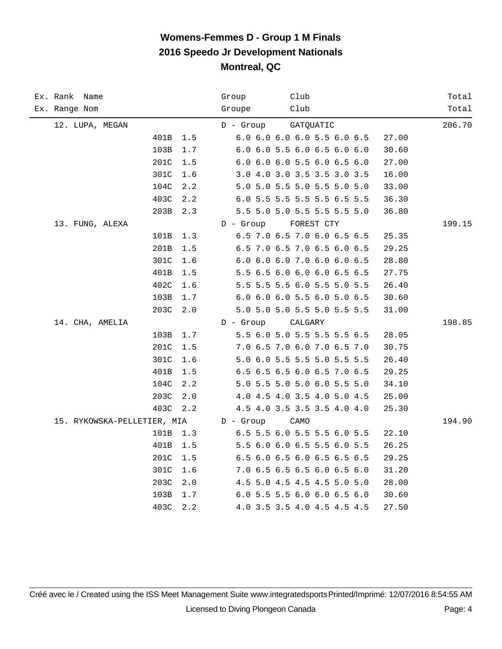| Ex. Rank Name<br>Ex. Range Nom | Club<br>Group<br>Club<br>Groupe      | Total<br>Total |
|--------------------------------|--------------------------------------|----------------|
| 12. LUPA, MEGAN                | $D -$ Group<br>GATQUATIC             | 206.70         |
| 401B<br>1.5                    | 6.0 6.0 6.0 6.0 5.5 6.0 6.5<br>27.00 |                |
| $1.7\,$<br>103B                | 6.0 6.0 5.5 6.0 6.5 6.0 6.0<br>30.60 |                |
| 201C<br>1.5                    | 6.0 6.0 6.0 5.5 6.0 6.5 6.0<br>27.00 |                |
| 301C<br>1.6                    | 3.0 4.0 3.0 3.5 3.5 3.0 3.5<br>16.00 |                |
| 104C<br>2.2                    | 5.0 5.0 5.5 5.0 5.5 5.0 5.0<br>33.00 |                |
| 403C<br>2.2                    | 6.0 5.5 5.5 5.5 5.5 6.5 5.5<br>36.30 |                |
| 203B<br>2.3                    | 5.5 5.0 5.0 5.5 5.5 5.5 5.0<br>36.80 |                |
| 13. FUNG, ALEXA                | $D -$ Group<br>FOREST CTY            | 199.15         |
| 101B<br>1.3                    | 6.5 7.0 6.5 7.0 6.0 6.5 6.5<br>25.35 |                |
| 201B<br>1.5                    | 6.5 7.0 6.5 7.0 6.5 6.0 6.5<br>29.25 |                |
| 301C<br>1.6                    | 6.0 6.0 6.0 7.0 6.0 6.0 6.5<br>28.80 |                |
| 401B<br>1.5                    | 5.5 6.5 6.0 6.0 6.0 6.5 6.5<br>27.75 |                |
| 402C<br>1.6                    | 5.5 5.5 5.5 6.0 5.5 5.0 5.5<br>26.40 |                |
| 103B<br>1.7                    | 6.0 6.0 6.0 5.5 6.0 5.0 6.5<br>30.60 |                |
| 203C<br>2.0                    | 5.0 5.0 5.0 5.5 5.0 5.5 5.5<br>31.00 |                |
| 14. CHA, AMELIA                | $D -$ Group<br>CALGARY               | 198.85         |
| 103B<br>1.7                    | 5.5 6.0 5.0 5.5 5.5 5.5 6.5<br>28.05 |                |
| 201C<br>1.5                    | 7.0 6.5 7.0 6.0 7.0 6.5 7.0<br>30.75 |                |
| 301C<br>1.6                    | 5.0 6.0 5.5 5.5 5.0 5.5 5.5<br>26.40 |                |
| 401B<br>1.5                    | 6.5 6.5 6.5 6.0 6.5 7.0 6.5<br>29.25 |                |
| 104C<br>2.2                    | 5.0 5.5 5.0 5.0 6.0 5.5 5.0<br>34.10 |                |
| 203C<br>2.0                    | 4.0 4.5 4.0 3.5 4.0 5.0 4.5<br>25.00 |                |
| 403C<br>2.2                    | 4.5 4.0 3.5 3.5 3.5 4.0 4.0<br>25.30 |                |
| 15. RYKOWSKA-PELLETIER, MIA    | $D -$ Group<br>CAMO                  | 194.90         |
| 101B<br>1.3                    | 6.5 5.5 6.0 5.5 5.5 6.0 5.5<br>22.10 |                |
| 401B<br>1.5                    | 5.5 6.0 6.0 6.5 5.5 6.0 5.5<br>26.25 |                |
| 201C<br>1.5                    | 6.5 6.0 6.5 6.0 6.5 6.5 6.5<br>29.25 |                |
| 301C<br>1.6                    | 7.0 6.5 6.5 6.5 6.0 6.5 6.0<br>31.20 |                |
| 203C<br>2.0                    | 4.5 5.0 4.5 4.5 4.5 5.0 5.0<br>28.00 |                |
| 103B<br>1.7                    | 6.0 5.5 5.5 6.0 6.0 6.5 6.0<br>30.60 |                |
| 403C<br>2.2                    | 4.0 3.5 3.5 4.0 4.5 4.5 4.5<br>27.50 |                |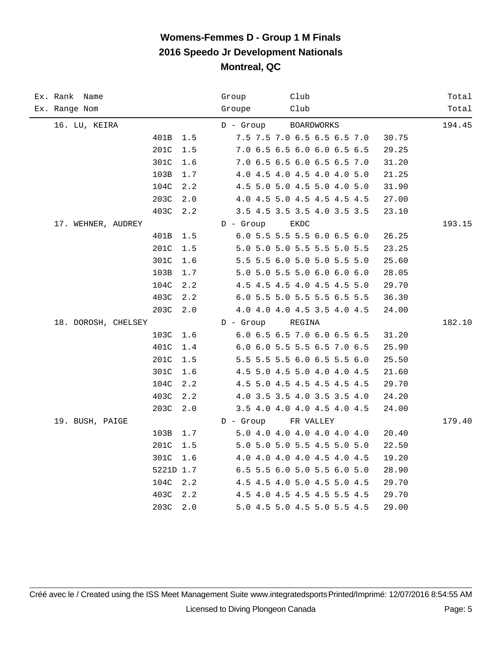| Ex. Rank Name<br>Ex. Range Nom | Club<br>Group<br>Club<br>Groupe      | Total<br>Total |
|--------------------------------|--------------------------------------|----------------|
| 16. LU, KEIRA                  | <b>BOARDWORKS</b><br>D - Group       | 194.45         |
| 401B<br>1.5                    | 7.5 7.5 7.0 6.5 6.5 6.5 7.0<br>30.75 |                |
| 201C<br>$1.5$                  | 7.0 6.5 6.5 6.0 6.0 6.5 6.5<br>29.25 |                |
| 301C<br>1.6                    | 7.0 6.5 6.5 6.0 6.5 6.5 7.0<br>31.20 |                |
| 103B<br>$1.7$                  | 4.0 4.5 4.0 4.5 4.0 4.0 5.0<br>21.25 |                |
| 104C<br>2.2                    | 4.5 5.0 5.0 4.5 5.0 4.0 5.0<br>31.90 |                |
| 203C<br>2.0                    | 4.0 4.5 5.0 4.5 4.5 4.5 4.5<br>27.00 |                |
| 403C<br>2.2                    | 3.5 4.5 3.5 3.5 4.0 3.5 3.5<br>23.10 |                |
| 17. WEHNER, AUDREY             | $D -$ Group<br>EKDC                  | 193.15         |
| 401B<br>1.5                    | 6.0 5.5 5.5 5.5 6.0 6.5 6.0<br>26.25 |                |
| 201C<br>1.5                    | 5.0 5.0 5.0 5.5 5.5 5.0 5.5<br>23.25 |                |
| 301C<br>1.6                    | 5.5 5.5 6.0 5.0 5.0 5.5 5.0<br>25.60 |                |
| 103B<br>$1.7$                  | 5.0 5.0 5.5 5.0 6.0 6.0 6.0<br>28.05 |                |
| 104C<br>2.2                    | 4.5 4.5 4.5 4.0 4.5 4.5 5.0<br>29.70 |                |
| 403C<br>2.2                    | 6.0 5.5 5.0 5.5 5.5 6.5 5.5<br>36.30 |                |
| 203C<br>2.0                    | 4.0 4.0 4.0 4.5 3.5 4.0 4.5<br>24.00 |                |
| 18. DOROSH, CHELSEY            | $D -$ Group<br>REGINA                | 182.10         |
| 103C<br>1.6                    | 6.0 6.5 6.5 7.0 6.0 6.5 6.5<br>31.20 |                |
| 401C<br>1.4                    | 6.0 6.0 5.5 5.5 6.5 7.0 6.5<br>25.90 |                |
| 201C<br>1.5                    | 5.5 5.5 5.5 6.0 6.5 5.5 6.0<br>25.50 |                |
| 301C<br>1.6                    | 4.5 5.0 4.5 5.0 4.0 4.0 4.5<br>21.60 |                |
| 104C<br>2.2                    | 4.5 5.0 4.5 4.5 4.5 4.5 4.5<br>29.70 |                |
| 403C<br>2.2                    | 4.0 3.5 3.5 4.0 3.5 3.5 4.0<br>24.20 |                |
| 203C<br>2.0                    | 3.5 4.0 4.0 4.0 4.5 4.0 4.5<br>24.00 |                |
| 19. BUSH, PAIGE                | $D -$ Group<br>FR VALLEY             | 179.40         |
| 103B<br>1.7                    | 5.0 4.0 4.0 4.0 4.0 4.0 4.0<br>20.40 |                |
| 201C<br>$1.5$                  | 5.0 5.0 5.0 5.5 4.5 5.0 5.0<br>22.50 |                |
| 301C<br>1.6                    | 4.0 4.0 4.0 4.0 4.5 4.0 4.5<br>19.20 |                |
| 5221D 1.7                      | 6.5 5.5 6.0 5.0 5.5 6.0 5.0<br>28.90 |                |
| 104C<br>2.2                    | 4.5 4.5 4.0 5.0 4.5 5.0 4.5<br>29.70 |                |
| 403C<br>2.2                    | 4.5 4.0 4.5 4.5 4.5 5.5 4.5<br>29.70 |                |
| 203C<br>2.0                    | 5.0 4.5 5.0 4.5 5.0 5.5 4.5<br>29.00 |                |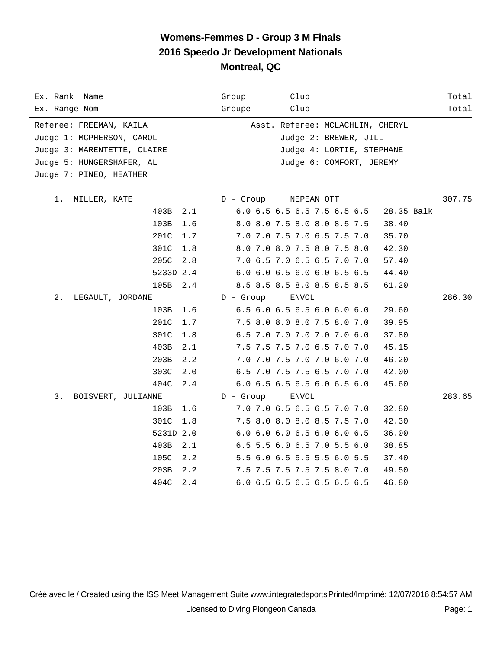| Ex. Rank Name               |             | Group       | Club                             | Total      |
|-----------------------------|-------------|-------------|----------------------------------|------------|
| Ex. Range Nom               |             | Groupe      | Club                             | Total      |
| Referee: FREEMAN, KAILA     |             |             | Asst. Referee: MCLACHLIN, CHERYL |            |
| Judge 1: MCPHERSON, CAROL   |             |             | Judge 2: BREWER, JILL            |            |
| Judge 3: MARENTETTE, CLAIRE |             |             | Judge 4: LORTIE, STEPHANE        |            |
| Judge 5: HUNGERSHAFER, AL   |             |             | Judge 6: COMFORT, JEREMY         |            |
| Judge 7: PINEO, HEATHER     |             |             |                                  |            |
|                             |             |             |                                  |            |
| 1.<br>MILLER, KATE          |             | D - Group   | NEPEAN OTT                       | 307.75     |
|                             | 403B<br>2.1 |             | 6.0 6.5 6.5 6.5 7.5 6.5 6.5      | 28.35 Balk |
|                             | 103B<br>1.6 |             | 8.0 8.0 7.5 8.0 8.0 8.5 7.5      | 38.40      |
|                             | 201C<br>1.7 |             | 7.0 7.0 7.5 7.0 6.5 7.5 7.0      | 35.70      |
|                             | 301C<br>1.8 |             | 8.0 7.0 8.0 7.5 8.0 7.5 8.0      | 42.30      |
|                             | 205C<br>2.8 |             | 7.0 6.5 7.0 6.5 6.5 7.0 7.0      | 57.40      |
|                             | 5233D 2.4   |             | 6.0 6.0 6.5 6.0 6.0 6.5 6.5      | 44.40      |
|                             | 105B<br>2.4 |             | 8.5 8.5 8.5 8.0 8.5 8.5 8.5      | 61.20      |
| 2.<br>LEGAULT, JORDANE      |             | $D -$ Group | ENVOL                            | 286.30     |
|                             | 103B 1.6    |             | 6.5 6.0 6.5 6.5 6.0 6.0 6.0      | 29.60      |
|                             | 201C<br>1.7 |             | 7.5 8.0 8.0 8.0 7.5 8.0 7.0      | 39.95      |
|                             | 301C<br>1.8 |             | 6.5 7.0 7.0 7.0 7.0 7.0 6.0      | 37.80      |
|                             | 403B<br>2.1 |             | 7.5 7.5 7.5 7.0 6.5 7.0 7.0      | 45.15      |
|                             | 203B<br>2.2 |             | 7.0 7.0 7.5 7.0 7.0 6.0 7.0      | 46.20      |
|                             | 303C<br>2.0 |             | 6.5 7.0 7.5 7.5 6.5 7.0 7.0      | 42.00      |
|                             | 404C<br>2.4 |             | 6.0 6.5 6.5 6.5 6.0 6.5 6.0      | 45.60      |
| 3.<br>BOISVERT, JULIANNE    |             | $D -$ Group | ENVOL                            | 283.65     |
|                             | 103B<br>1.6 |             | 7.0 7.0 6.5 6.5 6.5 7.0 7.0      | 32.80      |
|                             | 301C<br>1.8 |             | 7.5 8.0 8.0 8.0 8.5 7.5 7.0      | 42.30      |
|                             | 5231D 2.0   |             | 6.0 6.0 6.0 6.5 6.0 6.0 6.5      | 36.00      |
|                             | 403B<br>2.1 |             | 6.5 5.5 6.0 6.5 7.0 5.5 6.0      | 38.85      |
|                             | 105C<br>2.2 |             | 5.5 6.0 6.5 5.5 5.5 6.0 5.5      | 37.40      |
|                             | 203B<br>2.2 |             | 7.5 7.5 7.5 7.5 7.5 8.0 7.0      | 49.50      |
|                             | 404C<br>2.4 |             | 6.0 6.5 6.5 6.5 6.5 6.5 6.5      | 46.80      |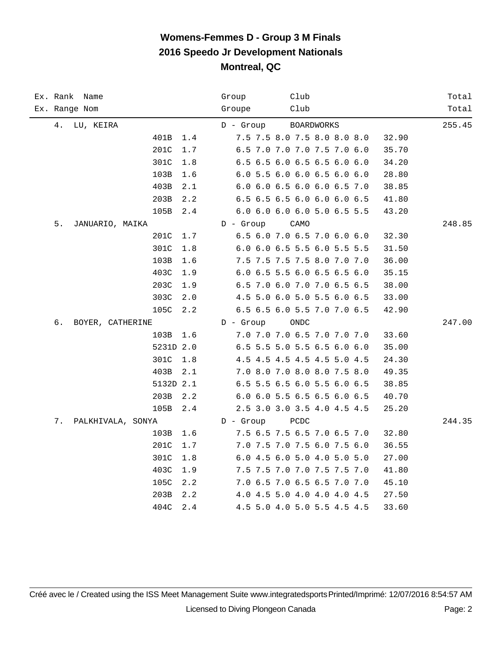| Ex. Rank Name           |               | Club<br>Group                        | Total  |
|-------------------------|---------------|--------------------------------------|--------|
| Ex. Range Nom           |               | Club<br>Groupe                       | Total  |
| 4.<br>LU, KEIRA         |               | $D -$ Group<br><b>BOARDWORKS</b>     | 255.45 |
|                         | 401B<br>1.4   | 7.5 7.5 8.0 7.5 8.0 8.0 8.0<br>32.90 |        |
|                         | 201C<br>1.7   | 6.5 7.0 7.0 7.0 7.5 7.0 6.0<br>35.70 |        |
|                         | 301C<br>1.8   | 6.5 6.5 6.0 6.5 6.5 6.0 6.0<br>34.20 |        |
|                         | 103B<br>1.6   | 6.0 5.5 6.0 6.0 6.5 6.0 6.0<br>28.80 |        |
|                         | 403B<br>2.1   | 6.0 6.0 6.5 6.0 6.0 6.5 7.0<br>38.85 |        |
|                         | 203B<br>2.2   | 6.5 6.5 6.5 6.0 6.0 6.0 6.5<br>41.80 |        |
|                         | 105B<br>2.4   | 6.0 6.0 6.0 6.0 5.0 6.5 5.5<br>43.20 |        |
| 5.<br>JANUARIO, MAIKA   |               | $D -$ Group<br>CAMO                  | 248.85 |
|                         | 201C<br>1.7   | 6.5 6.0 7.0 6.5 7.0 6.0 6.0<br>32.30 |        |
|                         | 301C<br>$1.8$ | 6.0 6.0 6.5 5.5 6.0 5.5 5.5<br>31.50 |        |
|                         | 103B<br>1.6   | 7.5 7.5 7.5 7.5 8.0 7.0 7.0<br>36.00 |        |
|                         | 403C<br>1.9   | 6.0 6.5 5.5 6.0 6.5 6.5 6.0<br>35.15 |        |
|                         | 203C<br>1.9   | 6.5 7.0 6.0 7.0 7.0 6.5 6.5<br>38.00 |        |
|                         | 303C<br>2.0   | 4.5 5.0 6.0 5.0 5.5 6.0 6.5<br>33.00 |        |
|                         | 105C<br>2.2   | 6.5 6.5 6.0 5.5 7.0 7.0 6.5<br>42.90 |        |
| б.<br>BOYER, CATHERINE  |               | $D -$ Group<br>ONDC                  | 247.00 |
|                         | 103B<br>1.6   | 7.0 7.0 7.0 6.5 7.0 7.0 7.0<br>33.60 |        |
|                         | 5231D 2.0     | 6.5 5.5 5.0 5.5 6.5 6.0 6.0<br>35.00 |        |
|                         | 301C<br>1.8   | 4.5 4.5 4.5 4.5 4.5 5.0 4.5<br>24.30 |        |
|                         | 403B<br>2.1   | 7.0 8.0 7.0 8.0 8.0 7.5 8.0<br>49.35 |        |
|                         | 5132D 2.1     | 6.5 5.5 6.5 6.0 5.5 6.0 6.5<br>38.85 |        |
|                         | 203B<br>2.2   | 6.0 6.0 5.5 6.5 6.5 6.0 6.5<br>40.70 |        |
|                         | 105B<br>2.4   | 2.5 3.0 3.0 3.5 4.0 4.5 4.5<br>25.20 |        |
| 7.<br>PALKHIVALA, SONYA |               | $D -$ Group<br>PCDC                  | 244.35 |
|                         | 103B<br>1.6   | 7.5 6.5 7.5 6.5 7.0 6.5 7.0<br>32.80 |        |
|                         | 201C<br>1.7   | 7.0 7.5 7.0 7.5 6.0 7.5 6.0<br>36.55 |        |
|                         | 301C<br>1.8   | 6.0 4.5 6.0 5.0 4.0 5.0 5.0<br>27.00 |        |
|                         | 403C<br>1.9   | 7.5 7.5 7.0 7.0 7.5 7.5 7.0<br>41.80 |        |
|                         | 105C<br>2.2   | 7.0 6.5 7.0 6.5 6.5 7.0 7.0<br>45.10 |        |
|                         | 203B<br>2.2   | 4.0 4.5 5.0 4.0 4.0 4.0 4.5<br>27.50 |        |
|                         | 404C<br>2.4   | 4.5 5.0 4.0 5.0 5.5 4.5 4.5<br>33.60 |        |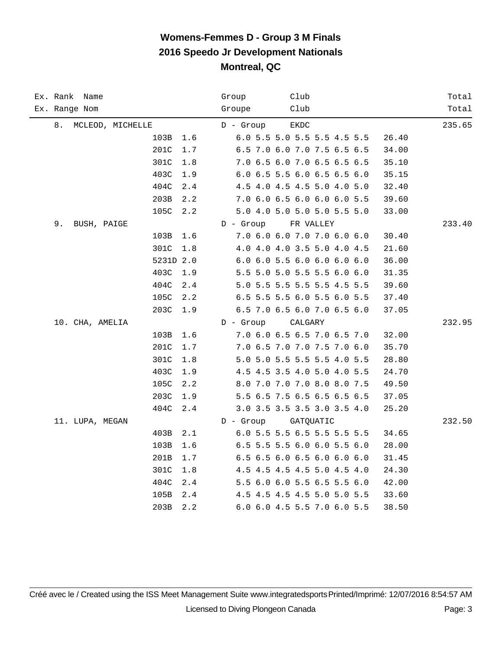| Ex. Rank Name<br>Ex. Range Nom | Club<br>Group<br>Club<br>Groupe      | Total<br>Total |
|--------------------------------|--------------------------------------|----------------|
|                                |                                      |                |
| 8.<br>MCLEOD, MICHELLE         | $D -$ Group<br><b>EKDC</b>           | 235.65         |
| 103B<br>1.6                    | 6.0 5.5 5.0 5.5 5.5 4.5 5.5<br>26.40 |                |
| 201C<br>1.7                    | 6.5 7.0 6.0 7.0 7.5 6.5 6.5<br>34.00 |                |
| 301C<br>1.8                    | 7.0 6.5 6.0 7.0 6.5 6.5 6.5<br>35.10 |                |
| 403C<br>1.9                    | 6.0 6.5 5.5 6.0 6.5 6.5 6.0<br>35.15 |                |
| 404C<br>2.4                    | 4.5 4.0 4.5 4.5 5.0 4.0 5.0<br>32.40 |                |
| 203B<br>2.2                    | 7.0 6.0 6.5 6.0 6.0 6.0 5.5<br>39.60 |                |
| 105C<br>2.2                    | 5.0 4.0 5.0 5.0 5.0 5.5 5.0<br>33.00 |                |
| 9.<br>BUSH, PAIGE              | $D -$ Group<br>FR VALLEY             | 233.40         |
| 103B<br>1.6                    | 7.0 6.0 6.0 7.0 7.0 6.0 6.0<br>30.40 |                |
| 301C<br>1.8                    | 4.0 4.0 4.0 3.5 5.0 4.0 4.5<br>21.60 |                |
| 5231D 2.0                      | 6.0 6.0 5.5 6.0 6.0 6.0 6.0<br>36.00 |                |
| 403C<br>1.9                    | 5.5 5.0 5.0 5.5 5.5 6.0 6.0<br>31.35 |                |
| 404C<br>2.4                    | 5.0 5.5 5.5 5.5 5.5 4.5 5.5<br>39.60 |                |
| 105C<br>2.2                    | 6.5 5.5 5.5 6.0 5.5 6.0 5.5<br>37.40 |                |
| 203C<br>1.9                    | 6.5 7.0 6.5 6.0 7.0 6.5 6.0<br>37.05 |                |
| 10. CHA, AMELIA                | $D -$ Group<br>CALGARY               | 232.95         |
| 103B<br>1.6                    | 7.0 6.0 6.5 6.5 7.0 6.5 7.0<br>32.00 |                |
| 201C<br>1.7                    | 7.0 6.5 7.0 7.0 7.5 7.0 6.0<br>35.70 |                |
| 301C<br>1.8                    | 5.0 5.0 5.5 5.5 5.5 4.0 5.5<br>28.80 |                |
| 403C<br>1.9                    | 4.5 4.5 3.5 4.0 5.0 4.0 5.5<br>24.70 |                |
| 105C<br>2.2                    | 8.0 7.0 7.0 7.0 8.0 8.0 7.5<br>49.50 |                |
| 203C<br>1.9                    | 5.5 6.5 7.5 6.5 6.5 6.5 6.5<br>37.05 |                |
| 404C<br>2.4                    | 3.0 3.5 3.5 3.5 3.0 3.5 4.0<br>25.20 |                |
| 11. LUPA, MEGAN                | $D -$ Group<br>GATQUATIC             | 232.50         |
| 403B<br>2.1                    | 6.0 5.5 5.5 6.5 5.5 5.5 5.5<br>34.65 |                |
| 103B<br>1.6                    | 6.5 5.5 5.5 6.0 6.0 5.5 6.0<br>28.00 |                |
| 201B<br>1.7                    | 6.5 6.5 6.0 6.5 6.0 6.0 6.0<br>31.45 |                |
| 301C<br>1.8                    | 4.5 4.5 4.5 4.5 5.0 4.5 4.0<br>24.30 |                |
| 404C<br>2.4                    | 5.5 6.0 6.0 5.5 6.5 5.5 6.0<br>42.00 |                |
| 105B<br>2.4                    | 4.5 4.5 4.5 4.5 5.0 5.0 5.5<br>33.60 |                |
| 203B<br>2.2                    | 6.0 6.0 4.5 5.5 7.0 6.0 5.5<br>38.50 |                |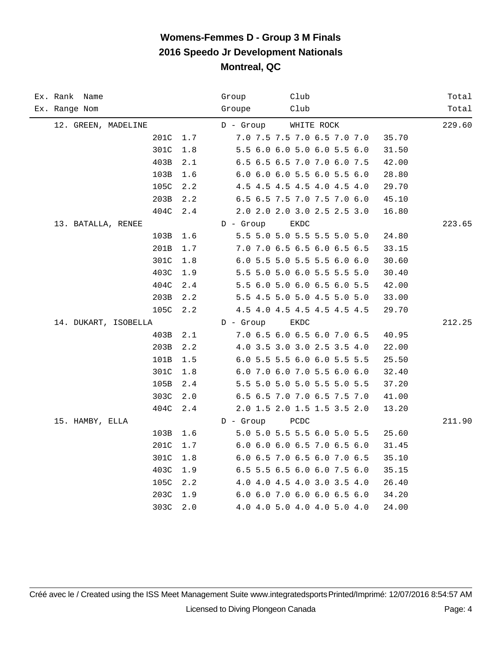| Ex. Rank Name<br>Ex. Range Nom       | Club<br>Group<br>Club<br>Groupe                                   | Total<br>Total |
|--------------------------------------|-------------------------------------------------------------------|----------------|
|                                      |                                                                   |                |
| 12. GREEN, MADELINE<br>201C<br>$1.7$ | $D -$ Group<br>WHITE ROCK<br>7.0 7.5 7.5 7.0 6.5 7.0 7.0<br>35.70 | 229.60         |
| 301C<br>1.8                          | 5.5 6.0 6.0 5.0 6.0 5.5 6.0<br>31.50                              |                |
| 403B<br>2.1                          | 6.5 6.5 6.5 7.0 7.0 6.0 7.5<br>42.00                              |                |
| 103B<br>1.6                          | 6.0 6.0 6.0 5.5 6.0 5.5 6.0<br>28.80                              |                |
| 105C<br>2.2                          | 4.5 4.5 4.5 4.5 4.0 4.5 4.0<br>29.70                              |                |
| 203B<br>2.2                          | 6.5 6.5 7.5 7.0 7.5 7.0 6.0<br>45.10                              |                |
| 404C<br>2.4                          | 2.0 2.0 2.0 3.0 2.5 2.5 3.0<br>16.80                              |                |
| 13. BATALLA, RENEE                   | $D -$ Group<br>EKDC                                               | 223.65         |
| 103B<br>1.6                          | 5.5 5.0 5.0 5.5 5.5 5.0 5.0<br>24.80                              |                |
| 201B<br>1.7                          | 7.0 7.0 6.5 6.5 6.0 6.5 6.5<br>33.15                              |                |
| 301C<br>1.8                          | 6.0 5.5 5.0 5.5 5.5 6.0 6.0<br>30.60                              |                |
| 403C<br>1.9                          | 5.5 5.0 5.0 6.0 5.5 5.5 5.0<br>30.40                              |                |
| 404C<br>2.4                          | 5.5 6.0 5.0 6.0 6.5 6.0 5.5<br>42.00                              |                |
| 203B<br>2.2                          | 5.5 4.5 5.0 5.0 4.5 5.0 5.0<br>33.00                              |                |
| 105C<br>2.2                          | 4.5 4.0 4.5 4.5 4.5 4.5 4.5<br>29.70                              |                |
| 14. DUKART, ISOBELLA                 | $D -$ Group<br>EKDC                                               | 212.25         |
| 403B<br>2.1                          | 7.0 6.5 6.0 6.5 6.0 7.0 6.5<br>40.95                              |                |
| 203B<br>2.2                          | 4.0 3.5 3.0 3.0 2.5 3.5 4.0<br>22.00                              |                |
| 101B<br>1.5                          | 6.0 5.5 5.5 6.0 6.0 5.5 5.5<br>25.50                              |                |
| 301C<br>1.8                          | 6.0 7.0 6.0 7.0 5.5 6.0 6.0<br>32.40                              |                |
| 105B<br>2.4                          | 5.5 5.0 5.0 5.0 5.5 5.0 5.5<br>37.20                              |                |
| 303C<br>2.0                          | 6.5 6.5 7.0 7.0 6.5 7.5 7.0<br>41.00                              |                |
| 404C<br>2.4                          | 2.0 1.5 2.0 1.5 1.5 3.5 2.0<br>13.20                              |                |
| 15. HAMBY, ELLA                      | $D -$ Group<br>PCDC                                               | 211.90         |
| 103B<br>1.6                          | 5.0 5.0 5.5 5.5 6.0 5.0 5.5<br>25.60                              |                |
| 201C<br>1.7                          | 6.0 6.0 6.0 6.5 7.0 6.5 6.0<br>31.45                              |                |
| 301C<br>1.8                          | 6.0 6.5 7.0 6.5 6.0 7.0 6.5<br>35.10                              |                |
| 403C<br>1.9                          | 6.5 5.5 6.5 6.0 6.0 7.5 6.0<br>35.15                              |                |
| 105C<br>2.2                          | 4.0 4.0 4.5 4.0 3.0 3.5 4.0<br>26.40                              |                |
| 203C<br>1.9                          | 6.0 6.0 7.0 6.0 6.0 6.5 6.0<br>34.20                              |                |
| 303C<br>2.0                          | 4.0 4.0 5.0 4.0 4.0 5.0 4.0<br>24.00                              |                |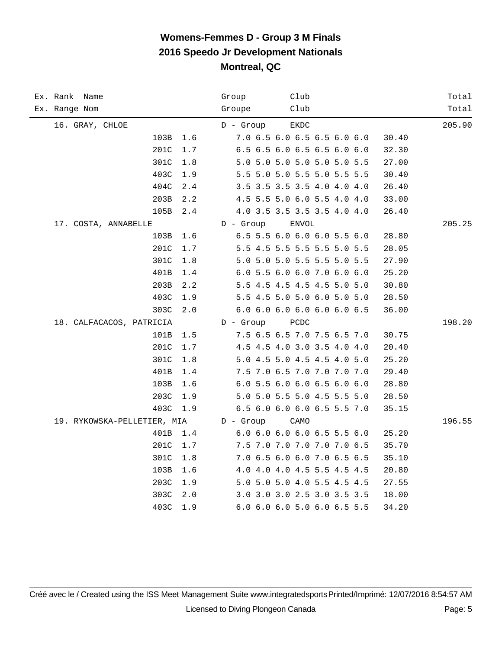| Ex. Rank Name<br>Ex. Range Nom | Club<br>Group<br>Club<br>Groupe      | Total<br>Total |
|--------------------------------|--------------------------------------|----------------|
|                                |                                      |                |
| 16. GRAY, CHLOE                | $D -$ Group<br><b>EKDC</b>           | 205.90         |
| 103B<br>1.6                    | 7.0 6.5 6.0 6.5 6.5 6.0 6.0<br>30.40 |                |
| $1.7\,$<br>201C                | 6.5 6.5 6.0 6.5 6.5 6.0 6.0<br>32.30 |                |
| 301C<br>1.8                    | 5.0 5.0 5.0 5.0 5.0 5.0 5.5<br>27.00 |                |
| 403C<br>1.9                    | 5.5 5.0 5.0 5.5 5.0 5.5 5.5<br>30.40 |                |
| 404C<br>2.4                    | 3.5 3.5 3.5 3.5 4.0 4.0 4.0<br>26.40 |                |
| 203B<br>2.2                    | 4.5 5.5 5.0 6.0 5.5 4.0 4.0<br>33.00 |                |
| 105B<br>2.4                    | 4.0 3.5 3.5 3.5 3.5 4.0 4.0<br>26.40 |                |
| 17. COSTA, ANNABELLE           | $D -$ Group<br><b>ENVOL</b>          | 205.25         |
| 103B<br>1.6                    | 6.5 5.5 6.0 6.0 6.0 5.5 6.0<br>28.80 |                |
| 201C<br>1.7                    | 5.5 4.5 5.5 5.5 5.5 5.0 5.5<br>28.05 |                |
| 301C<br>1.8                    | 5.0 5.0 5.0 5.5 5.5 5.0 5.5<br>27.90 |                |
| 401B<br>$1.4$                  | 6.0 5.5 6.0 6.0 7.0 6.0 6.0<br>25.20 |                |
| 203B<br>2.2                    | 5.5 4.5 4.5 4.5 4.5 5.0 5.0<br>30.80 |                |
| 403C<br>1.9                    | 5.5 4.5 5.0 5.0 6.0 5.0 5.0<br>28.50 |                |
| 303C<br>2.0                    | 6.0 6.0 6.0 6.0 6.0 6.0 6.5<br>36.00 |                |
| 18. CALFACACOS, PATRICIA       | $D -$ Group<br>PCDC                  | 198.20         |
| 101B<br>1.5                    | 7.5 6.5 6.5 7.0 7.5 6.5 7.0<br>30.75 |                |
| 201C<br>1.7                    | 4.5 4.5 4.0 3.0 3.5 4.0 4.0<br>20.40 |                |
| 301C<br>1.8                    | 5.0 4.5 5.0 4.5 4.5 4.0 5.0<br>25.20 |                |
| 401B<br>1.4                    | 7.5 7.0 6.5 7.0 7.0 7.0 7.0<br>29.40 |                |
| 103B<br>1.6                    | 6.0 5.5 6.0 6.0 6.5 6.0 6.0<br>28.80 |                |
| 203C<br>1.9                    | 5.0 5.0 5.5 5.0 4.5 5.5 5.0<br>28.50 |                |
| 403C<br>1.9                    | 6.5 6.0 6.0 6.0 6.5 5.5 7.0<br>35.15 |                |
| 19. RYKOWSKA-PELLETIER, MIA    | $D -$ Group<br>CAMO                  | 196.55         |
| 401B<br>1.4                    | 6.0 6.0 6.0 6.0 6.5 5.5 6.0<br>25.20 |                |
| 201C<br>1.7                    | 7.5 7.0 7.0 7.0 7.0 7.0 6.5<br>35.70 |                |
| 301C<br>1.8                    | 7.0 6.5 6.0 6.0 7.0 6.5 6.5<br>35.10 |                |
| 103B<br>1.6                    | 4.0 4.0 4.0 4.5 5.5 4.5 4.5<br>20.80 |                |
| 203C<br>1.9                    | 5.0 5.0 5.0 4.0 5.5 4.5 4.5<br>27.55 |                |
| 303C<br>2.0                    | 3.0 3.0 3.0 2.5 3.0 3.5 3.5<br>18.00 |                |
| 403C<br>1.9                    | 6.0 6.0 6.0 5.0 6.0 6.5 5.5<br>34.20 |                |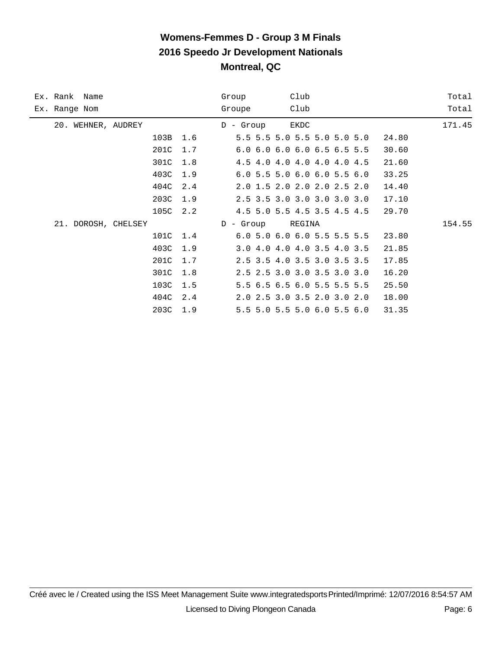| Ex. Rank Name       | Club<br>Group                          | Total  |
|---------------------|----------------------------------------|--------|
| Ex. Range Nom       | Club<br>Groupe                         | Total  |
| 20. WEHNER, AUDREY  | EKDC<br>$D - Group$                    | 171.45 |
| 103B<br>1.6         | 5.5 5.5 5.0 5.5 5.0 5.0 5.0<br>24.80   |        |
| 201C<br>1.7         | 6.0 6.0 6.0 6.0 6.5 6.5 5.5<br>30.60   |        |
| 301C<br>1.8         | 4.5 4.0 4.0 4.0 4.0 4.0 4.5<br>21.60   |        |
| 403C<br>1.9         | $6.0$ 5.5 5.0 6.0 6.0 5.5 6.0<br>33.25 |        |
| 404C<br>2.4         | 2.0 1.5 2.0 2.0 2.0 2.5 2.0<br>14.40   |        |
| 203C<br>1.9         | 2.5 3.5 3.0 3.0 3.0 3.0 3.0<br>17.10   |        |
| 105C<br>2.2         | 4.5 5.0 5.5 4.5 3.5 4.5 4.5<br>29.70   |        |
| 21. DOROSH, CHELSEY | REGINA<br>- Group<br>D                 | 154.55 |
| 101C<br>1.4         | 6.0 5.0 6.0 6.0 5.5 5.5 5.5<br>23.80   |        |
| 403C<br>1.9         | 3.0 4.0 4.0 4.0 3.5 4.0 3.5<br>21.85   |        |
| 201C<br>1.7         | 2.5 3.5 4.0 3.5 3.0 3.5 3.5<br>17.85   |        |
| 301C<br>1.8         | 2.5 2.5 3.0 3.0 3.5 3.0 3.0<br>16.20   |        |
| 103C<br>1.5         | 5.5 6.5 6.5 6.0 5.5 5.5 5.5<br>25.50   |        |
| 2.4<br>404C         | 2.0 2.5 3.0 3.5 2.0 3.0 2.0<br>18.00   |        |
| 203C<br>1.9         | 5.5 5.0 5.5 5.0 6.0 5.5 6.0<br>31.35   |        |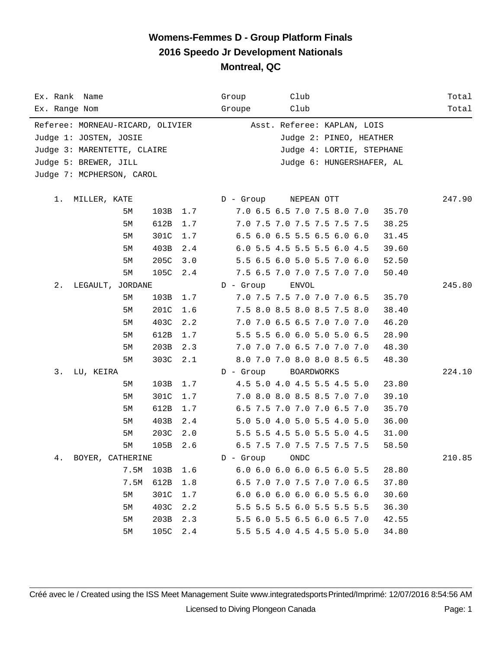| Ex. Rank Name                    |      |      |     | Group       | Club                        |       | Total  |
|----------------------------------|------|------|-----|-------------|-----------------------------|-------|--------|
| Ex. Range Nom                    |      |      |     | Groupe      | Club                        |       | Total  |
| Referee: MORNEAU-RICARD, OLIVIER |      |      |     |             | Asst. Referee: KAPLAN, LOIS |       |        |
| Judge 1: JOSTEN, JOSIE           |      |      |     |             | Judge 2: PINEO, HEATHER     |       |        |
| Judge 3: MARENTETTE, CLAIRE      |      |      |     |             | Judge 4: LORTIE, STEPHANE   |       |        |
| Judge 5: BREWER, JILL            |      |      |     |             | Judge 6: HUNGERSHAFER, AL   |       |        |
| Judge 7: MCPHERSON, CAROL        |      |      |     |             |                             |       |        |
|                                  |      |      |     |             |                             |       |        |
| 1.<br>MILLER, KATE               |      |      |     | D - Group   | NEPEAN OTT                  |       | 247.90 |
|                                  | 5М   | 103B | 1.7 |             | 7.0 6.5 6.5 7.0 7.5 8.0 7.0 | 35.70 |        |
|                                  | 5М   | 612B | 1.7 |             | 7.0 7.5 7.0 7.5 7.5 7.5 7.5 | 38.25 |        |
|                                  | 5М   | 301C | 1.7 |             | 6.5 6.0 6.5 5.5 6.5 6.0 6.0 | 31.45 |        |
|                                  | 5М   | 403B | 2.4 |             | 6.0 5.5 4.5 5.5 5.5 6.0 4.5 | 39.60 |        |
|                                  | 5М   | 205C | 3.0 |             | 5.5 6.5 6.0 5.0 5.5 7.0 6.0 | 52.50 |        |
|                                  | 5М   | 105C | 2.4 |             | 7.5 6.5 7.0 7.0 7.5 7.0 7.0 | 50.40 |        |
| 2.<br>LEGAULT, JORDANE           |      |      |     | $D -$ Group | ENVOL                       |       | 245.80 |
|                                  | 5М   | 103B | 1.7 |             | 7.0 7.5 7.5 7.0 7.0 7.0 6.5 | 35.70 |        |
|                                  | 5М   | 201C | 1.6 |             | 7.5 8.0 8.5 8.0 8.5 7.5 8.0 | 38.40 |        |
|                                  | 5М   | 403C | 2.2 |             | 7.0 7.0 6.5 6.5 7.0 7.0 7.0 | 46.20 |        |
|                                  | 5М   | 612B | 1.7 |             | 5.5 5.5 6.0 6.0 5.0 5.0 6.5 | 28.90 |        |
|                                  | 5М   | 203B | 2.3 |             | 7.0 7.0 7.0 6.5 7.0 7.0 7.0 | 48.30 |        |
|                                  | 5M   | 303C | 2.1 |             | 8.0 7.0 7.0 8.0 8.0 8.5 6.5 | 48.30 |        |
| 3.<br>LU, KEIRA                  |      |      |     | $D -$ Group | BOARDWORKS                  |       | 224.10 |
|                                  | 5М   | 103B | 1.7 |             | 4.5 5.0 4.0 4.5 5.5 4.5 5.0 | 23.80 |        |
|                                  | 5М   | 301C | 1.7 |             | 7.0 8.0 8.0 8.5 8.5 7.0 7.0 | 39.10 |        |
|                                  | 5М   | 612B | 1.7 |             | 6.5 7.5 7.0 7.0 7.0 6.5 7.0 | 35.70 |        |
|                                  | 5М   | 403B | 2.4 |             | 5.0 5.0 4.0 5.0 5.5 4.0 5.0 | 36.00 |        |
|                                  | 5M   | 203C | 2.0 |             | 5.5 5.5 4.5 5.0 5.5 5.0 4.5 | 31.00 |        |
|                                  | 5M   | 105B | 2.6 |             | 6.5 7.5 7.0 7.5 7.5 7.5 7.5 | 58.50 |        |
| BOYER, CATHERINE<br>4.           |      |      |     | $D -$ Group | ONDC                        |       | 210.85 |
|                                  | 7.5M | 103B | 1.6 |             | 6.0 6.0 6.0 6.0 6.5 6.0 5.5 | 28.80 |        |
|                                  | 7.5M | 612B | 1.8 |             | 6.5 7.0 7.0 7.5 7.0 7.0 6.5 | 37.80 |        |
|                                  | 5M   | 301C | 1.7 |             | 6.0 6.0 6.0 6.0 6.0 5.5 6.0 | 30.60 |        |
|                                  | 5M   | 403C | 2.2 |             | 5.5 5.5 5.5 6.0 5.5 5.5 5.5 | 36.30 |        |
|                                  | 5M   | 203B | 2.3 |             | 5.5 6.0 5.5 6.5 6.0 6.5 7.0 | 42.55 |        |
|                                  | 5M   | 105C | 2.4 |             | 5.5 5.5 4.0 4.5 4.5 5.0 5.0 | 34.80 |        |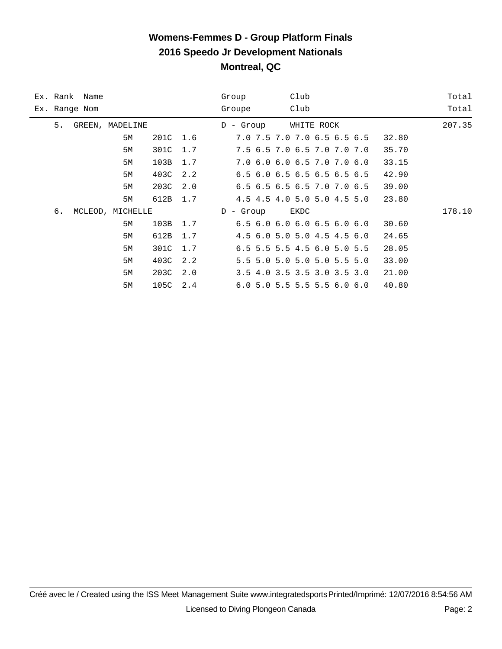## **Womens-Femmes D - Group Platform Finals 2016 Speedo Jr Development Nationals Montreal, QC**

|    | Ex. Rank Name |                  |      |     | Club<br>Group                             | Total  |
|----|---------------|------------------|------|-----|-------------------------------------------|--------|
|    | Ex. Range Nom |                  |      |     | Club<br>Groupe                            | Total  |
| 5. |               | GREEN, MADELINE  |      |     | WHITE ROCK<br>$D -$ Group                 | 207.35 |
|    |               | 5M               | 201C | 1.6 | 7.0 7.5 7.0 7.0 6.5 6.5 6.5               | 32.80  |
|    |               | 5M               | 301C | 1.7 | 7.5 6.5 7.0 6.5 7.0 7.0 7.0               | 35.70  |
|    |               | 5M               | 103B | 1.7 | 7.0 6.0 6.0 6.5 7.0 7.0 6.0               | 33.15  |
|    |               | 5M               | 403C | 2.2 | 6.5 6.0 6.5 6.5 6.5 6.5 6.5               | 42.90  |
|    |               | 5M               | 203C | 2.0 | 6.5 6.5 6.5 6.5 7.0 7.0 6.5               | 39.00  |
|    |               | 5M               | 612B | 1.7 | 4.5 4.5 4.0 5.0 5.0 4.5 5.0               | 23.80  |
| б. |               | MCLEOD, MICHELLE |      |     | EKDC<br>$D -$ Group                       | 178.10 |
|    |               | 5M               | 103B | 1.7 | $6.5$ $6.0$ $6.0$ $6.0$ $6.5$ $6.0$ $6.0$ | 30.60  |
|    |               | 5M               | 612B | 1.7 | 4.5 6.0 5.0 5.0 4.5 4.5 6.0               | 24.65  |
|    |               | 5M               | 301C | 1.7 | 6.5 5.5 5.5 4.5 6.0 5.0 5.5               | 28.05  |
|    |               | 5M               | 403C | 2.2 | 5.5 5.0 5.0 5.0 5.0 5.5 5.0               | 33.00  |
|    |               | 5M               | 203C | 2.0 | 3.5 4.0 3.5 3.5 3.0 3.5 3.0               | 21.00  |
|    |               | 5M               | 105C | 2.4 | $6.0$ 5.0 5.5 5.5 5.5 6.0 6.0             | 40.80  |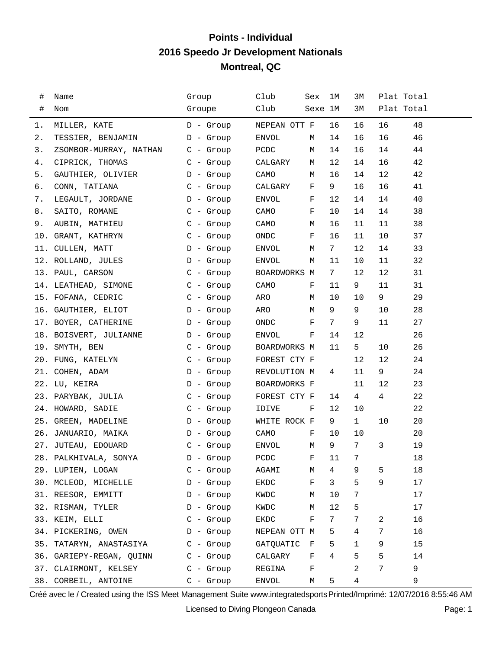## **Points - Individual 2016 Speedo Jr Development Nationals Montreal, QC**

| #  | Name                             | Group       | Club         | Sex          | ıм             | ЗМ              | Plat Total |    |
|----|----------------------------------|-------------|--------------|--------------|----------------|-----------------|------------|----|
| #  | Nom                              | Groupe      | Club         | Sexe 1M      |                | ЗМ              | Plat Total |    |
| 1. | MILLER, KATE                     | D - Group   | NEPEAN OTT F |              | 16             | 16              | 16         | 48 |
| 2. | TESSIER, BENJAMIN                | D - Group   | ENVOL        | М            | 14             | 16              | 16         | 46 |
| 3. | ZSOMBOR-MURRAY, NATHAN C - Group |             | PCDC         | М            | 14             | 16              | 14         | 44 |
| 4. | CIPRICK, THOMAS                  | C - Group   | CALGARY      | М            | 12             | 14              | 16         | 42 |
| 5. | GAUTHIER, OLIVIER                | D - Group   | CAMO         | М            | 16             | 14              | 12         | 42 |
| б. | CONN, TATIANA                    | $C -$ Group | CALGARY      | F            | 9              | 16              | 16         | 41 |
| 7. | LEGAULT, JORDANE                 | D - Group   | ENVOL        | F            | 12             | 14              | 14         | 40 |
| 8. | SAITO, ROMANE                    | $C -$ Group | CAMO         | F            | 10             | 14              | 14         | 38 |
| 9. | AUBIN, MATHIEU                   | $C -$ Group | CAMO         | М            | 16             | 11              | 11         | 38 |
|    | 10. GRANT, KATHRYN               | $C -$ Group | ONDC         | F            | 16             | 11              | 10         | 37 |
|    | 11. CULLEN, MATT                 | D - Group   | ENVOL        | М            | 7              | 12              | 14         | 33 |
|    | 12. ROLLAND, JULES               | D - Group   | ENVOL        | M            | 11             | 10              | 11         | 32 |
|    | 13. PAUL, CARSON                 | $C - Grow$  | BOARDWORKS M |              | 7              | 12              | 12         | 31 |
|    | 14. LEATHEAD, SIMONE C - Group   |             | CAMO         | F            | 11             | 9               | 11         | 31 |
|    | 15. FOFANA, CEDRIC               | $C -$ Group | ARO          | М            | 10             | 10              | 9          | 29 |
|    | 16. GAUTHIER, ELIOT              | D - Group   | ARO          | М            | 9              | 9               | 10         | 28 |
|    | 17. BOYER, CATHERINE             | D - Group   | ONDC         | F            | $7\phantom{.}$ | 9               | 11         | 27 |
|    | 18. BOISVERT, JULIANNE           | D - Group   | ENVOL        | F            | 14             | 12              |            | 26 |
|    | 19. SMYTH, BEN                   | C - Group   | BOARDWORKS M |              | 11             | 5               | 10         | 26 |
|    | 20. FUNG, KATELYN                | C - Group   | FOREST CTY F |              |                | 12              | 12         | 24 |
|    | 21. COHEN, ADAM                  | D - Group   | REVOLUTION M |              | 4              | 11              | 9          | 24 |
|    | 22. LU, KEIRA                    | D - Group   | BOARDWORKS F |              |                | 11              | 12         | 23 |
|    | 23. PARYBAK, JULIA               | C - Group   | FOREST CTY F |              | 14             | 4               | 4          | 22 |
|    | 24. HOWARD, SADIE                | $C -$ Group | IDIVE        | F            | 12             | 10              |            | 22 |
|    | 25. GREEN, MADELINE              | D - Group   | WHITE ROCK F |              | 9              | $\mathbf{1}$    | 10         | 20 |
|    | 26. JANUARIO, MAIKA<br>D - Group |             | CAMO         | F            | 10             | 10              |            | 20 |
|    | 27. JUTEAU, EDOUARD              | $C -$ Group | ENVOL        | М            | 9              | 7               | 3          | 19 |
|    | 28. PALKHIVALA, SONYA D - Group  |             | PCDC         | $\mathbf{F}$ | 11             | $7\overline{ }$ |            | 18 |
|    | 29. LUPIEN, LOGAN                | $C -$ Group | AGAMI        | М            | 4              | 9               | 5          | 18 |
|    | 30. MCLEOD, MICHELLE             | $D -$ Group | EKDC         | F            | 3              | 5               | 9          | 17 |
|    | 31. REESOR, EMMITT               | $D -$ Group | KWDC         | М            | 10             | 7               |            | 17 |
|    | 32. RISMAN, TYLER                | D - Group   | KWDC         | М            | 12             | 5               |            | 17 |
|    | 33. KEIM, ELLI                   | $C -$ Group | EKDC         | F            | 7              | 7               | 2          | 16 |
|    | 34. PICKERING, OWEN              | D - Group   | NEPEAN OTT M |              | 5              | 4               | 7          | 16 |
|    | 35. TATARYN, ANASTASIYA          | $C - Group$ | GATQUATIC    | F            | 5              | $\mathbf{1}$    | 9          | 15 |
|    | 36. GARIEPY-REGAN, QUINN         | $C -$ Group | CALGARY      | F            | 4              | 5               | 5          | 14 |
|    | 37. CLAIRMONT, KELSEY            | $C -$ Group | REGINA       | F            |                | 2               | 7          | 9  |
|    | 38. CORBEIL, ANTOINE             | $C - Group$ | ENVOL        | М            | 5              | 4               |            | 9  |

Créé avec le / Created using the ISS Meet Management Suite www.integratedsports Printed/Imprimé: 12/07/2016 8:55:46 AM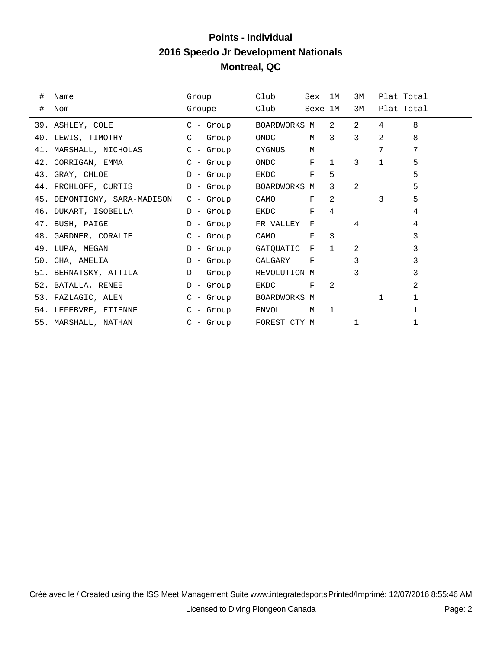## **Points - Individual 2016 Speedo Jr Development Nationals Montreal, QC**

| #<br># | Name<br>Nom                  | Group<br>Groupe | Club<br>Club       | Sex 1M<br>Sexe 1M  |                | 3M<br>3M       |                | Plat Total<br>Plat Total |
|--------|------------------------------|-----------------|--------------------|--------------------|----------------|----------------|----------------|--------------------------|
|        |                              |                 |                    |                    |                |                |                |                          |
|        | 39. ASHLEY, COLE             | C - Group       | BOARDWORKS M       |                    | $2^{\circ}$    | $\overline{2}$ | $\overline{4}$ | 8                        |
|        | 40. LEWIS, TIMOTHY           | C - Group       | ONDC               | M                  | $\mathcal{E}$  | $\mathcal{E}$  | $\overline{2}$ | 8                        |
|        | 41. MARSHALL, NICHOLAS       | C - Group       | CYGNUS<br><b>M</b> |                    |                |                | 7              | 7                        |
|        | 42. CORRIGAN, EMMA           | $C - Grow$      | ONDC F             |                    | $\mathbf{1}$   | 3              | $\mathbf{1}$   | 5                        |
|        | 43. GRAY, CHLOE              | $D -$ Group     | EKDC               | F                  | 5              |                |                | 5                        |
|        | 44. FROHLOFF, CURTIS         | D - Group       | BOARDWORKS M       |                    | 3              | 2              |                | 5                        |
|        | 45. DEMONTIGNY, SARA-MADISON | C - Group       | CAMO               | $\mathbf{F}% _{0}$ | 2              |                | 3              | 5                        |
|        | 46. DUKART, ISOBELLA         | D - Group       | EKDC               | F                  | 4              |                |                | 4                        |
|        | 47. BUSH, PAIGE              | D - Group       | FR VALLEY          | $_{\rm F}$         |                | 4              |                | 4                        |
|        | 48. GARDNER, CORALIE         | C - Group       | CAMO               | $_{\rm F}$         | $\mathcal{E}$  |                |                | 3                        |
|        | 49. LUPA, MEGAN              | D - Group       | GATQUATIC F        |                    | $\mathbf{1}$   | $\mathfrak{D}$ |                | 3                        |
|        | 50. CHA, AMELIA              | D - Group       | CALGARY            | F                  |                | 3              |                | 3                        |
|        | 51. BERNATSKY, ATTILA        | D - Group       | REVOLUTION M       |                    |                | 3              |                | 3                        |
|        | 52. BATALLA, RENEE           | $D -$ Group     | EKDC               | $_{\rm F}$         | $\mathfrak{D}$ |                |                | 2                        |
|        | 53. FAZLAGIC, ALEN           | C - Group       | BOARDWORKS M       |                    |                |                | $\mathbf{1}$   | 1                        |
|        | 54. LEFEBVRE, ETIENNE        | C - Group       | ENVOL              | M                  | $\mathbf{1}$   |                |                |                          |
|        | 55. MARSHALL, NATHAN         | C - Group       | FOREST CTY M       |                    |                |                |                |                          |
|        |                              |                 |                    |                    |                |                |                |                          |